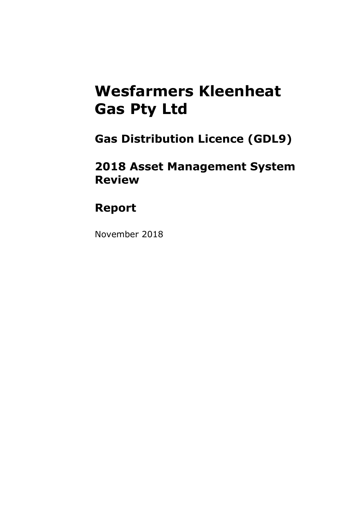### **Wesfarmers Kleenheat Gas Pty Ltd**

**Gas Distribution Licence (GDL9)**

**2018 Asset Management System Review** 

### **Report**

November 2018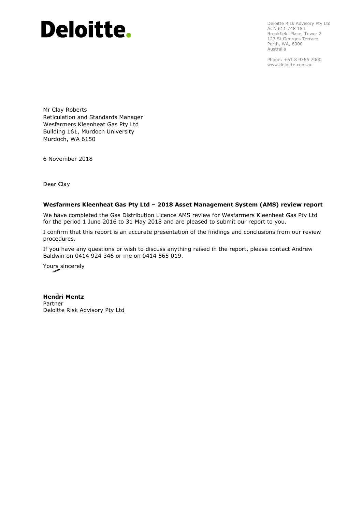# Deloitte.

Deloitte Risk Advisory Pty Ltd ACN 611 748 184 Brookfield Place, Tower 2 123 St Georges Terrace Perth, WA, 6000 Australia

Phone: +61 8 9365 7000 www.deloitte.com.au

Mr Clay Roberts Reticulation and Standards Manager Wesfarmers Kleenheat Gas Pty Ltd Building 161, Murdoch University Murdoch, WA 6150

6 November 2018

Dear Clay

#### **Wesfarmers Kleenheat Gas Pty Ltd – 2018 Asset Management System (AMS) review report**

We have completed the Gas Distribution Licence AMS review for Wesfarmers Kleenheat Gas Pty Ltd for the period 1 June 2016 to 31 May 2018 and are pleased to submit our report to you.

I confirm that this report is an accurate presentation of the findings and conclusions from our review procedures.

If you have any questions or wish to discuss anything raised in the report, please contact Andrew Baldwin on 0414 924 346 or me on 0414 565 019.

Yours sincerely

**Hendri Mentz** Partner Deloitte Risk Advisory Pty Ltd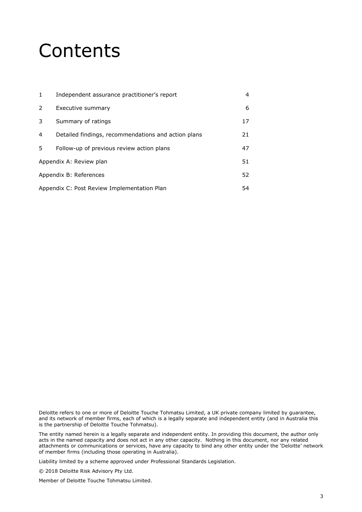### Contents

| $\mathbf{1}$ | Independent assurance practitioner's report         | 4  |  |
|--------------|-----------------------------------------------------|----|--|
| 2            | Executive summary                                   | 6  |  |
| 3            | Summary of ratings                                  | 17 |  |
| 4            | Detailed findings, recommendations and action plans | 21 |  |
| 5            | Follow-up of previous review action plans           | 47 |  |
|              | Appendix A: Review plan<br>51                       |    |  |
|              | Appendix B: References<br>52                        |    |  |
|              | Appendix C: Post Review Implementation Plan<br>54   |    |  |

Deloitte refers to one or more of Deloitte Touche Tohmatsu Limited, a UK private company limited by guarantee, and its network of member firms, each of which is a legally separate and independent entity (and in Australia this is the partnership of Deloitte Touche Tohmatsu).

The entity named herein is a legally separate and independent entity. In providing this document, the author only acts in the named capacity and does not act in any other capacity. Nothing in this document, nor any related attachments or communications or services, have any capacity to bind any other entity under the 'Deloitte' network of member firms (including those operating in Australia).

Liability limited by a scheme approved under Professional Standards Legislation.

© 2018 Deloitte Risk Advisory Pty Ltd.

Member of Deloitte Touche Tohmatsu Limited.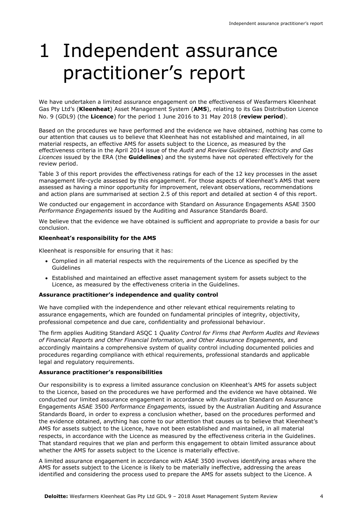### 1 Independent assurance practitioner's report

We have undertaken a limited assurance engagement on the effectiveness of Wesfarmers Kleenheat Gas Pty Ltd's (**Kleenheat**) Asset Management System (**AMS**), relating to its Gas Distribution Licence No. 9 (GDL9) (the **Licence**) for the period 1 June 2016 to 31 May 2018 (**review period**).

Based on the procedures we have performed and the evidence we have obtained, nothing has come to our attention that causes us to believe that Kleenheat has not established and maintained, in all material respects, an effective AMS for assets subject to the Licence, as measured by the effectiveness criteria in the April 2014 issue of the *Audit and Review Guidelines: Electricity and Gas Licences* issued by the ERA (the **Guidelines**) and the systems have not operated effectively for the review period.

Table 3 of this report provides the effectiveness ratings for each of the 12 key processes in the asset management life-cycle assessed by this engagement. For those aspects of Kleenheat's AMS that were assessed as having a minor opportunity for improvement, relevant observations, recommendations and action plans are summarised at section 2.5 of this report and detailed at section 4 of this report.

We conducted our engagement in accordance with Standard on Assurance Engagements ASAE 3500 *Performance Engagements* issued by the Auditing and Assurance Standards Board.

We believe that the evidence we have obtained is sufficient and appropriate to provide a basis for our conclusion.

#### **Kleenheat's responsibility for the AMS**

Kleenheat is responsible for ensuring that it has:

- Complied in all material respects with the requirements of the Licence as specified by the Guidelines
- Established and maintained an effective asset management system for assets subject to the Licence, as measured by the effectiveness criteria in the Guidelines.

#### **Assurance practitioner's independence and quality control**

We have complied with the independence and other relevant ethical requirements relating to assurance engagements, which are founded on fundamental principles of integrity, objectivity, professional competence and due care, confidentiality and professional behaviour.

The firm applies Auditing Standard ASQC 1 *Quality Control for Firms that Perform Audits and Reviews of Financial Reports and Other Financial Information, and Other Assurance Engagements,* and accordingly maintains a comprehensive system of quality control including documented policies and procedures regarding compliance with ethical requirements, professional standards and applicable legal and regulatory requirements.

#### **Assurance practitioner's responsibilities**

Our responsibility is to express a limited assurance conclusion on Kleenheat's AMS for assets subject to the Licence, based on the procedures we have performed and the evidence we have obtained. We conducted our limited assurance engagement in accordance with Australian Standard on Assurance Engagements ASAE 3500 *Performance Engagements,* issued by the Australian Auditing and Assurance Standards Board, in order to express a conclusion whether, based on the procedures performed and the evidence obtained, anything has come to our attention that causes us to believe that Kleenheat's AMS for assets subject to the Licence, have not been established and maintained, in all material respects, in accordance with the Licence as measured by the effectiveness criteria in the Guidelines. That standard requires that we plan and perform this engagement to obtain limited assurance about whether the AMS for assets subject to the Licence is materially effective.

A limited assurance engagement in accordance with ASAE 3500 involves identifying areas where the AMS for assets subject to the Licence is likely to be materially ineffective, addressing the areas identified and considering the process used to prepare the AMS for assets subject to the Licence. A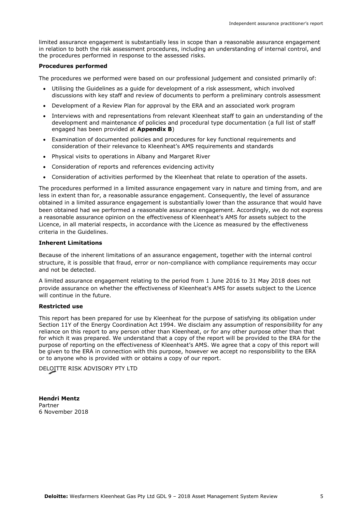limited assurance engagement is substantially less in scope than a reasonable assurance engagement in relation to both the risk assessment procedures, including an understanding of internal control, and the procedures performed in response to the assessed risks.

#### **Procedures performed**

The procedures we performed were based on our professional judgement and consisted primarily of:

- Utilising the Guidelines as a guide for development of a risk assessment, which involved discussions with key staff and review of documents to perform a preliminary controls assessment
- Development of a Review Plan for approval by the ERA and an associated work program
- Interviews with and representations from relevant Kleenheat staff to gain an understanding of the development and maintenance of policies and procedural type documentation (a full list of staff engaged has been provided at **Appendix B**)
- Examination of documented policies and procedures for key functional requirements and consideration of their relevance to Kleenheat's AMS requirements and standards
- Physical visits to operations in Albany and Margaret River
- Consideration of reports and references evidencing activity
- Consideration of activities performed by the Kleenheat that relate to operation of the assets.

The procedures performed in a limited assurance engagement vary in nature and timing from, and are less in extent than for, a reasonable assurance engagement. Consequently, the level of assurance obtained in a limited assurance engagement is substantially lower than the assurance that would have been obtained had we performed a reasonable assurance engagement. Accordingly, we do not express a reasonable assurance opinion on the effectiveness of Kleenheat's AMS for assets subject to the Licence, in all material respects, in accordance with the Licence as measured by the effectiveness criteria in the Guidelines.

#### **Inherent Limitations**

Because of the inherent limitations of an assurance engagement, together with the internal control structure, it is possible that fraud, error or non-compliance with compliance requirements may occur and not be detected.

A limited assurance engagement relating to the period from 1 June 2016 to 31 May 2018 does not provide assurance on whether the effectiveness of Kleenheat's AMS for assets subject to the Licence will continue in the future.

#### **Restricted use**

This report has been prepared for use by Kleenheat for the purpose of satisfying its obligation under Section 11Y of the Energy Coordination Act 1994. We disclaim any assumption of responsibility for any reliance on this report to any person other than Kleenheat, or for any other purpose other than that for which it was prepared. We understand that a copy of the report will be provided to the ERA for the purpose of reporting on the effectiveness of Kleenheat's AMS. We agree that a copy of this report will be given to the ERA in connection with this purpose, however we accept no responsibility to the ERA or to anyone who is provided with or obtains a copy of our report.

DELOITTE RISK ADVISORY PTY LTD

**Hendri Mentz** Partner 6 November 2018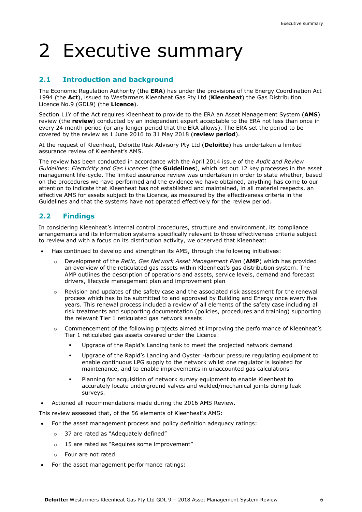### 2 Executive summary

#### **2.1 Introduction and background**

The Economic Regulation Authority (the **ERA**) has under the provisions of the Energy Coordination Act 1994 (the **Act**), issued to Wesfarmers Kleenheat Gas Pty Ltd (**Kleenheat**) the Gas Distribution Licence No.9 (GDL9) (the **Licence**).

Section 11Y of the Act requires Kleenheat to provide to the ERA an Asset Management System (**AMS**) review (the **review**) conducted by an independent expert acceptable to the ERA not less than once in every 24 month period (or any longer period that the ERA allows). The ERA set the period to be covered by the review as 1 June 2016 to 31 May 2018 (**review period**).

At the request of Kleenheat, Deloitte Risk Advisory Pty Ltd (**Deloitte**) has undertaken a limited assurance review of Kleenheat's AMS.

The review has been conducted in accordance with the April 2014 issue of the *Audit and Review Guidelines: Electricity and Gas Licences* (the **Guidelines**), which set out 12 key processes in the asset management life-cycle. The limited assurance review was undertaken in order to state whether, based on the procedures we have performed and the evidence we have obtained, anything has come to our attention to indicate that Kleenheat has not established and maintained, in all material respects, an effective AMS for assets subject to the Licence, as measured by the effectiveness criteria in the Guidelines and that the systems have not operated effectively for the review period.

#### **2.2 Findings**

In considering Kleenheat's internal control procedures, structure and environment, its compliance arrangements and its information systems specifically relevant to those effectiveness criteria subject to review and with a focus on its distribution activity, we observed that Kleenheat:

- Has continued to develop and strengthen its AMS, through the following initiatives:
	- o Development of the *Retic, Gas Network Asset Management Plan* (**AMP**) which has provided an overview of the reticulated gas assets within Kleenheat's gas distribution system. The AMP outlines the description of operations and assets, service levels, demand and forecast drivers, lifecycle management plan and improvement plan
	- $\circ$  Revision and updates of the safety case and the associated risk assessment for the renewal process which has to be submitted to and approved by Building and Energy once every five years. This renewal process included a review of all elements of the safety case including all risk treatments and supporting documentation (policies, procedures and training) supporting the relevant Tier 1 reticulated gas network assets
	- o Commencement of the following projects aimed at improving the performance of Kleenheat's Tier 1 reticulated gas assets covered under the Licence:
		- Upgrade of the Rapid's Landing tank to meet the projected network demand
		- Upgrade of the Rapid's Landing and Oyster Harbour pressure regulating equipment to enable continuous LPG supply to the network whilst one regulator is isolated for maintenance, and to enable improvements in unaccounted gas calculations
		- Planning for acquisition of network survey equipment to enable Kleenheat to accurately locate underground valves and welded/mechanical joints during leak surveys.
- Actioned all recommendations made during the 2016 AMS Review.

This review assessed that, of the 56 elements of Kleenheat's AMS:

- For the asset management process and policy definition adequacy ratings:
	- o 37 are rated as "Adequately defined"
	- o 15 are rated as "Requires some improvement"
	- o Four are not rated.
- For the asset management performance ratings: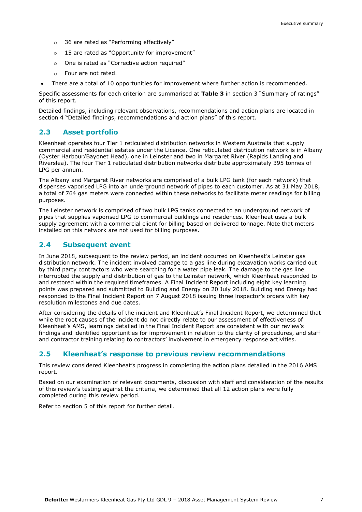- o 36 are rated as "Performing effectively"
- o 15 are rated as "Opportunity for improvement"
- o One is rated as "Corrective action required"
- o Four are not rated.
- There are a total of 10 opportunities for improvement where further action is recommended.

Specific assessments for each criterion are summarised at **Table 3** in section 3 "Summary of ratings" of this report.

Detailed findings, including relevant observations, recommendations and action plans are located in section 4 "Detailed findings, recommendations and action plans" of this report.

#### **2.3 Asset portfolio**

Kleenheat operates four Tier 1 reticulated distribution networks in Western Australia that supply commercial and residential estates under the Licence. One reticulated distribution network is in Albany (Oyster Harbour/Bayonet Head), one in Leinster and two in Margaret River (Rapids Landing and Riverslea). The four Tier 1 reticulated distribution networks distribute approximately 395 tonnes of LPG per annum.

The Albany and Margaret River networks are comprised of a bulk LPG tank (for each network) that dispenses vaporised LPG into an underground network of pipes to each customer. As at 31 May 2018, a total of 764 gas meters were connected within these networks to facilitate meter readings for billing purposes.

The Leinster network is comprised of two bulk LPG tanks connected to an underground network of pipes that supplies vaporised LPG to commercial buildings and residences. Kleenheat uses a bulk supply agreement with a commercial client for billing based on delivered tonnage. Note that meters installed on this network are not used for billing purposes.

#### **2.4 Subsequent event**

In June 2018, subsequent to the review period, an incident occurred on Kleenheat's Leinster gas distribution network. The incident involved damage to a gas line during excavation works carried out by third party contractors who were searching for a water pipe leak. The damage to the gas line interrupted the supply and distribution of gas to the Leinster network, which Kleenheat responded to and restored within the required timeframes. A Final Incident Report including eight key learning points was prepared and submitted to Building and Energy on 20 July 2018. Building and Energy had responded to the Final Incident Report on 7 August 2018 issuing three inspector's orders with key resolution milestones and due dates.

After considering the details of the incident and Kleenheat's Final Incident Report, we determined that while the root causes of the incident do not directly relate to our assessment of effectiveness of Kleenheat's AMS, learnings detailed in the Final Incident Report are consistent with our review's findings and identified opportunities for improvement in relation to the clarity of procedures, and staff and contractor training relating to contractors' involvement in emergency response activities.

#### **2.5 Kleenheat's response to previous review recommendations**

This review considered Kleenheat's progress in completing the action plans detailed in the 2016 AMS report.

Based on our examination of relevant documents, discussion with staff and consideration of the results of this review's testing against the criteria, we determined that all 12 action plans were fully completed during this review period.

Refer to section 5 of this report for further detail.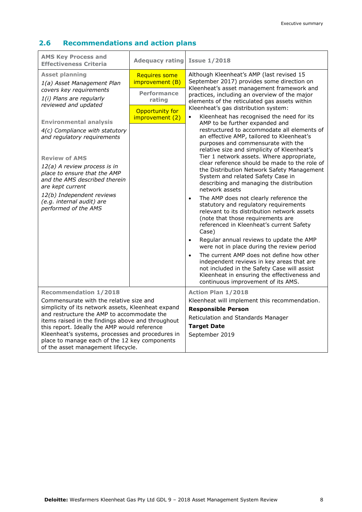#### **2.6 Recommendations and action plans**

| <b>AMS Key Process and</b><br><b>Effectiveness Criteria</b>                                                                                                                                                                                                                                                                                                                                                                                                         | <b>Adequacy rating</b>                                                                                        | <b>Issue 1/2018</b>                                                                                                                                                                                                                                                                                                                                                                                                                                                                                                                                                                                                                                                                                                                                                                                                                                                                                                                                                                                                                                                                                                                                                                                                                                                                                                                                                                                    |
|---------------------------------------------------------------------------------------------------------------------------------------------------------------------------------------------------------------------------------------------------------------------------------------------------------------------------------------------------------------------------------------------------------------------------------------------------------------------|---------------------------------------------------------------------------------------------------------------|--------------------------------------------------------------------------------------------------------------------------------------------------------------------------------------------------------------------------------------------------------------------------------------------------------------------------------------------------------------------------------------------------------------------------------------------------------------------------------------------------------------------------------------------------------------------------------------------------------------------------------------------------------------------------------------------------------------------------------------------------------------------------------------------------------------------------------------------------------------------------------------------------------------------------------------------------------------------------------------------------------------------------------------------------------------------------------------------------------------------------------------------------------------------------------------------------------------------------------------------------------------------------------------------------------------------------------------------------------------------------------------------------------|
| <b>Asset planning</b><br>1(a) Asset Management Plan<br>covers key requirements<br>1(i) Plans are regularly<br>reviewed and updated<br><b>Environmental analysis</b><br>4(c) Compliance with statutory<br>and regulatory requirements<br><b>Review of AMS</b><br>12(a) A review process is in<br>place to ensure that the AMP<br>and the AMS described therein<br>are kept current<br>12(b) Independent reviews<br>(e.g. internal audit) are<br>performed of the AMS | <b>Requires some</b><br>improvement (B)<br><b>Performance</b><br>rating<br>Opportunity for<br>improvement (2) | Although Kleenheat's AMP (last revised 15<br>September 2017) provides some direction on<br>Kleenheat's asset management framework and<br>practices, including an overview of the major<br>elements of the reticulated gas assets within<br>Kleenheat's gas distribution system:<br>Kleenheat has recognised the need for its<br>$\bullet$<br>AMP to be further expanded and<br>restructured to accommodate all elements of<br>an effective AMP, tailored to Kleenheat's<br>purposes and commensurate with the<br>relative size and simplicity of Kleenheat's<br>Tier 1 network assets. Where appropriate,<br>clear reference should be made to the role of<br>the Distribution Network Safety Management<br>System and related Safety Case in<br>describing and managing the distribution<br>network assets<br>The AMP does not clearly reference the<br>$\bullet$<br>statutory and regulatory requirements<br>relevant to its distribution network assets<br>(note that those requirements are<br>referenced in Kleenheat's current Safety<br>Case)<br>Regular annual reviews to update the AMP<br>$\bullet$<br>were not in place during the review period<br>The current AMP does not define how other<br>$\bullet$<br>independent reviews in key areas that are<br>not included in the Safety Case will assist<br>Kleenheat in ensuring the effectiveness and<br>continuous improvement of its AMS. |
| <b>Recommendation 1/2018</b><br>Commensurate with the relative size and<br>simplicity of its network assets, Kleenheat expand<br>and restructure the AMP to accommodate the<br>items raised in the findings above and throughout<br>this report. Ideally the AMP would reference<br>Kleenheat's systems, processes and procedures in<br>place to manage each of the 12 key components<br>of the asset management lifecycle.                                         |                                                                                                               | <b>Action Plan 1/2018</b><br>Kleenheat will implement this recommendation.<br><b>Responsible Person</b><br>Reticulation and Standards Manager<br><b>Target Date</b><br>September 2019                                                                                                                                                                                                                                                                                                                                                                                                                                                                                                                                                                                                                                                                                                                                                                                                                                                                                                                                                                                                                                                                                                                                                                                                                  |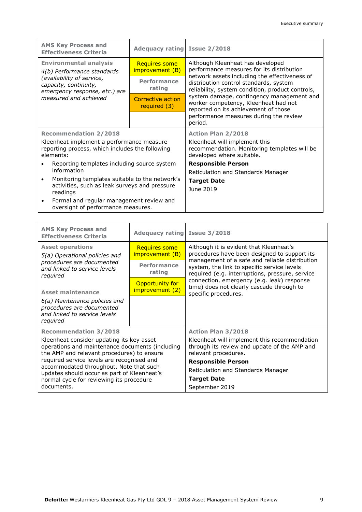| <b>AMS Key Process and</b><br><b>Effectiveness Criteria</b>                                 | Adequacy rating Issue 2/2018      |                                                                                                                           |
|---------------------------------------------------------------------------------------------|-----------------------------------|---------------------------------------------------------------------------------------------------------------------------|
| <b>Environmental analysis</b>                                                               | <b>Requires some</b>              | Although Kleenheat has developed                                                                                          |
| 4(b) Performance standards                                                                  | improvement (B)                   | performance measures for its distribution                                                                                 |
| (availability of service,<br>capacity, continuity,                                          | Performance                       | network assets including the effectiveness of<br>distribution control standards, system                                   |
| emergency response, etc.) are                                                               | rating                            | reliability, system condition, product controls,                                                                          |
| measured and achieved                                                                       | Corrective action<br>required (3) | system damage, contingency management and<br>worker competency, Kleenheat had not<br>reported on its achievement of those |
|                                                                                             |                                   | performance measures during the review<br>period.                                                                         |
| <b>Recommendation 2/2018</b>                                                                |                                   | <b>Action Plan 2/2018</b>                                                                                                 |
| Kleenheat implement a performance measure                                                   |                                   | Kleenheat will implement this                                                                                             |
| reporting process, which includes the following<br>elements:                                |                                   | recommendation. Monitoring templates will be<br>developed where suitable.                                                 |
| Reporting templates including source system                                                 |                                   | <b>Responsible Person</b>                                                                                                 |
| information                                                                                 |                                   | Reticulation and Standards Manager                                                                                        |
| Monitoring templates suitable to the network's                                              |                                   | <b>Target Date</b>                                                                                                        |
| activities, such as leak surveys and pressure<br>readings                                   |                                   | June 2019                                                                                                                 |
| Formal and regular management review and<br>$\bullet$<br>oversight of performance measures. |                                   |                                                                                                                           |

| <b>AMS Key Process and</b><br><b>Effectiveness Criteria</b>                                                                                | Adequacy rating Issue 3/2018            |                                                                                                                                                                                                                                             |
|--------------------------------------------------------------------------------------------------------------------------------------------|-----------------------------------------|---------------------------------------------------------------------------------------------------------------------------------------------------------------------------------------------------------------------------------------------|
| <b>Asset operations</b><br>5(a) Operational policies and                                                                                   | <b>Requires some</b><br>improvement (B) | Although it is evident that Kleenheat's<br>procedures have been designed to support its<br>management of a safe and reliable distribution<br>system, the link to specific service levels<br>required (e.g. interruptions, pressure, service |
| procedures are documented<br>and linked to service levels<br>required                                                                      | <b>Performance</b><br>rating            |                                                                                                                                                                                                                                             |
| <b>Asset maintenance</b>                                                                                                                   | Opportunity for<br>improvement (2)      | connection, emergency (e.g. leak) response<br>time) does not clearly cascade through to<br>specific procedures.                                                                                                                             |
| 6(a) Maintenance policies and<br>procedures are documented<br>and linked to service levels<br>required                                     |                                         |                                                                                                                                                                                                                                             |
| <b>Recommendation 3/2018</b>                                                                                                               |                                         | <b>Action Plan 3/2018</b>                                                                                                                                                                                                                   |
| Kleenheat consider updating its key asset<br>operations and maintenance documents (including<br>the AMP and relevant procedures) to ensure |                                         | Kleenheat will implement this recommendation<br>through its review and update of the AMP and<br>relevant procedures.                                                                                                                        |
| required service levels are recognised and<br>accommodated throughout. Note that such<br>updates should occur as part of Kleenheat's       |                                         | <b>Responsible Person</b>                                                                                                                                                                                                                   |
|                                                                                                                                            |                                         | Reticulation and Standards Manager                                                                                                                                                                                                          |
| normal cycle for reviewing its procedure                                                                                                   |                                         | <b>Target Date</b>                                                                                                                                                                                                                          |
| documents.                                                                                                                                 |                                         | September 2019                                                                                                                                                                                                                              |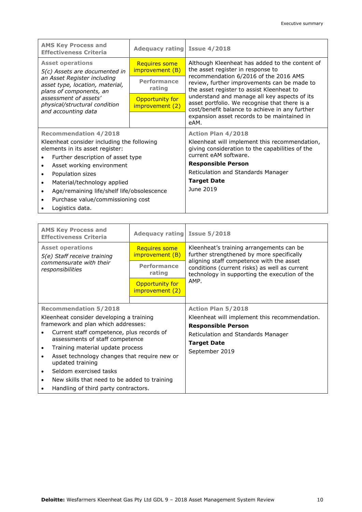| <b>AMS Key Process and</b><br><b>Effectiveness Criteria</b>                               | Adequacy rating Issue 4/2018            |                                                                                                                                                                                                                                                                                                                                                                             |
|-------------------------------------------------------------------------------------------|-----------------------------------------|-----------------------------------------------------------------------------------------------------------------------------------------------------------------------------------------------------------------------------------------------------------------------------------------------------------------------------------------------------------------------------|
| <b>Asset operations</b><br>5(c) Assets are documented in                                  | <b>Requires some</b><br>improvement (B) | Although Kleenheat has added to the content of<br>the asset register in response to<br>recommendation 6/2016 of the 2016 AMS<br>review, further improvements can be made to<br>the asset register to assist Kleenheat to<br>understand and manage all key aspects of its<br>asset portfolio. We recognise that there is a<br>cost/benefit balance to achieve in any further |
| an Asset Register including<br>asset type, location, material,<br>plans of components, an | <b>Performance</b><br>rating            |                                                                                                                                                                                                                                                                                                                                                                             |
| assessment of assets'<br>physical/structural condition<br>and accounting data             | Opportunity for<br>improvement (2)      |                                                                                                                                                                                                                                                                                                                                                                             |
|                                                                                           |                                         | expansion asset records to be maintained in<br>eAM.                                                                                                                                                                                                                                                                                                                         |
| <b>Recommendation 4/2018</b>                                                              |                                         | <b>Action Plan 4/2018</b>                                                                                                                                                                                                                                                                                                                                                   |
| Kleenheat consider including the following<br>elements in its asset register:             |                                         | Kleenheat will implement this recommendation,<br>giving consideration to the capabilities of the                                                                                                                                                                                                                                                                            |
| Further description of asset type                                                         |                                         | current eAM software.                                                                                                                                                                                                                                                                                                                                                       |
| Asset working environment<br>$\bullet$                                                    |                                         | <b>Responsible Person</b>                                                                                                                                                                                                                                                                                                                                                   |
| Population sizes                                                                          |                                         | Reticulation and Standards Manager                                                                                                                                                                                                                                                                                                                                          |
| Material/technology applied<br>$\bullet$                                                  |                                         | <b>Target Date</b>                                                                                                                                                                                                                                                                                                                                                          |
| Age/remaining life/shelf life/obsolescence<br>$\bullet$                                   |                                         | June 2019                                                                                                                                                                                                                                                                                                                                                                   |
| Purchase value/commissioning cost<br>$\bullet$                                            |                                         |                                                                                                                                                                                                                                                                                                                                                                             |
| Logistics data.                                                                           |                                         |                                                                                                                                                                                                                                                                                                                                                                             |

| <b>AMS Key Process and</b><br><b>Effectiveness Criteria</b>                       | Adequacy rating Issue 5/2018                                  |                                                                                                                                   |
|-----------------------------------------------------------------------------------|---------------------------------------------------------------|-----------------------------------------------------------------------------------------------------------------------------------|
| <b>Asset operations</b><br>5(e) Staff receive training<br>commensurate with their | <b>Requires some</b><br>improvement (B)<br><b>Performance</b> | Kleenheat's training arrangements can be<br>further strengthened by more specifically<br>aligning staff competence with the asset |
| responsibilities                                                                  | rating                                                        | conditions (current risks) as well as current<br>technology in supporting the execution of the                                    |
|                                                                                   | Opportunity for<br>improvement (2)                            | AMP.                                                                                                                              |
|                                                                                   |                                                               |                                                                                                                                   |
| <b>Recommendation 5/2018</b>                                                      |                                                               | <b>Action Plan 5/2018</b>                                                                                                         |
| Kleenheat consider developing a training                                          |                                                               | Kleenheat will implement this recommendation.                                                                                     |
| framework and plan which addresses:                                               |                                                               | <b>Responsible Person</b>                                                                                                         |
| Current staff competence, plus records of<br>assessments of staff competence      |                                                               | Reticulation and Standards Manager                                                                                                |
| Training material update process                                                  |                                                               | <b>Target Date</b>                                                                                                                |
| Asset technology changes that require new or<br>updated training                  |                                                               | September 2019                                                                                                                    |
| Seldom exercised tasks<br>$\bullet$                                               |                                                               |                                                                                                                                   |
| New skills that need to be added to training<br>$\bullet$                         |                                                               |                                                                                                                                   |
| Handling of third party contractors.                                              |                                                               |                                                                                                                                   |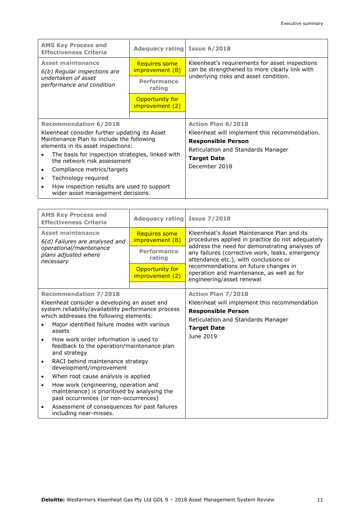| <b>AMS Key Process and</b><br><b>Effectiveness Criteria</b>                     | Adequacy rating Issue 6/2018            |                                                                                                 |
|---------------------------------------------------------------------------------|-----------------------------------------|-------------------------------------------------------------------------------------------------|
| <b>Asset maintenance</b><br>6(b) Regular inspections are                        | <b>Requires some</b><br>improvement (B) | Kleenheat's requirements for asset inspections<br>can be strengthened to more clearly link with |
| undertaken of asset<br>performance and condition                                | <b>Performance</b><br>rating            | underlying risks and asset condition.                                                           |
|                                                                                 | Opportunity for<br>improvement (2)      |                                                                                                 |
|                                                                                 |                                         |                                                                                                 |
| <b>Recommendation 6/2018</b>                                                    |                                         | <b>Action Plan 6/2018</b>                                                                       |
| Kleenheat consider further updating its Asset                                   |                                         | Kleenheat will implement this recommendation.                                                   |
| Maintenance Plan to include the following                                       |                                         | <b>Responsible Person</b>                                                                       |
| elements in its asset inspections:                                              |                                         | Reticulation and Standards Manager                                                              |
| The basis for inspection strategies, linked with                                |                                         | <b>Target Date</b>                                                                              |
| the network risk assessment                                                     |                                         | December 2018                                                                                   |
| Compliance metrics/targets                                                      |                                         |                                                                                                 |
| Technology required<br>$\bullet$                                                |                                         |                                                                                                 |
| How inspection results are used to support<br>wider asset management decisions. |                                         |                                                                                                 |

|                                                                                                                                                                                                                                                                                                                                          | <b>AMS Key Process and</b><br><b>Effectiveness Criteria</b>                                                                   | Adequacy rating Issue 7/2018            |                                                                                                                                                                                                                                                                                                                                                                |  |
|------------------------------------------------------------------------------------------------------------------------------------------------------------------------------------------------------------------------------------------------------------------------------------------------------------------------------------------|-------------------------------------------------------------------------------------------------------------------------------|-----------------------------------------|----------------------------------------------------------------------------------------------------------------------------------------------------------------------------------------------------------------------------------------------------------------------------------------------------------------------------------------------------------------|--|
| <b>Asset maintenance</b><br>6(d) Failures are analysed and<br>operational/maintenance<br>plans adjusted where<br>necessary                                                                                                                                                                                                               |                                                                                                                               | <b>Requires some</b><br>improvement (B) | Kleenheat's Asset Maintenance Plan and its<br>procedures applied in practice do not adequately<br>address the need for demonstrating analyses of<br>any failures (corrective work, leaks, emergency<br>attendance etc.), with conclusions or<br>recommendations on future changes in<br>operation and maintenance, as well as for<br>engineering/asset renewal |  |
|                                                                                                                                                                                                                                                                                                                                          |                                                                                                                               | <b>Performance</b><br>rating            |                                                                                                                                                                                                                                                                                                                                                                |  |
|                                                                                                                                                                                                                                                                                                                                          |                                                                                                                               | Opportunity for<br>improvement (2)      |                                                                                                                                                                                                                                                                                                                                                                |  |
|                                                                                                                                                                                                                                                                                                                                          | <b>Recommendation 7/2018</b>                                                                                                  |                                         | <b>Action Plan 7/2018</b>                                                                                                                                                                                                                                                                                                                                      |  |
| Kleenheat consider a developing an asset and<br>system reliability/availability performance process<br>which addresses the following elements:<br>Major identified failure modes with various<br>$\bullet$<br>assets<br>How work order information is used to<br>$\bullet$<br>feedback to the operation/maintenance plan<br>and strategy |                                                                                                                               |                                         | Kleenheat will implement this recommendation<br><b>Responsible Person</b><br>Reticulation and Standards Manager<br><b>Target Date</b><br>June 2019                                                                                                                                                                                                             |  |
| $\bullet$                                                                                                                                                                                                                                                                                                                                | RACI behind maintenance strategy<br>development/improvement                                                                   |                                         |                                                                                                                                                                                                                                                                                                                                                                |  |
| $\bullet$                                                                                                                                                                                                                                                                                                                                | When root cause analysis is applied                                                                                           |                                         |                                                                                                                                                                                                                                                                                                                                                                |  |
| $\bullet$                                                                                                                                                                                                                                                                                                                                | How work (engineering, operation and<br>maintenance) is prioritised by analysing the<br>past occurrences (or non-occurrences) |                                         |                                                                                                                                                                                                                                                                                                                                                                |  |
| Assessment of consequences for past failures<br>$\bullet$<br>including near-misses.                                                                                                                                                                                                                                                      |                                                                                                                               |                                         |                                                                                                                                                                                                                                                                                                                                                                |  |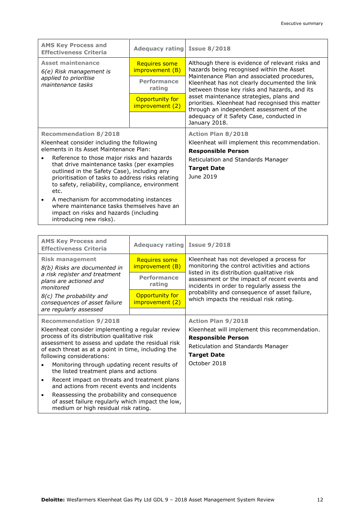| <b>AMS Key Process and</b><br><b>Effectiveness Criteria</b>                                                                                                             | Adequacy rating Issue 8/2018            |                                                                                                                                                                                                                                                                                                                                                                                          |
|-------------------------------------------------------------------------------------------------------------------------------------------------------------------------|-----------------------------------------|------------------------------------------------------------------------------------------------------------------------------------------------------------------------------------------------------------------------------------------------------------------------------------------------------------------------------------------------------------------------------------------|
| <b>Asset maintenance</b><br>6(e) Risk management is                                                                                                                     | <b>Requires some</b><br>improvement (B) | Although there is evidence of relevant risks and<br>hazards being recognised within the Asset<br>Maintenance Plan and associated procedures,<br>Kleenheat has not clearly documented the link<br>between those key risks and hazards, and its<br>asset maintenance strategies, plans and<br>priorities. Kleenheat had recognised this matter<br>through an independent assessment of the |
| applied to prioritise<br>maintenance tasks                                                                                                                              | <b>Performance</b><br>rating            |                                                                                                                                                                                                                                                                                                                                                                                          |
|                                                                                                                                                                         | Opportunity for<br>improvement (2)      |                                                                                                                                                                                                                                                                                                                                                                                          |
|                                                                                                                                                                         |                                         | adequacy of it Safety Case, conducted in<br>January 2018.                                                                                                                                                                                                                                                                                                                                |
| <b>Recommendation 8/2018</b>                                                                                                                                            |                                         | <b>Action Plan 8/2018</b>                                                                                                                                                                                                                                                                                                                                                                |
| Kleenheat consider including the following<br>elements in its Asset Maintenance Plan:                                                                                   |                                         | Kleenheat will implement this recommendation.<br><b>Responsible Person</b>                                                                                                                                                                                                                                                                                                               |
| Reference to those major risks and hazards                                                                                                                              |                                         | Reticulation and Standards Manager                                                                                                                                                                                                                                                                                                                                                       |
| that drive maintenance tasks (per examples<br>outlined in the Safety Case), including any                                                                               |                                         | <b>Target Date</b>                                                                                                                                                                                                                                                                                                                                                                       |
| prioritisation of tasks to address risks relating<br>to safety, reliability, compliance, environment<br>etc.                                                            |                                         | June 2019                                                                                                                                                                                                                                                                                                                                                                                |
| A mechanism for accommodating instances<br>$\bullet$<br>where maintenance tasks themselves have an<br>impact on risks and hazards (including<br>introducing new risks). |                                         |                                                                                                                                                                                                                                                                                                                                                                                          |

| <b>AMS Key Process and</b><br><b>Effectiveness Criteria</b>                                                                                          | Adequacy rating Issue 9/2018            |                                                                                                                                            |
|------------------------------------------------------------------------------------------------------------------------------------------------------|-----------------------------------------|--------------------------------------------------------------------------------------------------------------------------------------------|
| <b>Risk management</b><br>8(b) Risks are documented in                                                                                               | <b>Requires some</b><br>improvement (B) | Kleenheat has not developed a process for<br>monitoring the control activities and actions                                                 |
| a risk register and treatment<br>plans are actioned and<br>monitored                                                                                 | <b>Performance</b><br>rating            | listed in its distribution qualitative risk<br>assessment or the impact of recent events and<br>incidents in order to regularly assess the |
| 8(c) The probability and<br>consequences of asset failure                                                                                            | Opportunity for<br>improvement (2)      | probability and consequence of asset failure,<br>which impacts the residual risk rating.                                                   |
| are regularly assessed                                                                                                                               |                                         |                                                                                                                                            |
| <b>Recommendation 9/2018</b>                                                                                                                         |                                         | <b>Action Plan 9/2018</b>                                                                                                                  |
| Kleenheat consider implementing a regular review                                                                                                     |                                         | Kleenheat will implement this recommendation.                                                                                              |
| process of its distribution qualitative risk                                                                                                         |                                         | <b>Responsible Person</b>                                                                                                                  |
| assessment to assess and update the residual risk                                                                                                    |                                         | Reticulation and Standards Manager                                                                                                         |
| of each threat as at a point in time, including the<br>following considerations:                                                                     |                                         | <b>Target Date</b>                                                                                                                         |
| Monitoring through updating recent results of<br>the listed treatment plans and actions                                                              |                                         | October 2018                                                                                                                               |
| Recent impact on threats and treatment plans<br>$\bullet$<br>and actions from recent events and incidents                                            |                                         |                                                                                                                                            |
| Reassessing the probability and consequence<br>$\bullet$<br>of asset failure regularly which impact the low,<br>medium or high residual risk rating. |                                         |                                                                                                                                            |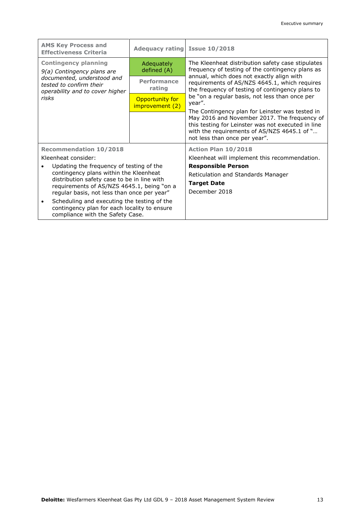| <b>AMS Key Process and</b><br><b>Effectiveness Criteria</b>                                                                                                                                                                    | Adequacy rating Issue 10/2018      |                                                                                                                                                                                                                                                         |
|--------------------------------------------------------------------------------------------------------------------------------------------------------------------------------------------------------------------------------|------------------------------------|---------------------------------------------------------------------------------------------------------------------------------------------------------------------------------------------------------------------------------------------------------|
| <b>Contingency planning</b><br>9(a) Contingency plans are                                                                                                                                                                      | Adequately<br>defined (A)          | The Kleenheat distribution safety case stipulates<br>frequency of testing of the contingency plans as<br>annual, which does not exactly align with<br>requirements of AS/NZS 4645.1, which requires<br>the frequency of testing of contingency plans to |
| documented, understood and<br>tested to confirm their<br>operability and to cover higher                                                                                                                                       | <b>Performance</b><br>rating       |                                                                                                                                                                                                                                                         |
| risks                                                                                                                                                                                                                          | Opportunity for<br>improvement (2) | be "on a regular basis, not less than once per<br>year".                                                                                                                                                                                                |
|                                                                                                                                                                                                                                |                                    | The Contingency plan for Leinster was tested in<br>May 2016 and November 2017. The frequency of<br>this testing for Leinster was not executed in line<br>with the requirements of AS/NZS 4645.1 of "<br>not less than once per year".                   |
| <b>Recommendation 10/2018</b><br>Kleenheat consider:                                                                                                                                                                           |                                    | Action Plan 10/2018<br>Kleenheat will implement this recommendation.                                                                                                                                                                                    |
| Updating the frequency of testing of the<br>contingency plans within the Kleenheat<br>distribution safety case to be in line with<br>requirements of AS/NZS 4645.1, being "on a<br>regular basis, not less than once per year" |                                    | <b>Responsible Person</b><br>Reticulation and Standards Manager<br><b>Target Date</b><br>December 2018                                                                                                                                                  |
| Scheduling and executing the testing of the<br>$\bullet$<br>contingency plan for each locality to ensure<br>compliance with the Safety Case.                                                                                   |                                    |                                                                                                                                                                                                                                                         |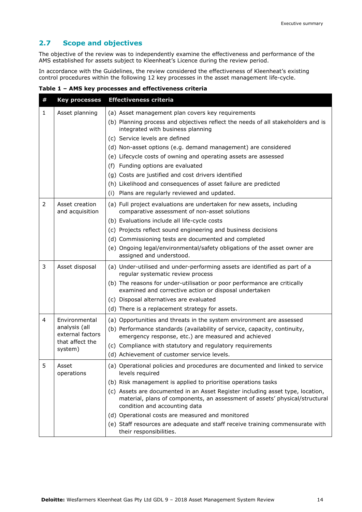#### **2.7 Scope and objectives**

The objective of the review was to independently examine the effectiveness and performance of the AMS established for assets subject to Kleenheat's Licence during the review period.

In accordance with the Guidelines, the review considered the effectiveness of Kleenheat's existing control procedures within the following 12 key processes in the asset management life-cycle.

**Table 1 – AMS key processes and effectiveness criteria**

| # | <b>Key processes</b>              | <b>Effectiveness criteria</b>                                                                                                                                                                  |
|---|-----------------------------------|------------------------------------------------------------------------------------------------------------------------------------------------------------------------------------------------|
| 1 | Asset planning                    | (a) Asset management plan covers key requirements                                                                                                                                              |
|   |                                   | (b) Planning process and objectives reflect the needs of all stakeholders and is<br>integrated with business planning                                                                          |
|   |                                   | (c) Service levels are defined                                                                                                                                                                 |
|   |                                   | (d) Non-asset options (e.g. demand management) are considered                                                                                                                                  |
|   |                                   | (e) Lifecycle costs of owning and operating assets are assessed                                                                                                                                |
|   |                                   | (f) Funding options are evaluated                                                                                                                                                              |
|   |                                   | (g) Costs are justified and cost drivers identified                                                                                                                                            |
|   |                                   | (h) Likelihood and consequences of asset failure are predicted                                                                                                                                 |
|   |                                   | (i) Plans are regularly reviewed and updated.                                                                                                                                                  |
| 2 | Asset creation<br>and acquisition | (a) Full project evaluations are undertaken for new assets, including<br>comparative assessment of non-asset solutions                                                                         |
|   |                                   | (b) Evaluations include all life-cycle costs                                                                                                                                                   |
|   |                                   | (c) Projects reflect sound engineering and business decisions                                                                                                                                  |
|   |                                   | (d) Commissioning tests are documented and completed                                                                                                                                           |
|   |                                   | (e) Ongoing legal/environmental/safety obligations of the asset owner are<br>assigned and understood.                                                                                          |
| 3 | Asset disposal                    | (a) Under-utilised and under-performing assets are identified as part of a<br>regular systematic review process                                                                                |
|   |                                   | (b) The reasons for under-utilisation or poor performance are critically<br>examined and corrective action or disposal undertaken                                                              |
|   |                                   | (c) Disposal alternatives are evaluated                                                                                                                                                        |
|   |                                   | (d) There is a replacement strategy for assets.                                                                                                                                                |
| 4 | Environmental                     | (a) Opportunities and threats in the system environment are assessed                                                                                                                           |
|   | analysis (all<br>external factors | (b) Performance standards (availability of service, capacity, continuity,<br>emergency response, etc.) are measured and achieved                                                               |
|   | that affect the                   | (c) Compliance with statutory and regulatory requirements                                                                                                                                      |
|   | system)                           | (d) Achievement of customer service levels.                                                                                                                                                    |
| 5 | Asset<br>operations               | (a) Operational policies and procedures are documented and linked to service<br>levels required                                                                                                |
|   |                                   | (b) Risk management is applied to prioritise operations tasks                                                                                                                                  |
|   |                                   | (c) Assets are documented in an Asset Register including asset type, location,<br>material, plans of components, an assessment of assets' physical/structural<br>condition and accounting data |
|   |                                   | (d) Operational costs are measured and monitored                                                                                                                                               |
|   |                                   | (e) Staff resources are adequate and staff receive training commensurate with<br>their responsibilities.                                                                                       |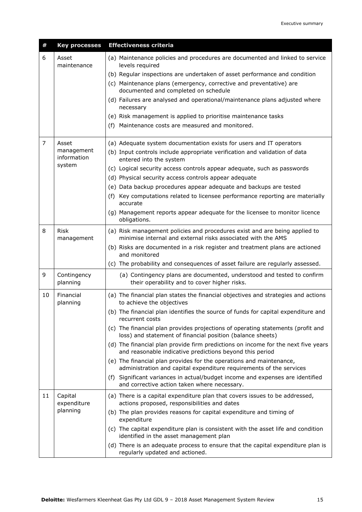| #              | <b>Key processes</b>      | <b>Effectiveness criteria</b>                                                                                                                 |
|----------------|---------------------------|-----------------------------------------------------------------------------------------------------------------------------------------------|
| 6              | Asset<br>maintenance      | (a) Maintenance policies and procedures are documented and linked to service<br>levels required                                               |
|                |                           | (b) Regular inspections are undertaken of asset performance and condition                                                                     |
|                |                           | (c) Maintenance plans (emergency, corrective and preventative) are<br>documented and completed on schedule                                    |
|                |                           | (d) Failures are analysed and operational/maintenance plans adjusted where<br>necessary                                                       |
|                |                           | (e) Risk management is applied to prioritise maintenance tasks                                                                                |
|                |                           | (f) Maintenance costs are measured and monitored.                                                                                             |
| $\overline{7}$ | Asset                     | (a) Adequate system documentation exists for users and IT operators                                                                           |
|                | management<br>information | (b) Input controls include appropriate verification and validation of data<br>entered into the system                                         |
|                | system                    | (c) Logical security access controls appear adequate, such as passwords                                                                       |
|                |                           | (d) Physical security access controls appear adequate                                                                                         |
|                |                           | (e) Data backup procedures appear adequate and backups are tested                                                                             |
|                |                           | (f) Key computations related to licensee performance reporting are materially<br>accurate                                                     |
|                |                           | (g) Management reports appear adequate for the licensee to monitor licence<br>obligations.                                                    |
| 8              | <b>Risk</b><br>management | (a) Risk management policies and procedures exist and are being applied to<br>minimise internal and external risks associated with the AMS    |
|                |                           | (b) Risks are documented in a risk register and treatment plans are actioned<br>and monitored                                                 |
|                |                           | (c) The probability and consequences of asset failure are regularly assessed.                                                                 |
| 9              | Contingency<br>planning   | (a) Contingency plans are documented, understood and tested to confirm<br>their operability and to cover higher risks.                        |
| 10             | Financial<br>planning     | (a) The financial plan states the financial objectives and strategies and actions<br>to achieve the objectives                                |
|                |                           | (b) The financial plan identifies the source of funds for capital expenditure and<br>recurrent costs                                          |
|                |                           | (c) The financial plan provides projections of operating statements (profit and<br>loss) and statement of financial position (balance sheets) |
|                |                           | (d) The financial plan provide firm predictions on income for the next five years<br>and reasonable indicative predictions beyond this period |
|                |                           | (e) The financial plan provides for the operations and maintenance,<br>administration and capital expenditure requirements of the services    |
|                |                           | (f) Significant variances in actual/budget income and expenses are identified<br>and corrective action taken where necessary.                 |
| 11             | Capital<br>expenditure    | (a) There is a capital expenditure plan that covers issues to be addressed,<br>actions proposed, responsibilities and dates                   |
|                | planning                  | (b) The plan provides reasons for capital expenditure and timing of<br>expenditure                                                            |
|                |                           | (c) The capital expenditure plan is consistent with the asset life and condition<br>identified in the asset management plan                   |
|                |                           | (d) There is an adequate process to ensure that the capital expenditure plan is<br>regularly updated and actioned.                            |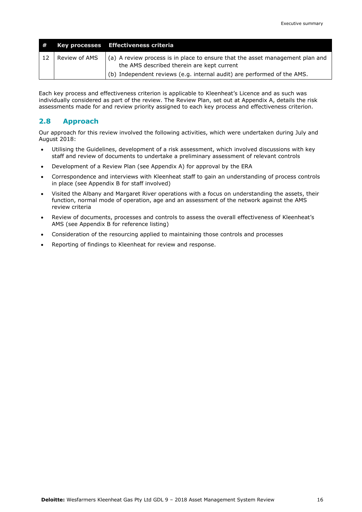| #    |               | Key processes Effectiveness criteria                                                                                        |
|------|---------------|-----------------------------------------------------------------------------------------------------------------------------|
| - 12 | Review of AMS | (a) A review process is in place to ensure that the asset management plan and<br>the AMS described therein are kept current |
|      |               | (b) Independent reviews (e.g. internal audit) are performed of the AMS.                                                     |

Each key process and effectiveness criterion is applicable to Kleenheat's Licence and as such was individually considered as part of the review. The Review Plan, set out at Appendix A, details the risk assessments made for and review priority assigned to each key process and effectiveness criterion.

#### **2.8 Approach**

Our approach for this review involved the following activities, which were undertaken during July and August 2018:

- Utilising the Guidelines, development of a risk assessment, which involved discussions with key staff and review of documents to undertake a preliminary assessment of relevant controls
- Development of a Review Plan (see Appendix A) for approval by the ERA
- Correspondence and interviews with Kleenheat staff to gain an understanding of process controls in place (see Appendix B for staff involved)
- Visited the Albany and Margaret River operations with a focus on understanding the assets, their function, normal mode of operation, age and an assessment of the network against the AMS review criteria
- Review of documents, processes and controls to assess the overall effectiveness of Kleenheat's AMS (see Appendix B for reference listing)
- Consideration of the resourcing applied to maintaining those controls and processes
- Reporting of findings to Kleenheat for review and response.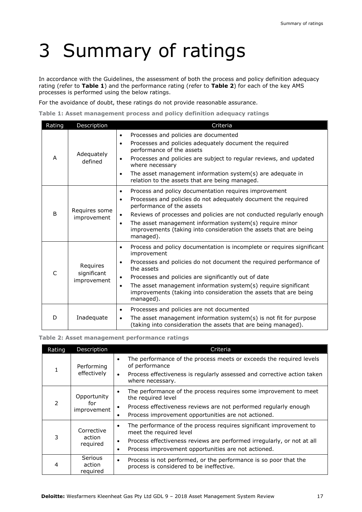## 3 Summary of ratings

In accordance with the Guidelines, the assessment of both the process and policy definition adequacy rating (refer to **Table 1**) and the performance rating (refer to **Table 2**) for each of the key AMS processes is performed using the below ratings.

For the avoidance of doubt, these ratings do not provide reasonable assurance.

**Table 1: Asset management process and policy definition adequacy ratings**

| Rating       | Description                            | Criteria                                                                                                                                                                                                                                                                                                                                                                                                        |
|--------------|----------------------------------------|-----------------------------------------------------------------------------------------------------------------------------------------------------------------------------------------------------------------------------------------------------------------------------------------------------------------------------------------------------------------------------------------------------------------|
| A            | Adequately<br>defined                  | Processes and policies are documented<br>$\bullet$<br>Processes and policies adequately document the required<br>$\bullet$<br>performance of the assets<br>Processes and policies are subject to regular reviews, and updated<br>where necessary<br>The asset management information system(s) are adequate in<br>$\bullet$<br>relation to the assets that are being managed.                                   |
| <sub>B</sub> | Requires some<br>improvement           | Process and policy documentation requires improvement<br>$\bullet$<br>Processes and policies do not adequately document the required<br>$\bullet$<br>performance of the assets<br>Reviews of processes and policies are not conducted regularly enough<br>The asset management information system(s) require minor<br>٠<br>improvements (taking into consideration the assets that are being<br>managed).       |
| $\mathsf{C}$ | Requires<br>significant<br>improvement | Process and policy documentation is incomplete or requires significant<br>$\bullet$<br>improvement<br>Processes and policies do not document the required performance of<br>the assets<br>Processes and policies are significantly out of date<br>The asset management information system(s) require significant<br>$\bullet$<br>improvements (taking into consideration the assets that are being<br>managed). |
| D            | Inadequate                             | Processes and policies are not documented<br>$\bullet$<br>The asset management information system(s) is not fit for purpose<br>$\bullet$<br>(taking into consideration the assets that are being managed).                                                                                                                                                                                                      |

#### **Table 2: Asset management performance ratings**

| Rating | <b>Description</b>               | Criteria                                                                                                                  |
|--------|----------------------------------|---------------------------------------------------------------------------------------------------------------------------|
|        | Performing<br>effectively        | The performance of the process meets or exceeds the required levels<br>of performance                                     |
|        |                                  | Process effectiveness is regularly assessed and corrective action taken<br>$\bullet$<br>where necessary.                  |
|        | Opportunity                      | The performance of the process requires some improvement to meet<br>the required level                                    |
| 2      | for<br>improvement               | Process effectiveness reviews are not performed regularly enough                                                          |
|        |                                  | Process improvement opportunities are not actioned.<br>٠                                                                  |
|        | Corrective<br>action<br>required | The performance of the process requires significant improvement to<br>٠<br>meet the required level                        |
| 3      |                                  | Process effectiveness reviews are performed irregularly, or not at all<br>٠                                               |
|        |                                  | Process improvement opportunities are not actioned.<br>٠                                                                  |
| 4      | Serious<br>action<br>required    | Process is not performed, or the performance is so poor that the<br>$\bullet$<br>process is considered to be ineffective. |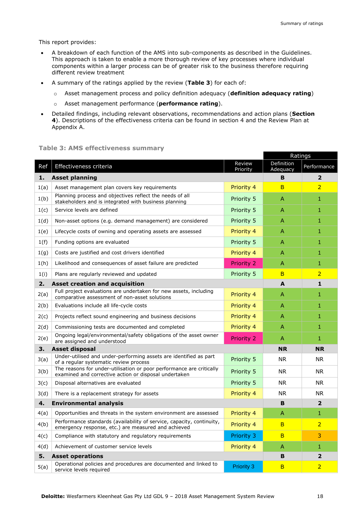This report provides:

- A breakdown of each function of the AMS into sub-components as described in the Guidelines. This approach is taken to enable a more thorough review of key processes where individual components within a larger process can be of greater risk to the business therefore requiring different review treatment
- A summary of the ratings applied by the review (**Table 3**) for each of:
	- o Asset management process and policy definition adequacy (**definition adequacy rating**)
	- o Asset management performance (**performance rating**).
- Detailed findings, including relevant observations, recommendations and action plans (**Section 4**). Descriptions of the effectiveness criteria can be found in section 4 and the Review Plan at Appendix A.

#### **Table 3: AMS effectiveness summary**

|      |                                                                                                                               |                    | Ratings                |                         |
|------|-------------------------------------------------------------------------------------------------------------------------------|--------------------|------------------------|-------------------------|
| Ref  | Effectiveness criteria                                                                                                        | Review<br>Priority | Definition<br>Adequacy | Performance             |
| 1.   | <b>Asset planning</b>                                                                                                         |                    | B                      | $\overline{\mathbf{2}}$ |
| 1(a) | Asset management plan covers key requirements                                                                                 | Priority 4         | B                      | $\overline{2}$          |
| 1(b) | Planning process and objectives reflect the needs of all<br>stakeholders and is integrated with business planning             | Priority 5         | A                      | 1                       |
| 1(c) | Service levels are defined                                                                                                    | Priority 5         | A                      | 1                       |
| 1(d) | Non-asset options (e.g. demand management) are considered                                                                     | Priority 5         | A                      | 1                       |
| 1(e) | Lifecycle costs of owning and operating assets are assessed                                                                   | Priority 4         | A                      | 1                       |
| 1(f) | Funding options are evaluated                                                                                                 | Priority 5         | A                      | 1                       |
| 1(g) | Costs are justified and cost drivers identified                                                                               | Priority 4         | A                      | 1                       |
| 1(h) | Likelihood and consequences of asset failure are predicted                                                                    | <b>Priority 2</b>  | A                      | 1                       |
| 1(i) | Plans are regularly reviewed and updated                                                                                      | Priority 5         | B                      | $\overline{2}$          |
| 2.   | <b>Asset creation and acquisition</b>                                                                                         |                    | A                      | $\mathbf{1}$            |
| 2(a) | Full project evaluations are undertaken for new assets, including<br>comparative assessment of non-asset solutions            | Priority 4         | A                      | 1                       |
| 2(b) | Evaluations include all life-cycle costs                                                                                      | Priority 4         | A                      | 1                       |
| 2(c) | Projects reflect sound engineering and business decisions                                                                     | Priority 4         | A                      | 1                       |
| 2(d) | Commissioning tests are documented and completed                                                                              | Priority 4         | A                      | 1                       |
| 2(e) | Ongoing legal/environmental/safety obligations of the asset owner<br>are assigned and understood                              | <b>Priority 2</b>  | A                      | 1                       |
| 3.   | <b>Asset disposal</b>                                                                                                         |                    | <b>NR</b>              | <b>NR</b>               |
| 3(a) | Under-utilised and under-performing assets are identified as part<br>of a regular systematic review process                   | Priority 5         | <b>NR</b>              | <b>NR</b>               |
| 3(b) | The reasons for under-utilisation or poor performance are critically<br>examined and corrective action or disposal undertaken | Priority 5         | <b>NR</b>              | <b>NR</b>               |
| 3(c) | Disposal alternatives are evaluated                                                                                           | Priority 5         | <b>NR</b>              | <b>NR</b>               |
| 3(d) | There is a replacement strategy for assets                                                                                    | Priority 4         | <b>NR</b>              | <b>NR</b>               |
| 4.   | <b>Environmental analysis</b>                                                                                                 |                    | B                      | $\overline{2}$          |
| 4(a) | Opportunities and threats in the system environment are assessed                                                              | Priority 4         | A                      | 1                       |
| 4(b) | Performance standards (availability of service, capacity, continuity,<br>emergency response, etc.) are measured and achieved  | Priority 4         | в                      | $\overline{2}$          |
| 4(c) | Compliance with statutory and regulatory requirements                                                                         | Priority 3         | B                      | 3                       |
| 4(d) | Achievement of customer service levels                                                                                        | Priority 4         | A                      | 1                       |
| 5.   | <b>Asset operations</b>                                                                                                       |                    |                        | $\overline{\mathbf{2}}$ |
| 5(a) | Operational policies and procedures are documented and linked to<br>service levels required                                   | <b>Priority 3</b>  | B                      | $\overline{2}$          |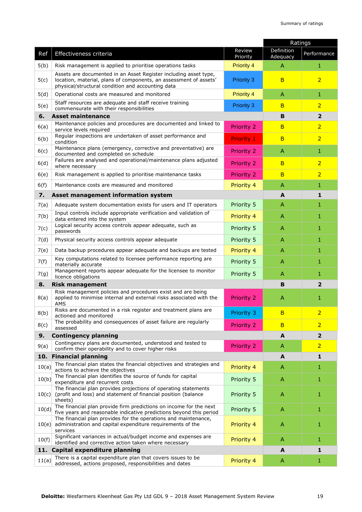|            |                                                                                                                                                                                            |                       | Ratings                |                |
|------------|--------------------------------------------------------------------------------------------------------------------------------------------------------------------------------------------|-----------------------|------------------------|----------------|
| Ref        | Effectiveness criteria                                                                                                                                                                     | Review<br>Priority    | Definition<br>Adequacy | Performance    |
| 5(b)       | Risk management is applied to prioritise operations tasks                                                                                                                                  | <b>Priority 4</b>     | A                      | 1              |
| 5(c)       | Assets are documented in an Asset Register including asset type,<br>location, material, plans of components, an assessment of assets'<br>physical/structural condition and accounting data | <b>Priority 3</b>     | B                      | $\overline{2}$ |
| 5(d)       | Operational costs are measured and monitored                                                                                                                                               | <b>Priority 4</b>     | A                      | $\mathbf{1}$   |
| 5(e)       | Staff resources are adequate and staff receive training<br>commensurate with their responsibilities                                                                                        | <b>Priority 3</b>     | B                      | $\overline{2}$ |
| 6.         | <b>Asset maintenance</b>                                                                                                                                                                   |                       | B                      | $\overline{2}$ |
| 6(a)       | Maintenance policies and procedures are documented and linked to<br>service levels required                                                                                                | Priority 2            | B                      | $\overline{2}$ |
| 6(b)       | Regular inspections are undertaken of asset performance and<br>condition                                                                                                                   | Priority 1            | B                      | $\overline{2}$ |
| 6(c)       | Maintenance plans (emergency, corrective and preventative) are<br>documented and completed on schedule                                                                                     | <b>Priority 2</b>     | A                      | 1              |
| 6(d)       | Failures are analysed and operational/maintenance plans adjusted<br>where necessary                                                                                                        | Priority 2            | B                      | $\overline{2}$ |
| 6(e)       | Risk management is applied to prioritise maintenance tasks                                                                                                                                 | Priority <sub>2</sub> | B                      | $\overline{2}$ |
| 6(f)       | Maintenance costs are measured and monitored                                                                                                                                               | Priority 4            | A                      | 1              |
| 7.         | Asset management information system                                                                                                                                                        |                       | A                      | 1              |
| 7(a)       | Adequate system documentation exists for users and IT operators                                                                                                                            | Priority 5            | A                      | 1              |
| 7(b)       | Input controls include appropriate verification and validation of<br>data entered into the system                                                                                          | Priority 4            | $\mathsf{A}$           | $\mathbf{1}$   |
| 7(c)       | Logical security access controls appear adequate, such as<br>passwords                                                                                                                     | Priority 5            | A                      | 1              |
| 7(d)       | Physical security access controls appear adequate                                                                                                                                          | Priority 5            | A                      | 1              |
| 7(e)       | Data backup procedures appear adequate and backups are tested                                                                                                                              | Priority 4            | A                      | 1              |
| 7(f)       | Key computations related to licensee performance reporting are<br>materially accurate                                                                                                      | Priority 5            | A                      | 1              |
| 7(g)       | Management reports appear adequate for the licensee to monitor<br>licence obligations                                                                                                      | Priority 5            | A                      | 1              |
| 8.         | <b>Risk management</b>                                                                                                                                                                     |                       | B                      | 2              |
| 8(a)       | Risk management policies and procedures exist and are being<br>applied to minimise internal and external risks associated with the<br><b>AMS</b>                                           | <b>Priority 2</b>     | A                      | 1              |
| 8(b)       | Risks are documented in a risk register and treatment plans are<br>actioned and monitored                                                                                                  | Priority 3            | B                      | $\overline{2}$ |
| 8(c)       | The probability and consequences of asset failure are regularly<br>assessed                                                                                                                | <b>Priority 2</b>     | B                      | $\overline{2}$ |
| 9.         | <b>Contingency planning</b>                                                                                                                                                                |                       | A                      | $\overline{2}$ |
| 9(a)       | Contingency plans are documented, understood and tested to<br>confirm their operability and to cover higher risks                                                                          | <b>Priority 2</b>     | A                      | $\overline{2}$ |
| 10.        | <b>Financial planning</b>                                                                                                                                                                  |                       | A                      | $\mathbf{1}$   |
| 10(a)      | The financial plan states the financial objectives and strategies and<br>actions to achieve the objectives                                                                                 | Priority 4            | A                      | 1              |
| 10(b)      | The financial plan identifies the source of funds for capital<br>expenditure and recurrent costs                                                                                           | Priority 5            | A                      | 1              |
| 10(c)      | The financial plan provides projections of operating statements<br>(profit and loss) and statement of financial position (balance<br>sheets)                                               | Priority 5            | $\mathsf{A}$           | 1              |
| 10(d)      | The financial plan provide firm predictions on income for the next<br>five years and reasonable indicative predictions beyond this period                                                  | Priority 5            | $\mathsf{A}$           | 1              |
|            | The financial plan provides for the operations and maintenance,<br>$10(e)$ administration and capital expenditure requirements of the<br>services                                          | Priority 4            | A                      | 1              |
| 10(f)      | Significant variances in actual/budget income and expenses are<br>identified and corrective action taken where necessary                                                                   | Priority 4            | A                      | $\mathbf{1}$   |
| <b>11.</b> | Capital expenditure planning                                                                                                                                                               |                       | A                      | $\mathbf{1}$   |
| 11(a)      | There is a capital expenditure plan that covers issues to be<br>addressed, actions proposed, responsibilities and dates                                                                    | Priority 4            | A                      | 1              |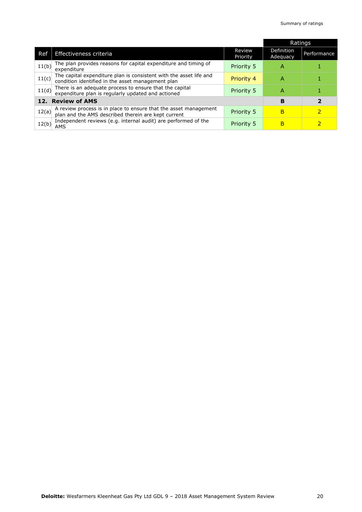|                             |                                                                                                                      |                           | <b>Ratings</b>         |                         |
|-----------------------------|----------------------------------------------------------------------------------------------------------------------|---------------------------|------------------------|-------------------------|
| Ref                         | Effectiveness criteria                                                                                               | <b>Review</b><br>Priority | Definition<br>Adeguacy | Performance             |
| 11(b)                       | The plan provides reasons for capital expenditure and timing of<br>expenditure                                       | <b>Priority 5</b>         | А                      |                         |
| 11(c)                       | The capital expenditure plan is consistent with the asset life and condition identified in the asset management plan | Priority 4                | А                      |                         |
| 11(d)                       | There is an adequate process to ensure that the capital<br>expenditure plan is regularly updated and actioned        | Priority 5                | Α                      |                         |
| <b>Review of AMS</b><br>12. |                                                                                                                      |                           | в                      | $\overline{\mathbf{2}}$ |
| 12(a)                       | A review process is in place to ensure that the asset management plan and the AMS described therein are kept current | <b>Priority 5</b>         | в                      | 2                       |
| 12(b)                       | Independent reviews (e.g. internal audit) are performed of the<br>AMS                                                | <b>Priority 5</b>         | в                      |                         |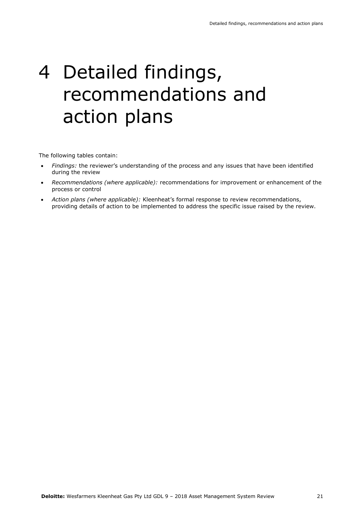### 4 Detailed findings, recommendations and action plans

The following tables contain:

- *Findings:* the reviewer's understanding of the process and any issues that have been identified during the review
- *Recommendations (where applicable):* recommendations for improvement or enhancement of the process or control
- *Action plans (where applicable):* Kleenheat's formal response to review recommendations, providing details of action to be implemented to address the specific issue raised by the review.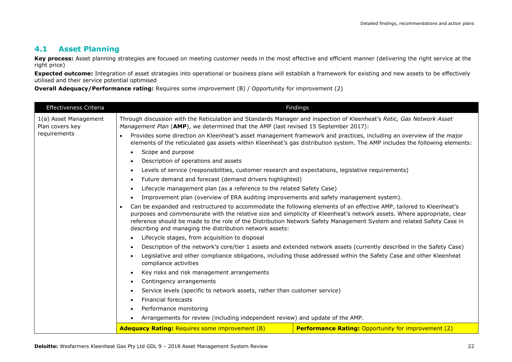#### **4.1 Asset Planning**

Key process: Asset planning strategies are focused on meeting customer needs in the most effective and efficient manner (delivering the right service at the right price)

**Expected outcome:** Integration of asset strategies into operational or business plans will establish a framework for existing and new assets to be effectively utilised and their service potential optimised

**Overall Adequacy/Performance rating:** Requires some improvement (B) / Opportunity for improvement (2)

| <b>Effectiveness Criteria</b>                                                              | Findings                                                                                                                                                                                                                                                                                                                                                                                                                                        |                                                                                                                                                                                                                                                    |  |
|--------------------------------------------------------------------------------------------|-------------------------------------------------------------------------------------------------------------------------------------------------------------------------------------------------------------------------------------------------------------------------------------------------------------------------------------------------------------------------------------------------------------------------------------------------|----------------------------------------------------------------------------------------------------------------------------------------------------------------------------------------------------------------------------------------------------|--|
| 1(a) Asset Management<br>Plan covers key                                                   | Through discussion with the Reticulation and Standards Manager and inspection of Kleenheat's Retic, Gas Network Asset<br>Management Plan (AMP), we determined that the AMP (last revised 15 September 2017):                                                                                                                                                                                                                                    |                                                                                                                                                                                                                                                    |  |
| requirements                                                                               |                                                                                                                                                                                                                                                                                                                                                                                                                                                 | Provides some direction on Kleenheat's asset management framework and practices, including an overview of the major<br>elements of the reticulated gas assets within Kleenheat's gas distribution system. The AMP includes the following elements: |  |
|                                                                                            | Scope and purpose<br>$\bullet$                                                                                                                                                                                                                                                                                                                                                                                                                  |                                                                                                                                                                                                                                                    |  |
|                                                                                            | Description of operations and assets<br>$\bullet$<br>Levels of service (responsibilities, customer research and expectations, legislative requirements)<br>$\bullet$                                                                                                                                                                                                                                                                            |                                                                                                                                                                                                                                                    |  |
|                                                                                            | Future demand and forecast (demand drivers highlighted)<br>$\bullet$                                                                                                                                                                                                                                                                                                                                                                            |                                                                                                                                                                                                                                                    |  |
|                                                                                            | Lifecycle management plan (as a reference to the related Safety Case)<br>$\bullet$                                                                                                                                                                                                                                                                                                                                                              |                                                                                                                                                                                                                                                    |  |
|                                                                                            | Improvement plan (overview of ERA auditing improvements and safety management system).<br>$\bullet$                                                                                                                                                                                                                                                                                                                                             |                                                                                                                                                                                                                                                    |  |
|                                                                                            | Can be expanded and restructured to accommodate the following elements of an effective AMP, tailored to Kleenheat's<br>$\bullet$<br>purposes and commensurate with the relative size and simplicity of Kleenheat's network assets. Where appropriate, clear<br>reference should be made to the role of the Distribution Network Safety Management System and related Safety Case in<br>describing and managing the distribution network assets: |                                                                                                                                                                                                                                                    |  |
| Lifecycle stages, from acquisition to disposal<br>$\bullet$                                |                                                                                                                                                                                                                                                                                                                                                                                                                                                 |                                                                                                                                                                                                                                                    |  |
|                                                                                            | Description of the network's core/tier 1 assets and extended network assets (currently described in the Safety Case)<br>$\bullet$                                                                                                                                                                                                                                                                                                               |                                                                                                                                                                                                                                                    |  |
|                                                                                            | Legislative and other compliance obligations, including those addressed within the Safety Case and other Kleenheat<br>$\bullet$<br>compliance activities                                                                                                                                                                                                                                                                                        |                                                                                                                                                                                                                                                    |  |
|                                                                                            | Key risks and risk management arrangements<br>$\bullet$                                                                                                                                                                                                                                                                                                                                                                                         |                                                                                                                                                                                                                                                    |  |
|                                                                                            | Contingency arrangements<br>$\bullet$                                                                                                                                                                                                                                                                                                                                                                                                           |                                                                                                                                                                                                                                                    |  |
|                                                                                            | Service levels (specific to network assets, rather than customer service)<br>$\bullet$                                                                                                                                                                                                                                                                                                                                                          |                                                                                                                                                                                                                                                    |  |
| Financial forecasts<br>$\bullet$                                                           |                                                                                                                                                                                                                                                                                                                                                                                                                                                 |                                                                                                                                                                                                                                                    |  |
|                                                                                            | Performance monitoring<br>$\bullet$                                                                                                                                                                                                                                                                                                                                                                                                             |                                                                                                                                                                                                                                                    |  |
| Arrangements for review (including independent review) and update of the AMP.<br>$\bullet$ |                                                                                                                                                                                                                                                                                                                                                                                                                                                 |                                                                                                                                                                                                                                                    |  |
|                                                                                            | <b>Adequacy Rating: Requires some improvement (B)</b><br><b>Performance Rating: Opportunity for improvement (2)</b>                                                                                                                                                                                                                                                                                                                             |                                                                                                                                                                                                                                                    |  |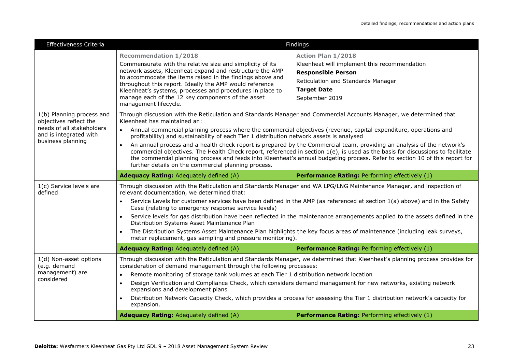| Effectiveness Criteria                              | <b>Findings</b>                                                                                                                                                                                                                                                                                                                                                                                                                                             |                                                                                                                              |  |
|-----------------------------------------------------|-------------------------------------------------------------------------------------------------------------------------------------------------------------------------------------------------------------------------------------------------------------------------------------------------------------------------------------------------------------------------------------------------------------------------------------------------------------|------------------------------------------------------------------------------------------------------------------------------|--|
|                                                     | <b>Recommendation 1/2018</b>                                                                                                                                                                                                                                                                                                                                                                                                                                | <b>Action Plan 1/2018</b>                                                                                                    |  |
|                                                     | Commensurate with the relative size and simplicity of its<br>network assets, Kleenheat expand and restructure the AMP<br>to accommodate the items raised in the findings above and<br>throughout this report. Ideally the AMP would reference                                                                                                                                                                                                               | Kleenheat will implement this recommendation                                                                                 |  |
|                                                     |                                                                                                                                                                                                                                                                                                                                                                                                                                                             | <b>Responsible Person</b>                                                                                                    |  |
|                                                     |                                                                                                                                                                                                                                                                                                                                                                                                                                                             | Reticulation and Standards Manager                                                                                           |  |
|                                                     | Kleenheat's systems, processes and procedures in place to                                                                                                                                                                                                                                                                                                                                                                                                   | <b>Target Date</b>                                                                                                           |  |
|                                                     | manage each of the 12 key components of the asset<br>management lifecycle.                                                                                                                                                                                                                                                                                                                                                                                  | September 2019                                                                                                               |  |
| 1(b) Planning process and<br>objectives reflect the | Through discussion with the Reticulation and Standards Manager and Commercial Accounts Manager, we determined that<br>Kleenheat has maintained an:                                                                                                                                                                                                                                                                                                          |                                                                                                                              |  |
| needs of all stakeholders<br>and is integrated with | $\bullet$<br>Annual commercial planning process where the commercial objectives (revenue, capital expenditure, operations and<br>profitability) and sustainability of each Tier 1 distribution network assets is analysed                                                                                                                                                                                                                                   |                                                                                                                              |  |
| business planning                                   | An annual process and a health check report is prepared by the Commercial team, providing an analysis of the network's<br>$\bullet$<br>commercial objectives. The Health Check report, referenced in section 1(e), is used as the basis for discussions to facilitate<br>the commercial planning process and feeds into Kleenheat's annual budgeting process. Refer to section 10 of this report for<br>further details on the commercial planning process. |                                                                                                                              |  |
|                                                     | Adequacy Rating: Adequately defined (A)                                                                                                                                                                                                                                                                                                                                                                                                                     | Performance Rating: Performing effectively (1)                                                                               |  |
|                                                     |                                                                                                                                                                                                                                                                                                                                                                                                                                                             |                                                                                                                              |  |
| 1(c) Service levels are<br>defined                  | Through discussion with the Reticulation and Standards Manager and WA LPG/LNG Maintenance Manager, and inspection of<br>relevant documentation, we determined that:                                                                                                                                                                                                                                                                                         |                                                                                                                              |  |
|                                                     | $\bullet$<br>Case (relating to emergency response service levels)                                                                                                                                                                                                                                                                                                                                                                                           | Service Levels for customer services have been defined in the AMP (as referenced at section 1(a) above) and in the Safety    |  |
|                                                     | Distribution Systems Asset Maintenance Plan                                                                                                                                                                                                                                                                                                                                                                                                                 | Service levels for gas distribution have been reflected in the maintenance arrangements applied to the assets defined in the |  |
|                                                     | meter replacement, gas sampling and pressure monitoring).                                                                                                                                                                                                                                                                                                                                                                                                   | The Distribution Systems Asset Maintenance Plan highlights the key focus areas of maintenance (including leak surveys,       |  |
|                                                     | Adequacy Rating: Adequately defined (A)                                                                                                                                                                                                                                                                                                                                                                                                                     | Performance Rating: Performing effectively (1)                                                                               |  |
| 1(d) Non-asset options                              |                                                                                                                                                                                                                                                                                                                                                                                                                                                             | Through discussion with the Reticulation and Standards Manager, we determined that Kleenheat's planning process provides for |  |
| (e.g. demand<br>management) are                     | consideration of demand management through the following processes:                                                                                                                                                                                                                                                                                                                                                                                         |                                                                                                                              |  |
| considered                                          | Remote monitoring of storage tank volumes at each Tier 1 distribution network location<br>$\bullet$<br>$\bullet$                                                                                                                                                                                                                                                                                                                                            |                                                                                                                              |  |
|                                                     | expansions and development plans                                                                                                                                                                                                                                                                                                                                                                                                                            | Design Verification and Compliance Check, which considers demand management for new networks, existing network               |  |
|                                                     | $\bullet$<br>expansion.                                                                                                                                                                                                                                                                                                                                                                                                                                     | Distribution Network Capacity Check, which provides a process for assessing the Tier 1 distribution network's capacity for   |  |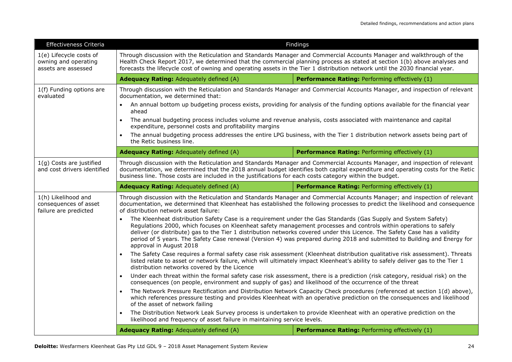| Effectiveness Criteria                                                 | Findings                                                                                                                                                                                                                                                                                                                                                                                                                                                                                                                                                                                                                                                                                                                                                                                                                                                                                                                                                                                                                                                                                                                                                                                                                                                                                                                                                                                                                                                                                                                                                                                                                                                                                                                                                                                                                                                                                                  |                                                |  |  |
|------------------------------------------------------------------------|-----------------------------------------------------------------------------------------------------------------------------------------------------------------------------------------------------------------------------------------------------------------------------------------------------------------------------------------------------------------------------------------------------------------------------------------------------------------------------------------------------------------------------------------------------------------------------------------------------------------------------------------------------------------------------------------------------------------------------------------------------------------------------------------------------------------------------------------------------------------------------------------------------------------------------------------------------------------------------------------------------------------------------------------------------------------------------------------------------------------------------------------------------------------------------------------------------------------------------------------------------------------------------------------------------------------------------------------------------------------------------------------------------------------------------------------------------------------------------------------------------------------------------------------------------------------------------------------------------------------------------------------------------------------------------------------------------------------------------------------------------------------------------------------------------------------------------------------------------------------------------------------------------------|------------------------------------------------|--|--|
| 1(e) Lifecycle costs of<br>owning and operating<br>assets are assessed | Through discussion with the Reticulation and Standards Manager and Commercial Accounts Manager and walkthrough of the<br>Health Check Report 2017, we determined that the commercial planning process as stated at section 1(b) above analyses and<br>forecasts the lifecycle cost of owning and operating assets in the Tier 1 distribution network until the 2030 financial year.                                                                                                                                                                                                                                                                                                                                                                                                                                                                                                                                                                                                                                                                                                                                                                                                                                                                                                                                                                                                                                                                                                                                                                                                                                                                                                                                                                                                                                                                                                                       |                                                |  |  |
|                                                                        | <b>Adequacy Rating: Adequately defined (A)</b><br>Performance Rating: Performing effectively (1)                                                                                                                                                                                                                                                                                                                                                                                                                                                                                                                                                                                                                                                                                                                                                                                                                                                                                                                                                                                                                                                                                                                                                                                                                                                                                                                                                                                                                                                                                                                                                                                                                                                                                                                                                                                                          |                                                |  |  |
| 1(f) Funding options are<br>evaluated                                  | Through discussion with the Reticulation and Standards Manager and Commercial Accounts Manager, and inspection of relevant<br>documentation, we determined that:<br>An annual bottom up budgeting process exists, providing for analysis of the funding options available for the financial year<br>ahead<br>The annual budgeting process includes volume and revenue analysis, costs associated with maintenance and capital<br>expenditure, personnel costs and profitability margins<br>The annual budgeting process addresses the entire LPG business, with the Tier 1 distribution network assets being part of<br>the Retic business line.                                                                                                                                                                                                                                                                                                                                                                                                                                                                                                                                                                                                                                                                                                                                                                                                                                                                                                                                                                                                                                                                                                                                                                                                                                                          |                                                |  |  |
|                                                                        | Adequacy Rating: Adequately defined (A)                                                                                                                                                                                                                                                                                                                                                                                                                                                                                                                                                                                                                                                                                                                                                                                                                                                                                                                                                                                                                                                                                                                                                                                                                                                                                                                                                                                                                                                                                                                                                                                                                                                                                                                                                                                                                                                                   | Performance Rating: Performing effectively (1) |  |  |
| 1(g) Costs are justified<br>and cost drivers identified                | Through discussion with the Reticulation and Standards Manager and Commercial Accounts Manager, and inspection of relevant<br>documentation, we determined that the 2018 annual budget identifies both capital expenditure and operating costs for the Retic<br>business line. Those costs are included in the justifications for each costs category within the budget.                                                                                                                                                                                                                                                                                                                                                                                                                                                                                                                                                                                                                                                                                                                                                                                                                                                                                                                                                                                                                                                                                                                                                                                                                                                                                                                                                                                                                                                                                                                                  |                                                |  |  |
|                                                                        | <b>Adequacy Rating: Adequately defined (A)</b>                                                                                                                                                                                                                                                                                                                                                                                                                                                                                                                                                                                                                                                                                                                                                                                                                                                                                                                                                                                                                                                                                                                                                                                                                                                                                                                                                                                                                                                                                                                                                                                                                                                                                                                                                                                                                                                            | Performance Rating: Performing effectively (1) |  |  |
| 1(h) Likelihood and<br>consequences of asset<br>failure are predicted  | Through discussion with the Reticulation and Standards Manager and Commercial Accounts Manager; and inspection of relevant<br>documentation, we determined that Kleenheat has established the following processes to predict the likelihood and consequence<br>of distribution network asset failure:<br>The Kleenheat distribution Safety Case is a requirement under the Gas Standards (Gas Supply and System Safety)<br>Regulations 2000, which focuses on Kleenheat safety management processes and controls within operations to safely<br>deliver (or distribute) gas to the Tier 1 distribution networks covered under this Licence. The Safety Case has a validity<br>period of 5 years. The Safety Case renewal (Version 4) was prepared during 2018 and submitted to Building and Energy for<br>approval in August 2018<br>The Safety Case requires a formal safety case risk assessment (Kleenheat distribution qualitative risk assessment). Threats<br>listed relate to asset or network failure, which will ultimately impact Kleenheat's ability to safely deliver gas to the Tier 1<br>distribution networks covered by the Licence<br>Under each threat within the formal safety case risk assessment, there is a prediction (risk category, residual risk) on the<br>$\bullet$<br>consequences (on people, environment and supply of gas) and likelihood of the occurrence of the threat<br>The Network Pressure Rectification and Distribution Network Capacity Check procedures (referenced at section 1(d) above),<br>which references pressure testing and provides Kleenheat with an operative prediction on the consequences and likelihood<br>of the asset of network failing<br>The Distribution Network Leak Survey process is undertaken to provide Kleenheat with an operative prediction on the<br>likelihood and frequency of asset failure in maintaining service levels. |                                                |  |  |
|                                                                        | <b>Adequacy Rating: Adequately defined (A)</b>                                                                                                                                                                                                                                                                                                                                                                                                                                                                                                                                                                                                                                                                                                                                                                                                                                                                                                                                                                                                                                                                                                                                                                                                                                                                                                                                                                                                                                                                                                                                                                                                                                                                                                                                                                                                                                                            | Performance Rating: Performing effectively (1) |  |  |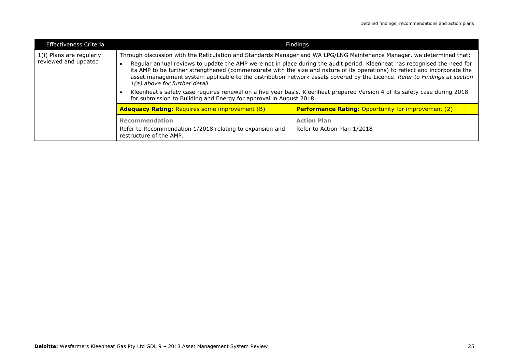| <b>Effectiveness Criteria</b><br>Findings        |                                                                                                       |                                                                                                                                                                                                                                                                                                                                                                                                                                                                                                                                                                                                                                                |
|--------------------------------------------------|-------------------------------------------------------------------------------------------------------|------------------------------------------------------------------------------------------------------------------------------------------------------------------------------------------------------------------------------------------------------------------------------------------------------------------------------------------------------------------------------------------------------------------------------------------------------------------------------------------------------------------------------------------------------------------------------------------------------------------------------------------------|
| 1(i) Plans are regularly<br>reviewed and updated | 1(a) above for further detail<br>for submission to Building and Energy for approval in August 2018.   | Through discussion with the Reticulation and Standards Manager and WA LPG/LNG Maintenance Manager, we determined that:<br>Regular annual reviews to update the AMP were not in place during the audit period. Kleenheat has recognised the need for<br>its AMP to be further strengthened (commensurate with the size and nature of its operations) to reflect and incorporate the<br>asset management system applicable to the distribution network assets covered by the Licence. Refer to Findings at section<br>Kleenheat's safety case requires renewal on a five year basis. Kleenheat prepared Version 4 of its safety case during 2018 |
|                                                  | <b>Adequacy Rating: Requires some improvement (B)</b>                                                 | <b>Performance Rating: Opportunity for improvement (2)</b>                                                                                                                                                                                                                                                                                                                                                                                                                                                                                                                                                                                     |
|                                                  | Recommendation<br>Refer to Recommendation 1/2018 relating to expansion and<br>restructure of the AMP. | <b>Action Plan</b><br>Refer to Action Plan 1/2018                                                                                                                                                                                                                                                                                                                                                                                                                                                                                                                                                                                              |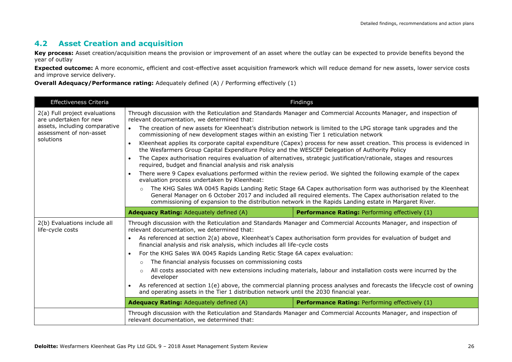#### **4.2 Asset Creation and acquisition**

**Key process:** Asset creation/acquisition means the provision or improvement of an asset where the outlay can be expected to provide benefits beyond the year of outlay

**Expected outcome:** A more economic, efficient and cost-effective asset acquisition framework which will reduce demand for new assets, lower service costs and improve service delivery.

**Overall Adequacy/Performance rating:** Adequately defined (A) / Performing effectively (1)

| <b>Effectiveness Criteria</b>                                                                                                                                                                                                                                                                                                                                                                       | Findings                                                                                                                                                         |                                                                                                                          |  |
|-----------------------------------------------------------------------------------------------------------------------------------------------------------------------------------------------------------------------------------------------------------------------------------------------------------------------------------------------------------------------------------------------------|------------------------------------------------------------------------------------------------------------------------------------------------------------------|--------------------------------------------------------------------------------------------------------------------------|--|
| 2(a) Full project evaluations<br>are undertaken for new                                                                                                                                                                                                                                                                                                                                             | relevant documentation, we determined that:                                                                                                                      | Through discussion with the Reticulation and Standards Manager and Commercial Accounts Manager, and inspection of        |  |
| assets, including comparative<br>assessment of non-asset                                                                                                                                                                                                                                                                                                                                            | $\bullet$<br>commissioning of new development stages within an existing Tier 1 reticulation network                                                              | The creation of new assets for Kleenheat's distribution network is limited to the LPG storage tank upgrades and the      |  |
| solutions                                                                                                                                                                                                                                                                                                                                                                                           | $\bullet$<br>the Wesfarmers Group Capital Expenditure Policy and the WESCEF Delegation of Authority Policy                                                       | Kleenheat applies its corporate capital expenditure (Capex) process for new asset creation. This process is evidenced in |  |
|                                                                                                                                                                                                                                                                                                                                                                                                     | $\bullet$<br>required, budget and financial analysis and risk analysis                                                                                           | The Capex authorisation requires evaluation of alternatives, strategic justification/rationale, stages and resources     |  |
|                                                                                                                                                                                                                                                                                                                                                                                                     | $\bullet$<br>evaluation process undertaken by Kleenheat:                                                                                                         | There were 9 Capex evaluations performed within the review period. We sighted the following example of the capex         |  |
| The KHG Sales WA 0045 Rapids Landing Retic Stage 6A Capex authorisation form was authorised by the Kleenheat<br>$\circ$<br>General Manager on 6 October 2017 and included all required elements. The Capex authorisation related to the<br>commissioning of expansion to the distribution network in the Rapids Landing estate in Margaret River.<br><b>Adequacy Rating: Adequately defined (A)</b> |                                                                                                                                                                  |                                                                                                                          |  |
|                                                                                                                                                                                                                                                                                                                                                                                                     |                                                                                                                                                                  | Performance Rating: Performing effectively (1)                                                                           |  |
| 2(b) Evaluations include all<br>life-cycle costs                                                                                                                                                                                                                                                                                                                                                    | Through discussion with the Reticulation and Standards Manager and Commercial Accounts Manager, and inspection of<br>relevant documentation, we determined that: |                                                                                                                          |  |
|                                                                                                                                                                                                                                                                                                                                                                                                     | $\bullet$<br>financial analysis and risk analysis, which includes all life-cycle costs                                                                           | As referenced at section 2(a) above, Kleenheat's Capex authorisation form provides for evaluation of budget and          |  |
|                                                                                                                                                                                                                                                                                                                                                                                                     | For the KHG Sales WA 0045 Rapids Landing Retic Stage 6A capex evaluation:<br>$\bullet$                                                                           |                                                                                                                          |  |
|                                                                                                                                                                                                                                                                                                                                                                                                     | The financial analysis focusses on commissioning costs<br>$\circ$                                                                                                |                                                                                                                          |  |
| All costs associated with new extensions including materials, labour and installation costs were incurred by the<br>$\circ$<br>developer                                                                                                                                                                                                                                                            |                                                                                                                                                                  |                                                                                                                          |  |
|                                                                                                                                                                                                                                                                                                                                                                                                     | and operating assets in the Tier 1 distribution network until the 2030 financial year.                                                                           | As referenced at section 1(e) above, the commercial planning process analyses and forecasts the lifecycle cost of owning |  |
| <b>Adequacy Rating: Adequately defined (A)</b>                                                                                                                                                                                                                                                                                                                                                      |                                                                                                                                                                  | Performance Rating: Performing effectively (1)                                                                           |  |
|                                                                                                                                                                                                                                                                                                                                                                                                     | Through discussion with the Reticulation and Standards Manager and Commercial Accounts Manager, and inspection of<br>relevant documentation, we determined that: |                                                                                                                          |  |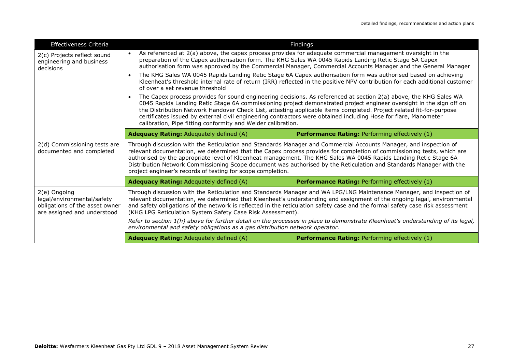| Effectiveness Criteria                                                                                      | Findings                                                                                                                                                                                                                                                                                                                                                                                                                                                                                                                                                                                                                                                          |                                                       |  |
|-------------------------------------------------------------------------------------------------------------|-------------------------------------------------------------------------------------------------------------------------------------------------------------------------------------------------------------------------------------------------------------------------------------------------------------------------------------------------------------------------------------------------------------------------------------------------------------------------------------------------------------------------------------------------------------------------------------------------------------------------------------------------------------------|-------------------------------------------------------|--|
| 2(c) Projects reflect sound<br>engineering and business<br>decisions                                        | As referenced at 2(a) above, the capex process provides for adequate commercial management oversight in the<br>preparation of the Capex authorisation form. The KHG Sales WA 0045 Rapids Landing Retic Stage 6A Capex<br>authorisation form was approved by the Commercial Manager, Commercial Accounts Manager and the General Manager                                                                                                                                                                                                                                                                                                                           |                                                       |  |
|                                                                                                             | The KHG Sales WA 0045 Rapids Landing Retic Stage 6A Capex authorisation form was authorised based on achieving<br>Kleenheat's threshold internal rate of return (IRR) reflected in the positive NPV contribution for each additional customer<br>of over a set revenue threshold                                                                                                                                                                                                                                                                                                                                                                                  |                                                       |  |
|                                                                                                             | The Capex process provides for sound engineering decisions. As referenced at section 2(a) above, the KHG Sales WA<br>0045 Rapids Landing Retic Stage 6A commissioning project demonstrated project engineer oversight in the sign off on<br>the Distribution Network Handover Check List, attesting applicable items completed. Project related fit-for-purpose<br>certificates issued by external civil engineering contractors were obtained including Hose for flare, Manometer<br>calibration, Pipe fitting conformity and Welder calibration.                                                                                                                |                                                       |  |
|                                                                                                             | <b>Adequacy Rating: Adequately defined (A)</b>                                                                                                                                                                                                                                                                                                                                                                                                                                                                                                                                                                                                                    | <b>Performance Rating: Performing effectively (1)</b> |  |
| 2(d) Commissioning tests are<br>documented and completed                                                    | Through discussion with the Reticulation and Standards Manager and Commercial Accounts Manager, and inspection of<br>relevant documentation, we determined that the Capex process provides for completion of commissioning tests, which are<br>authorised by the appropriate level of Kleenheat management. The KHG Sales WA 0045 Rapids Landing Retic Stage 6A<br>Distribution Network Commissioning Scope document was authorised by the Reticulation and Standards Manager with the<br>project engineer's records of testing for scope completion.                                                                                                             |                                                       |  |
|                                                                                                             | <b>Adequacy Rating: Adequately defined (A)</b>                                                                                                                                                                                                                                                                                                                                                                                                                                                                                                                                                                                                                    | <b>Performance Rating: Performing effectively (1)</b> |  |
| 2(e) Ongoing<br>legal/environmental/safety<br>obligations of the asset owner<br>are assigned and understood | Through discussion with the Reticulation and Standards Manager and WA LPG/LNG Maintenance Manager, and inspection of<br>relevant documentation, we determined that Kleenheat's understanding and assignment of the ongoing legal, environmental<br>and safety obligations of the network is reflected in the reticulation safety case and the formal safety case risk assessment<br>(KHG LPG Reticulation System Safety Case Risk Assessment).<br>Refer to section 1(h) above for further detail on the processes in place to demonstrate Kleenheat's understanding of its legal,<br>environmental and safety obligations as a gas distribution network operator. |                                                       |  |
|                                                                                                             |                                                                                                                                                                                                                                                                                                                                                                                                                                                                                                                                                                                                                                                                   |                                                       |  |
|                                                                                                             | <b>Adequacy Rating: Adequately defined (A)</b><br><b>Performance Rating: Performing effectively (1)</b>                                                                                                                                                                                                                                                                                                                                                                                                                                                                                                                                                           |                                                       |  |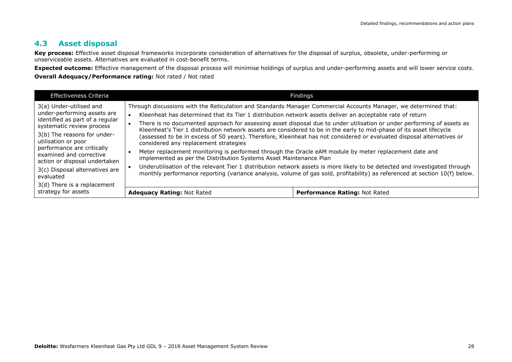#### **4.3 Asset disposal**

**Key process:** Effective asset disposal frameworks incorporate consideration of alternatives for the disposal of surplus, obsolete, under-performing or unserviceable assets. Alternatives are evaluated in cost-benefit terms.

**Expected outcome:** Effective management of the disposal process will minimise holdings of surplus and under-performing assets and will lower service costs. **Overall Adequacy/Performance rating:** Not rated / Not rated

| <b>Effectiveness Criteria</b>                                                                                                                                                                                                                                          | Findings                                                                                                                                                                                                                                                                                                                                                                                                                                                                                                                                                                                                                                                                                                                                                                                                                         |                                      |
|------------------------------------------------------------------------------------------------------------------------------------------------------------------------------------------------------------------------------------------------------------------------|----------------------------------------------------------------------------------------------------------------------------------------------------------------------------------------------------------------------------------------------------------------------------------------------------------------------------------------------------------------------------------------------------------------------------------------------------------------------------------------------------------------------------------------------------------------------------------------------------------------------------------------------------------------------------------------------------------------------------------------------------------------------------------------------------------------------------------|--------------------------------------|
| 3(a) Under-utilised and<br>under-performing assets are<br>identified as part of a regular<br>systematic review process<br>3(b) The reasons for under-<br>utilisation or poor<br>performance are critically<br>examined and corrective<br>action or disposal undertaken | Through discussions with the Reticulation and Standards Manager Commercial Accounts Manager, we determined that:<br>Kleenheat has determined that its Tier 1 distribution network assets deliver an acceptable rate of return<br>There is no documented approach for assessing asset disposal due to under utilisation or under performing of assets as<br>Kleenheat's Tier 1 distribution network assets are considered to be in the early to mid-phase of its asset lifecycle<br>(assessed to be in excess of 50 years). Therefore, Kleenheat has not considered or evaluated disposal alternatives or<br>considered any replacement strategies<br>Meter replacement monitoring is performed through the Oracle eAM module by meter replacement date and<br>implemented as per the Distribution Systems Asset Maintenance Plan |                                      |
| 3(c) Disposal alternatives are<br>evaluated<br>3(d) There is a replacement                                                                                                                                                                                             | Underutilisation of the relevant Tier 1 distribution network assets is more likely to be detected and investigated through<br>monthly performance reporting (variance analysis, volume of gas sold, profitability) as referenced at section 10(f) below.                                                                                                                                                                                                                                                                                                                                                                                                                                                                                                                                                                         |                                      |
| strategy for assets                                                                                                                                                                                                                                                    | <b>Adequacy Rating: Not Rated</b>                                                                                                                                                                                                                                                                                                                                                                                                                                                                                                                                                                                                                                                                                                                                                                                                | <b>Performance Rating: Not Rated</b> |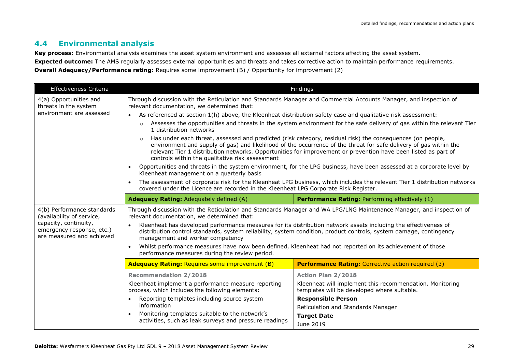#### **4.4 Environmental analysis**

**Key process:** Environmental analysis examines the asset system environment and assesses all external factors affecting the asset system. **Expected outcome:** The AMS regularly assesses external opportunities and threats and takes corrective action to maintain performance requirements. **Overall Adequacy/Performance rating:** Requires some improvement (B) / Opportunity for improvement (2)

| Effectiveness Criteria                                                                                                                     | Findings                                                                                                                                                                                                                                                                                                                                                                                                                                                                                                                                                                   |                                                                                                                                                                                                                                            |  |
|--------------------------------------------------------------------------------------------------------------------------------------------|----------------------------------------------------------------------------------------------------------------------------------------------------------------------------------------------------------------------------------------------------------------------------------------------------------------------------------------------------------------------------------------------------------------------------------------------------------------------------------------------------------------------------------------------------------------------------|--------------------------------------------------------------------------------------------------------------------------------------------------------------------------------------------------------------------------------------------|--|
| 4(a) Opportunities and<br>threats in the system                                                                                            | Through discussion with the Reticulation and Standards Manager and Commercial Accounts Manager, and inspection of<br>relevant documentation, we determined that:                                                                                                                                                                                                                                                                                                                                                                                                           |                                                                                                                                                                                                                                            |  |
| environment are assessed                                                                                                                   | As referenced at section 1(h) above, the Kleenheat distribution safety case and qualitative risk assessment:<br>$\bullet$                                                                                                                                                                                                                                                                                                                                                                                                                                                  |                                                                                                                                                                                                                                            |  |
|                                                                                                                                            | Assesses the opportunities and threats in the system environment for the safe delivery of gas within the relevant Tier<br>$\circ$<br>1 distribution networks                                                                                                                                                                                                                                                                                                                                                                                                               |                                                                                                                                                                                                                                            |  |
|                                                                                                                                            | Has under each threat, assessed and predicted (risk category, residual risk) the consequences (on people,<br>environment and supply of gas) and likelihood of the occurrence of the threat for safe delivery of gas within the<br>relevant Tier 1 distribution networks. Opportunities for improvement or prevention have been listed as part of<br>controls within the qualitative risk assessment                                                                                                                                                                        |                                                                                                                                                                                                                                            |  |
|                                                                                                                                            | Opportunities and threats in the system environment, for the LPG business, have been assessed at a corporate level by<br>$\bullet$<br>Kleenheat management on a quarterly basis                                                                                                                                                                                                                                                                                                                                                                                            |                                                                                                                                                                                                                                            |  |
|                                                                                                                                            | The assessment of corporate risk for the Kleenheat LPG business, which includes the relevant Tier 1 distribution networks<br>covered under the Licence are recorded in the Kleenheat LPG Corporate Risk Register.                                                                                                                                                                                                                                                                                                                                                          |                                                                                                                                                                                                                                            |  |
|                                                                                                                                            | <b>Adequacy Rating: Adequately defined (A)</b>                                                                                                                                                                                                                                                                                                                                                                                                                                                                                                                             | Performance Rating: Performing effectively (1)                                                                                                                                                                                             |  |
| 4(b) Performance standards<br>(availability of service,<br>capacity, continuity,<br>emergency response, etc.)<br>are measured and achieved | Through discussion with the Reticulation and Standards Manager and WA LPG/LNG Maintenance Manager, and inspection of<br>relevant documentation, we determined that:<br>Kleenheat has developed performance measures for its distribution network assets including the effectiveness of<br>distribution control standards, system reliability, system condition, product controls, system damage, contingency<br>management and worker competency<br>Whilst performance measures have now been defined, Kleenheat had not reported on its achievement of those<br>$\bullet$ |                                                                                                                                                                                                                                            |  |
|                                                                                                                                            | performance measures during the review period.                                                                                                                                                                                                                                                                                                                                                                                                                                                                                                                             |                                                                                                                                                                                                                                            |  |
|                                                                                                                                            | <b>Adequacy Rating: Requires some improvement (B)</b>                                                                                                                                                                                                                                                                                                                                                                                                                                                                                                                      | <b>Performance Rating:</b> Corrective action required (3)                                                                                                                                                                                  |  |
|                                                                                                                                            | <b>Recommendation 2/2018</b><br>Kleenheat implement a performance measure reporting<br>process, which includes the following elements:<br>Reporting templates including source system<br>$\bullet$<br>information<br>Monitoring templates suitable to the network's<br>activities, such as leak surveys and pressure readings                                                                                                                                                                                                                                              | <b>Action Plan 2/2018</b><br>Kleenheat will implement this recommendation. Monitoring<br>templates will be developed where suitable.<br><b>Responsible Person</b><br>Reticulation and Standards Manager<br><b>Target Date</b><br>June 2019 |  |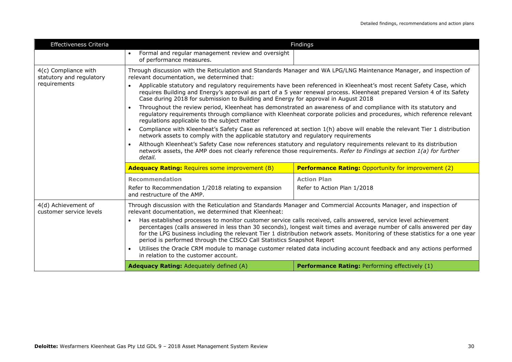| Effectiveness Criteria                                           | Findings                                                                                                                                                                                                                                                                                                                                                                                                                                                                                                                                                                                                                                                                                                                                                                                                                                                                                                                                                                                                                                                                                                                                                                                                                                                                          |                                                            |
|------------------------------------------------------------------|-----------------------------------------------------------------------------------------------------------------------------------------------------------------------------------------------------------------------------------------------------------------------------------------------------------------------------------------------------------------------------------------------------------------------------------------------------------------------------------------------------------------------------------------------------------------------------------------------------------------------------------------------------------------------------------------------------------------------------------------------------------------------------------------------------------------------------------------------------------------------------------------------------------------------------------------------------------------------------------------------------------------------------------------------------------------------------------------------------------------------------------------------------------------------------------------------------------------------------------------------------------------------------------|------------------------------------------------------------|
|                                                                  | Formal and regular management review and oversight<br>of performance measures.                                                                                                                                                                                                                                                                                                                                                                                                                                                                                                                                                                                                                                                                                                                                                                                                                                                                                                                                                                                                                                                                                                                                                                                                    |                                                            |
| 4(c) Compliance with<br>statutory and regulatory<br>requirements | Through discussion with the Reticulation and Standards Manager and WA LPG/LNG Maintenance Manager, and inspection of<br>relevant documentation, we determined that:<br>Applicable statutory and regulatory requirements have been referenced in Kleenheat's most recent Safety Case, which<br>requires Building and Energy's approval as part of a 5 year renewal process. Kleenheat prepared Version 4 of its Safety<br>Case during 2018 for submission to Building and Energy for approval in August 2018<br>Throughout the review period, Kleenheat has demonstrated an awareness of and compliance with its statutory and<br>regulatory requirements through compliance with Kleenheat corporate policies and procedures, which reference relevant<br>regulations applicable to the subject matter<br>Compliance with Kleenheat's Safety Case as referenced at section 1(h) above will enable the relevant Tier 1 distribution<br>network assets to comply with the applicable statutory and regulatory requirements<br>Although Kleenheat's Safety Case now references statutory and regulatory requirements relevant to its distribution<br>network assets, the AMP does not clearly reference those requirements. Refer to Findings at section 1(a) for further<br>detail. |                                                            |
|                                                                  |                                                                                                                                                                                                                                                                                                                                                                                                                                                                                                                                                                                                                                                                                                                                                                                                                                                                                                                                                                                                                                                                                                                                                                                                                                                                                   |                                                            |
|                                                                  | <b>Adequacy Rating: Requires some improvement (B)</b>                                                                                                                                                                                                                                                                                                                                                                                                                                                                                                                                                                                                                                                                                                                                                                                                                                                                                                                                                                                                                                                                                                                                                                                                                             | <b>Performance Rating: Opportunity for improvement (2)</b> |
|                                                                  | <b>Recommendation</b>                                                                                                                                                                                                                                                                                                                                                                                                                                                                                                                                                                                                                                                                                                                                                                                                                                                                                                                                                                                                                                                                                                                                                                                                                                                             | <b>Action Plan</b>                                         |
|                                                                  | Refer to Recommendation 1/2018 relating to expansion<br>and restructure of the AMP.                                                                                                                                                                                                                                                                                                                                                                                                                                                                                                                                                                                                                                                                                                                                                                                                                                                                                                                                                                                                                                                                                                                                                                                               | Refer to Action Plan 1/2018                                |
| 4(d) Achievement of<br>customer service levels                   | Through discussion with the Reticulation and Standards Manager and Commercial Accounts Manager, and inspection of<br>relevant documentation, we determined that Kleenheat:<br>Has established processes to monitor customer service calls received, calls answered, service level achievement<br>$\bullet$<br>percentages (calls answered in less than 30 seconds), longest wait times and average number of calls answered per day<br>for the LPG business including the relevant Tier 1 distribution network assets. Monitoring of these statistics for a one year<br>period is performed through the CISCO Call Statistics Snapshot Report<br>Utilises the Oracle CRM module to manage customer related data including account feedback and any actions performed<br>in relation to the customer account.                                                                                                                                                                                                                                                                                                                                                                                                                                                                      |                                                            |
|                                                                  |                                                                                                                                                                                                                                                                                                                                                                                                                                                                                                                                                                                                                                                                                                                                                                                                                                                                                                                                                                                                                                                                                                                                                                                                                                                                                   |                                                            |
|                                                                  |                                                                                                                                                                                                                                                                                                                                                                                                                                                                                                                                                                                                                                                                                                                                                                                                                                                                                                                                                                                                                                                                                                                                                                                                                                                                                   |                                                            |
|                                                                  | <b>Adequacy Rating: Adequately defined (A)</b>                                                                                                                                                                                                                                                                                                                                                                                                                                                                                                                                                                                                                                                                                                                                                                                                                                                                                                                                                                                                                                                                                                                                                                                                                                    | Performance Rating: Performing effectively (1)             |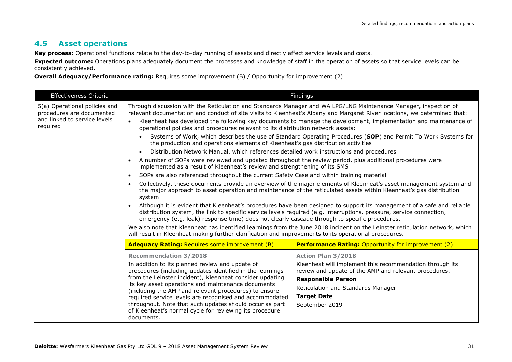#### **4.5 Asset operations**

**Key process:** Operational functions relate to the day-to-day running of assets and directly affect service levels and costs.

**Expected outcome:** Operations plans adequately document the processes and knowledge of staff in the operation of assets so that service levels can be consistently achieved.

**Overall Adequacy/Performance rating:** Requires some improvement (B) / Opportunity for improvement (2)

| Effectiveness Criteria                                                                                 | Findings                                                                                                                                                                                                                                                                                                                                                                                                                                                                                                                                                                                 |                                                                                                                                                                                                                                                                                                                                                                   |  |
|--------------------------------------------------------------------------------------------------------|------------------------------------------------------------------------------------------------------------------------------------------------------------------------------------------------------------------------------------------------------------------------------------------------------------------------------------------------------------------------------------------------------------------------------------------------------------------------------------------------------------------------------------------------------------------------------------------|-------------------------------------------------------------------------------------------------------------------------------------------------------------------------------------------------------------------------------------------------------------------------------------------------------------------------------------------------------------------|--|
| 5(a) Operational policies and<br>procedures are documented<br>and linked to service levels<br>required | $\bullet$<br>operational policies and procedures relevant to its distribution network assets:                                                                                                                                                                                                                                                                                                                                                                                                                                                                                            | Through discussion with the Reticulation and Standards Manager and WA LPG/LNG Maintenance Manager, inspection of<br>relevant documentation and conduct of site visits to Kleenheat's Albany and Margaret River locations, we determined that:<br>Kleenheat has developed the following key documents to manage the development, implementation and maintenance of |  |
|                                                                                                        | Systems of Work, which describes the use of Standard Operating Procedures (SOP) and Permit To Work Systems for<br>the production and operations elements of Kleenheat's gas distribution activities                                                                                                                                                                                                                                                                                                                                                                                      |                                                                                                                                                                                                                                                                                                                                                                   |  |
|                                                                                                        | Distribution Network Manual, which references detailed work instructions and procedures                                                                                                                                                                                                                                                                                                                                                                                                                                                                                                  |                                                                                                                                                                                                                                                                                                                                                                   |  |
|                                                                                                        | A number of SOPs were reviewed and updated throughout the review period, plus additional procedures were<br>implemented as a result of Kleenheat's review and strengthening of its SMS                                                                                                                                                                                                                                                                                                                                                                                                   |                                                                                                                                                                                                                                                                                                                                                                   |  |
|                                                                                                        | SOPs are also referenced throughout the current Safety Case and within training material<br>$\bullet$                                                                                                                                                                                                                                                                                                                                                                                                                                                                                    |                                                                                                                                                                                                                                                                                                                                                                   |  |
|                                                                                                        | Collectively, these documents provide an overview of the major elements of Kleenheat's asset management system and<br>$\bullet$<br>the major approach to asset operation and maintenance of the reticulated assets within Kleenheat's gas distribution<br>system                                                                                                                                                                                                                                                                                                                         |                                                                                                                                                                                                                                                                                                                                                                   |  |
|                                                                                                        | Although it is evident that Kleenheat's procedures have been designed to support its management of a safe and reliable<br>distribution system, the link to specific service levels required (e.g. interruptions, pressure, service connection,<br>emergency (e.g. leak) response time) does not clearly cascade through to specific procedures.<br>We also note that Kleenheat has identified learnings from the June 2018 incident on the Leinster reticulation network, which<br>will result in Kleenheat making further clarification and improvements to its operational procedures. |                                                                                                                                                                                                                                                                                                                                                                   |  |
|                                                                                                        |                                                                                                                                                                                                                                                                                                                                                                                                                                                                                                                                                                                          |                                                                                                                                                                                                                                                                                                                                                                   |  |
|                                                                                                        | <b>Adequacy Rating: Requires some improvement (B)</b>                                                                                                                                                                                                                                                                                                                                                                                                                                                                                                                                    | <b>Performance Rating: Opportunity for improvement (2)</b>                                                                                                                                                                                                                                                                                                        |  |
|                                                                                                        | <b>Recommendation 3/2018</b><br>In addition to its planned review and update of<br>procedures (including updates identified in the learnings<br>from the Leinster incident), Kleenheat consider updating<br>its key asset operations and maintenance documents<br>(including the AMP and relevant procedures) to ensure<br>required service levels are recognised and accommodated<br>throughout. Note that such updates should occur as part<br>of Kleenheat's normal cycle for reviewing its procedure<br>documents.                                                                   | <b>Action Plan 3/2018</b><br>Kleenheat will implement this recommendation through its<br>review and update of the AMP and relevant procedures.<br><b>Responsible Person</b><br>Reticulation and Standards Manager<br><b>Target Date</b><br>September 2019                                                                                                         |  |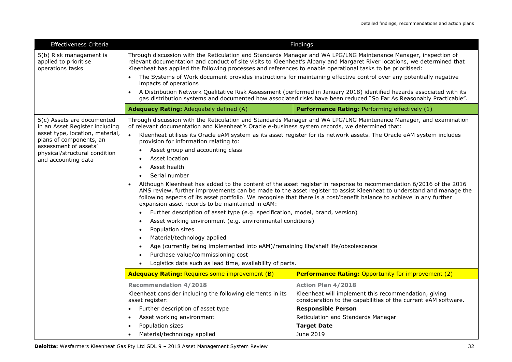| Effectiveness Criteria                                                                                                                                                                                      | Findings                                                                                                                                                                                                                                                                                                                                                                                                                                                                                                                                                                                                                                                                                                                                                                                                                                                                                                                                                                                                                                                                                                                                                                                                                                                                                                                   |                                                                                                                        |  |
|-------------------------------------------------------------------------------------------------------------------------------------------------------------------------------------------------------------|----------------------------------------------------------------------------------------------------------------------------------------------------------------------------------------------------------------------------------------------------------------------------------------------------------------------------------------------------------------------------------------------------------------------------------------------------------------------------------------------------------------------------------------------------------------------------------------------------------------------------------------------------------------------------------------------------------------------------------------------------------------------------------------------------------------------------------------------------------------------------------------------------------------------------------------------------------------------------------------------------------------------------------------------------------------------------------------------------------------------------------------------------------------------------------------------------------------------------------------------------------------------------------------------------------------------------|------------------------------------------------------------------------------------------------------------------------|--|
| 5(b) Risk management is<br>applied to prioritise<br>operations tasks                                                                                                                                        | Through discussion with the Reticulation and Standards Manager and WA LPG/LNG Maintenance Manager, inspection of<br>relevant documentation and conduct of site visits to Kleenheat's Albany and Margaret River locations, we determined that<br>Kleenheat has applied the following processes and references to enable operational tasks to be prioritised:                                                                                                                                                                                                                                                                                                                                                                                                                                                                                                                                                                                                                                                                                                                                                                                                                                                                                                                                                                |                                                                                                                        |  |
|                                                                                                                                                                                                             | The Systems of Work document provides instructions for maintaining effective control over any potentially negative<br>$\bullet$                                                                                                                                                                                                                                                                                                                                                                                                                                                                                                                                                                                                                                                                                                                                                                                                                                                                                                                                                                                                                                                                                                                                                                                            |                                                                                                                        |  |
|                                                                                                                                                                                                             | impacts of operations<br>$\bullet$                                                                                                                                                                                                                                                                                                                                                                                                                                                                                                                                                                                                                                                                                                                                                                                                                                                                                                                                                                                                                                                                                                                                                                                                                                                                                         | A Distribution Network Qualitative Risk Assessment (performed in January 2018) identified hazards associated with its  |  |
|                                                                                                                                                                                                             | qas distribution systems and documented how associated risks have been reduced "So Far As Reasonably Practicable".                                                                                                                                                                                                                                                                                                                                                                                                                                                                                                                                                                                                                                                                                                                                                                                                                                                                                                                                                                                                                                                                                                                                                                                                         |                                                                                                                        |  |
|                                                                                                                                                                                                             | <b>Adequacy Rating: Adequately defined (A)</b>                                                                                                                                                                                                                                                                                                                                                                                                                                                                                                                                                                                                                                                                                                                                                                                                                                                                                                                                                                                                                                                                                                                                                                                                                                                                             | Performance Rating: Performing effectively (1)                                                                         |  |
| 5(c) Assets are documented<br>in an Asset Register including<br>asset type, location, material,<br>plans of components, an<br>assessment of assets'<br>physical/structural condition<br>and accounting data | Through discussion with the Reticulation and Standards Manager and WA LPG/LNG Maintenance Manager, and examination<br>of relevant documentation and Kleenheat's Oracle e-business system records, we determined that:<br>Kleenheat utilises its Oracle eAM system as its asset register for its network assets. The Oracle eAM system includes<br>$\bullet$<br>provision for information relating to:<br>Asset group and accounting class<br>Asset location<br>Asset health<br>Serial number<br>Although Kleenheat has added to the content of the asset register in response to recommendation 6/2016 of the 2016<br>AMS review, further improvements can be made to the asset register to assist Kleenheat to understand and manage the<br>following aspects of its asset portfolio. We recognise that there is a cost/benefit balance to achieve in any further<br>expansion asset records to be maintained in eAM:<br>Further description of asset type (e.g. specification, model, brand, version)<br>Asset working environment (e.g. environmental conditions)<br>Population sizes<br>$\bullet$<br>Material/technology applied<br>Age (currently being implemented into eAM)/remaining life/shelf life/obsolescence<br>Purchase value/commissioning cost<br>Logistics data such as lead time, availability of parts. |                                                                                                                        |  |
|                                                                                                                                                                                                             | <b>Adequacy Rating: Requires some improvement (B)</b>                                                                                                                                                                                                                                                                                                                                                                                                                                                                                                                                                                                                                                                                                                                                                                                                                                                                                                                                                                                                                                                                                                                                                                                                                                                                      | <b>Performance Rating: Opportunity for improvement (2)</b>                                                             |  |
|                                                                                                                                                                                                             | <b>Recommendation 4/2018</b>                                                                                                                                                                                                                                                                                                                                                                                                                                                                                                                                                                                                                                                                                                                                                                                                                                                                                                                                                                                                                                                                                                                                                                                                                                                                                               | <b>Action Plan 4/2018</b>                                                                                              |  |
|                                                                                                                                                                                                             | Kleenheat consider including the following elements in its<br>asset register:                                                                                                                                                                                                                                                                                                                                                                                                                                                                                                                                                                                                                                                                                                                                                                                                                                                                                                                                                                                                                                                                                                                                                                                                                                              | Kleenheat will implement this recommendation, giving<br>consideration to the capabilities of the current eAM software. |  |
|                                                                                                                                                                                                             | Further description of asset type<br>$\bullet$                                                                                                                                                                                                                                                                                                                                                                                                                                                                                                                                                                                                                                                                                                                                                                                                                                                                                                                                                                                                                                                                                                                                                                                                                                                                             | <b>Responsible Person</b>                                                                                              |  |
|                                                                                                                                                                                                             | Asset working environment<br>$\bullet$                                                                                                                                                                                                                                                                                                                                                                                                                                                                                                                                                                                                                                                                                                                                                                                                                                                                                                                                                                                                                                                                                                                                                                                                                                                                                     | Reticulation and Standards Manager                                                                                     |  |
|                                                                                                                                                                                                             | Population sizes<br>$\bullet$                                                                                                                                                                                                                                                                                                                                                                                                                                                                                                                                                                                                                                                                                                                                                                                                                                                                                                                                                                                                                                                                                                                                                                                                                                                                                              | <b>Target Date</b>                                                                                                     |  |
|                                                                                                                                                                                                             | Material/technology applied                                                                                                                                                                                                                                                                                                                                                                                                                                                                                                                                                                                                                                                                                                                                                                                                                                                                                                                                                                                                                                                                                                                                                                                                                                                                                                | June 2019                                                                                                              |  |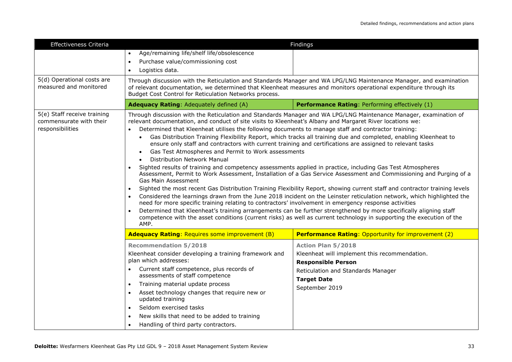| Effectiveness Criteria                                                     | Findings                                                                                                                                                                                                                                                                                                                                                                                                                                                                                                                                                                                                                                                                                                                                                                                                                                                                                                                                                                                                                                                                                                                                                                                                                                                                                                                                                                                                                                                                                                                                                                               |                                                                            |  |
|----------------------------------------------------------------------------|----------------------------------------------------------------------------------------------------------------------------------------------------------------------------------------------------------------------------------------------------------------------------------------------------------------------------------------------------------------------------------------------------------------------------------------------------------------------------------------------------------------------------------------------------------------------------------------------------------------------------------------------------------------------------------------------------------------------------------------------------------------------------------------------------------------------------------------------------------------------------------------------------------------------------------------------------------------------------------------------------------------------------------------------------------------------------------------------------------------------------------------------------------------------------------------------------------------------------------------------------------------------------------------------------------------------------------------------------------------------------------------------------------------------------------------------------------------------------------------------------------------------------------------------------------------------------------------|----------------------------------------------------------------------------|--|
|                                                                            | Age/remaining life/shelf life/obsolescence<br>$\bullet$                                                                                                                                                                                                                                                                                                                                                                                                                                                                                                                                                                                                                                                                                                                                                                                                                                                                                                                                                                                                                                                                                                                                                                                                                                                                                                                                                                                                                                                                                                                                |                                                                            |  |
|                                                                            | Purchase value/commissioning cost<br>$\bullet$                                                                                                                                                                                                                                                                                                                                                                                                                                                                                                                                                                                                                                                                                                                                                                                                                                                                                                                                                                                                                                                                                                                                                                                                                                                                                                                                                                                                                                                                                                                                         |                                                                            |  |
|                                                                            | Logistics data.                                                                                                                                                                                                                                                                                                                                                                                                                                                                                                                                                                                                                                                                                                                                                                                                                                                                                                                                                                                                                                                                                                                                                                                                                                                                                                                                                                                                                                                                                                                                                                        |                                                                            |  |
| 5(d) Operational costs are<br>measured and monitored                       | Through discussion with the Reticulation and Standards Manager and WA LPG/LNG Maintenance Manager, and examination<br>of relevant documentation, we determined that Kleenheat measures and monitors operational expenditure through its<br>Budget Cost Control for Reticulation Networks process.                                                                                                                                                                                                                                                                                                                                                                                                                                                                                                                                                                                                                                                                                                                                                                                                                                                                                                                                                                                                                                                                                                                                                                                                                                                                                      |                                                                            |  |
|                                                                            | Adequacy Rating: Adequately defined (A)                                                                                                                                                                                                                                                                                                                                                                                                                                                                                                                                                                                                                                                                                                                                                                                                                                                                                                                                                                                                                                                                                                                                                                                                                                                                                                                                                                                                                                                                                                                                                | Performance Rating: Performing effectively (1)                             |  |
| 5(e) Staff receive training<br>commensurate with their<br>responsibilities | Through discussion with the Reticulation and Standards Manager and WA LPG/LNG Maintenance Manager, examination of<br>relevant documentation, and conduct of site visits to Kleenheat's Albany and Margaret River locations we:<br>Determined that Kleenheat utilises the following documents to manage staff and contractor training:<br>Gas Distribution Training Flexibility Report, which tracks all training due and completed, enabling Kleenheat to<br>$\bullet$<br>ensure only staff and contractors with current training and certifications are assigned to relevant tasks<br>Gas Test Atmospheres and Permit to Work assessments<br><b>Distribution Network Manual</b><br>Sighted results of training and competency assessments applied in practice, including Gas Test Atmospheres<br>Assessment, Permit to Work Assessment, Installation of a Gas Service Assessment and Commissioning and Purging of a<br><b>Gas Main Assessment</b><br>Sighted the most recent Gas Distribution Training Flexibility Report, showing current staff and contractor training levels<br>$\bullet$<br>Considered the learnings drawn from the June 2018 incident on the Leinster reticulation network, which highlighted the<br>need for more specific training relating to contractors' involvement in emergency response activities<br>Determined that Kleenheat's training arrangements can be further strengthened by more specifically aligning staff<br>competence with the asset conditions (current risks) as well as current technology in supporting the execution of the<br>AMP. |                                                                            |  |
|                                                                            | <b>Adequacy Rating: Requires some improvement (B)</b>                                                                                                                                                                                                                                                                                                                                                                                                                                                                                                                                                                                                                                                                                                                                                                                                                                                                                                                                                                                                                                                                                                                                                                                                                                                                                                                                                                                                                                                                                                                                  | <b>Performance Rating: Opportunity for improvement (2)</b>                 |  |
|                                                                            | <b>Recommendation 5/2018</b>                                                                                                                                                                                                                                                                                                                                                                                                                                                                                                                                                                                                                                                                                                                                                                                                                                                                                                                                                                                                                                                                                                                                                                                                                                                                                                                                                                                                                                                                                                                                                           | <b>Action Plan 5/2018</b>                                                  |  |
|                                                                            | Kleenheat consider developing a training framework and<br>plan which addresses:                                                                                                                                                                                                                                                                                                                                                                                                                                                                                                                                                                                                                                                                                                                                                                                                                                                                                                                                                                                                                                                                                                                                                                                                                                                                                                                                                                                                                                                                                                        | Kleenheat will implement this recommendation.<br><b>Responsible Person</b> |  |
|                                                                            | Current staff competence, plus records of<br>assessments of staff competence                                                                                                                                                                                                                                                                                                                                                                                                                                                                                                                                                                                                                                                                                                                                                                                                                                                                                                                                                                                                                                                                                                                                                                                                                                                                                                                                                                                                                                                                                                           | Reticulation and Standards Manager                                         |  |
|                                                                            | Training material update process                                                                                                                                                                                                                                                                                                                                                                                                                                                                                                                                                                                                                                                                                                                                                                                                                                                                                                                                                                                                                                                                                                                                                                                                                                                                                                                                                                                                                                                                                                                                                       | <b>Target Date</b><br>September 2019                                       |  |
|                                                                            | Asset technology changes that require new or<br>updated training                                                                                                                                                                                                                                                                                                                                                                                                                                                                                                                                                                                                                                                                                                                                                                                                                                                                                                                                                                                                                                                                                                                                                                                                                                                                                                                                                                                                                                                                                                                       |                                                                            |  |
|                                                                            | Seldom exercised tasks                                                                                                                                                                                                                                                                                                                                                                                                                                                                                                                                                                                                                                                                                                                                                                                                                                                                                                                                                                                                                                                                                                                                                                                                                                                                                                                                                                                                                                                                                                                                                                 |                                                                            |  |
|                                                                            | New skills that need to be added to training                                                                                                                                                                                                                                                                                                                                                                                                                                                                                                                                                                                                                                                                                                                                                                                                                                                                                                                                                                                                                                                                                                                                                                                                                                                                                                                                                                                                                                                                                                                                           |                                                                            |  |
|                                                                            | Handling of third party contractors.                                                                                                                                                                                                                                                                                                                                                                                                                                                                                                                                                                                                                                                                                                                                                                                                                                                                                                                                                                                                                                                                                                                                                                                                                                                                                                                                                                                                                                                                                                                                                   |                                                                            |  |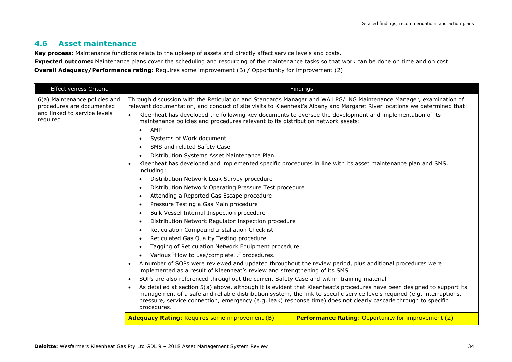#### **4.6 Asset maintenance**

**Key process:** Maintenance functions relate to the upkeep of assets and directly affect service levels and costs.

**Expected outcome:** Maintenance plans cover the scheduling and resourcing of the maintenance tasks so that work can be done on time and on cost.

**Overall Adequacy/Performance rating:** Requires some improvement (B) / Opportunity for improvement (2)

| Effectiveness Criteria                                                                                                                                                                                                                                                                                                                                                                             | Findings                                                                                                                                                                                                                                                                                                                                                                                                                                                                                                                                                                                                                                                                                                                                                                                                                        |                                                            |
|----------------------------------------------------------------------------------------------------------------------------------------------------------------------------------------------------------------------------------------------------------------------------------------------------------------------------------------------------------------------------------------------------|---------------------------------------------------------------------------------------------------------------------------------------------------------------------------------------------------------------------------------------------------------------------------------------------------------------------------------------------------------------------------------------------------------------------------------------------------------------------------------------------------------------------------------------------------------------------------------------------------------------------------------------------------------------------------------------------------------------------------------------------------------------------------------------------------------------------------------|------------------------------------------------------------|
| 6(a) Maintenance policies and<br>procedures are documented<br>and linked to service levels<br>required                                                                                                                                                                                                                                                                                             | Through discussion with the Reticulation and Standards Manager and WA LPG/LNG Maintenance Manager, examination of<br>relevant documentation, and conduct of site visits to Kleenheat's Albany and Margaret River locations we determined that:<br>Kleenheat has developed the following key documents to oversee the development and implementation of its<br>$\bullet$<br>maintenance policies and procedures relevant to its distribution network assets:<br>AMP<br>Systems of Work document<br>SMS and related Safety Case<br>Distribution Systems Asset Maintenance Plan<br>Kleenheat has developed and implemented specific procedures in line with its asset maintenance plan and SMS,<br>$\bullet$<br>including:<br>Distribution Network Leak Survey procedure<br>Distribution Network Operating Pressure Test procedure |                                                            |
|                                                                                                                                                                                                                                                                                                                                                                                                    | Attending a Reported Gas Escape procedure<br>$\bullet$                                                                                                                                                                                                                                                                                                                                                                                                                                                                                                                                                                                                                                                                                                                                                                          |                                                            |
|                                                                                                                                                                                                                                                                                                                                                                                                    | Pressure Testing a Gas Main procedure                                                                                                                                                                                                                                                                                                                                                                                                                                                                                                                                                                                                                                                                                                                                                                                           |                                                            |
|                                                                                                                                                                                                                                                                                                                                                                                                    | Bulk Vessel Internal Inspection procedure<br>Distribution Network Regulator Inspection procedure<br>$\bullet$<br>Reticulation Compound Installation Checklist<br>Reticulated Gas Quality Testing procedure<br>Tagging of Reticulation Network Equipment procedure<br>Various "How to use/complete" procedures.<br>A number of SOPs were reviewed and updated throughout the review period, plus additional procedures were<br>$\bullet$<br>implemented as a result of Kleenheat's review and strengthening of its SMS<br>SOPs are also referenced throughout the current Safety Case and within training material<br>$\bullet$                                                                                                                                                                                                  |                                                            |
|                                                                                                                                                                                                                                                                                                                                                                                                    |                                                                                                                                                                                                                                                                                                                                                                                                                                                                                                                                                                                                                                                                                                                                                                                                                                 |                                                            |
|                                                                                                                                                                                                                                                                                                                                                                                                    |                                                                                                                                                                                                                                                                                                                                                                                                                                                                                                                                                                                                                                                                                                                                                                                                                                 |                                                            |
|                                                                                                                                                                                                                                                                                                                                                                                                    |                                                                                                                                                                                                                                                                                                                                                                                                                                                                                                                                                                                                                                                                                                                                                                                                                                 |                                                            |
|                                                                                                                                                                                                                                                                                                                                                                                                    |                                                                                                                                                                                                                                                                                                                                                                                                                                                                                                                                                                                                                                                                                                                                                                                                                                 |                                                            |
|                                                                                                                                                                                                                                                                                                                                                                                                    |                                                                                                                                                                                                                                                                                                                                                                                                                                                                                                                                                                                                                                                                                                                                                                                                                                 |                                                            |
|                                                                                                                                                                                                                                                                                                                                                                                                    |                                                                                                                                                                                                                                                                                                                                                                                                                                                                                                                                                                                                                                                                                                                                                                                                                                 |                                                            |
|                                                                                                                                                                                                                                                                                                                                                                                                    |                                                                                                                                                                                                                                                                                                                                                                                                                                                                                                                                                                                                                                                                                                                                                                                                                                 |                                                            |
| As detailed at section 5(a) above, although it is evident that Kleenheat's procedures have been designed to support its<br>$\bullet$<br>management of a safe and reliable distribution system, the link to specific service levels required (e.g. interruptions,<br>pressure, service connection, emergency (e.g. leak) response time) does not clearly cascade through to specific<br>procedures. |                                                                                                                                                                                                                                                                                                                                                                                                                                                                                                                                                                                                                                                                                                                                                                                                                                 |                                                            |
|                                                                                                                                                                                                                                                                                                                                                                                                    | <b>Adequacy Rating: Requires some improvement (B)</b>                                                                                                                                                                                                                                                                                                                                                                                                                                                                                                                                                                                                                                                                                                                                                                           | <b>Performance Rating: Opportunity for improvement (2)</b> |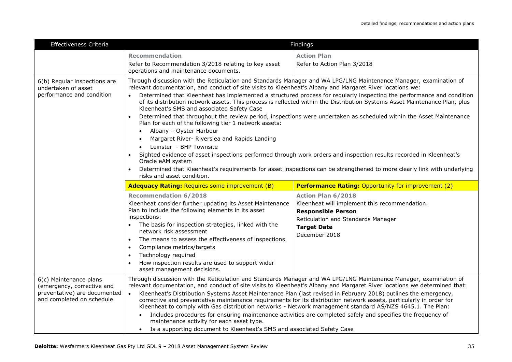| Effectiveness Criteria                                                                                            |                                                                                                                                                                                                                                                                                                                                                                                                                                                                                                                                                                                                                                                                                                                                                                                                                                                                                                                                                                                                                                                                                                                               | Findings                                                                                                                                                                             |
|-------------------------------------------------------------------------------------------------------------------|-------------------------------------------------------------------------------------------------------------------------------------------------------------------------------------------------------------------------------------------------------------------------------------------------------------------------------------------------------------------------------------------------------------------------------------------------------------------------------------------------------------------------------------------------------------------------------------------------------------------------------------------------------------------------------------------------------------------------------------------------------------------------------------------------------------------------------------------------------------------------------------------------------------------------------------------------------------------------------------------------------------------------------------------------------------------------------------------------------------------------------|--------------------------------------------------------------------------------------------------------------------------------------------------------------------------------------|
|                                                                                                                   | <b>Recommendation</b>                                                                                                                                                                                                                                                                                                                                                                                                                                                                                                                                                                                                                                                                                                                                                                                                                                                                                                                                                                                                                                                                                                         | <b>Action Plan</b>                                                                                                                                                                   |
|                                                                                                                   | Refer to Recommendation 3/2018 relating to key asset<br>operations and maintenance documents.                                                                                                                                                                                                                                                                                                                                                                                                                                                                                                                                                                                                                                                                                                                                                                                                                                                                                                                                                                                                                                 | Refer to Action Plan 3/2018                                                                                                                                                          |
| 6(b) Regular inspections are<br>undertaken of asset<br>performance and condition                                  | Through discussion with the Reticulation and Standards Manager and WA LPG/LNG Maintenance Manager, examination of<br>relevant documentation, and conduct of site visits to Kleenheat's Albany and Margaret River locations we:<br>Determined that Kleenheat has implemented a structured process for regularly inspecting the performance and condition<br>of its distribution network assets. This process is reflected within the Distribution Systems Asset Maintenance Plan, plus<br>Kleenheat's SMS and associated Safety Case<br>Determined that throughout the review period, inspections were undertaken as scheduled within the Asset Maintenance<br>Plan for each of the following tier 1 network assets:<br>Albany - Oyster Harbour<br>Margaret River- Riverslea and Rapids Landing<br>Leinster - BHP Townsite<br>Sighted evidence of asset inspections performed through work orders and inspection results recorded in Kleenheat's<br>Oracle eAM system<br>Determined that Kleenheat's requirements for asset inspections can be strengthened to more clearly link with underlying<br>risks and asset condition. |                                                                                                                                                                                      |
|                                                                                                                   | <b>Adequacy Rating: Requires some improvement (B)</b><br><b>Performance Rating: Opportunity for improvement (2)</b>                                                                                                                                                                                                                                                                                                                                                                                                                                                                                                                                                                                                                                                                                                                                                                                                                                                                                                                                                                                                           |                                                                                                                                                                                      |
|                                                                                                                   | <b>Recommendation 6/2018</b><br>Kleenheat consider further updating its Asset Maintenance<br>Plan to include the following elements in its asset<br>inspections:<br>The basis for inspection strategies, linked with the<br>network risk assessment<br>The means to assess the effectiveness of inspections<br>$\bullet$<br>Compliance metrics/targets<br>$\bullet$<br>Technology required<br>How inspection results are used to support wider<br>asset management decisions.                                                                                                                                                                                                                                                                                                                                                                                                                                                                                                                                                                                                                                                 | <b>Action Plan 6/2018</b><br>Kleenheat will implement this recommendation.<br><b>Responsible Person</b><br>Reticulation and Standards Manager<br><b>Target Date</b><br>December 2018 |
| 6(c) Maintenance plans<br>(emergency, corrective and<br>preventative) are documented<br>and completed on schedule | Through discussion with the Reticulation and Standards Manager and WA LPG/LNG Maintenance Manager, examination of<br>relevant documentation, and conduct of site visits to Kleenheat's Albany and Margaret River locations we determined that:<br>Kleenheat's Distribution Systems Asset Maintenance Plan (last revised in February 2018) outlines the emergency,<br>$\bullet$<br>corrective and preventative maintenance requirements for its distribution network assets, particularly in order for<br>Kleenheat to comply with Gas distribution networks - Network management standard AS/NZS 4645.1. The Plan:<br>Includes procedures for ensuring maintenance activities are completed safely and specifies the frequency of<br>$\bullet$<br>maintenance activity for each asset type.<br>Is a supporting document to Kleenheat's SMS and associated Safety Case                                                                                                                                                                                                                                                         |                                                                                                                                                                                      |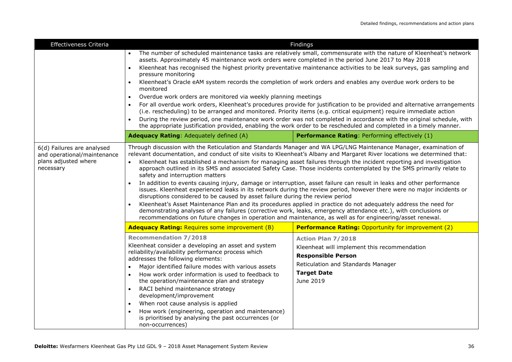| Effectiveness Criteria                                                                         | Findings                                                                                                                                                                                                                                                                                                                                                                                                                                                                                                                                                                                                                                                                                                                                                                                                                                                                                                                                                                                                                                                                                                                                                                                                                            |                                                                                                                                                                                 |  |
|------------------------------------------------------------------------------------------------|-------------------------------------------------------------------------------------------------------------------------------------------------------------------------------------------------------------------------------------------------------------------------------------------------------------------------------------------------------------------------------------------------------------------------------------------------------------------------------------------------------------------------------------------------------------------------------------------------------------------------------------------------------------------------------------------------------------------------------------------------------------------------------------------------------------------------------------------------------------------------------------------------------------------------------------------------------------------------------------------------------------------------------------------------------------------------------------------------------------------------------------------------------------------------------------------------------------------------------------|---------------------------------------------------------------------------------------------------------------------------------------------------------------------------------|--|
|                                                                                                | The number of scheduled maintenance tasks are relatively small, commensurate with the nature of Kleenheat's network<br>assets. Approximately 45 maintenance work orders were completed in the period June 2017 to May 2018<br>Kleenheat has recognised the highest priority preventative maintenance activities to be leak surveys, gas sampling and<br>pressure monitoring<br>Kleenheat's Oracle eAM system records the completion of work orders and enables any overdue work orders to be<br>monitored<br>Overdue work orders are monitored via weekly planning meetings<br>For all overdue work orders, Kleenheat's procedures provide for justification to be provided and alternative arrangements<br>(i.e. rescheduling) to be arranged and monitored. Priority items (e.g. critical equipment) require immediate action<br>During the review period, one maintenance work order was not completed in accordance with the original schedule, with<br>the appropriate justification provided, enabling the work order to be rescheduled and completed in a timely manner.                                                                                                                                                     |                                                                                                                                                                                 |  |
|                                                                                                | Adequacy Rating: Adequately defined (A)                                                                                                                                                                                                                                                                                                                                                                                                                                                                                                                                                                                                                                                                                                                                                                                                                                                                                                                                                                                                                                                                                                                                                                                             | Performance Rating: Performing effectively (1)                                                                                                                                  |  |
| 6(d) Failures are analysed<br>and operational/maintenance<br>plans adjusted where<br>necessary | Through discussion with the Reticulation and Standards Manager and WA LPG/LNG Maintenance Manager, examination of<br>relevant documentation, and conduct of site visits to Kleenheat's Albany and Margaret River locations we determined that:<br>Kleenheat has established a mechanism for managing asset failures through the incident reporting and investigation<br>$\bullet$<br>approach outlined in its SMS and associated Safety Case. Those incidents contemplated by the SMS primarily relate to<br>safety and interruption matters<br>In addition to events causing injury, damage or interruption, asset failure can result in leaks and other performance<br>issues. Kleenheat experienced leaks in its network during the review period, however there were no major incidents or<br>disruptions considered to be caused by asset failure during the review period<br>Kleenheat's Asset Maintenance Plan and its procedures applied in practice do not adequately address the need for<br>demonstrating analyses of any failures (corrective work, leaks, emergency attendance etc.), with conclusions or<br>recommendations on future changes in operation and maintenance, as well as for engineering/asset renewal. |                                                                                                                                                                                 |  |
|                                                                                                | <b>Adequacy Rating: Requires some improvement (B)</b>                                                                                                                                                                                                                                                                                                                                                                                                                                                                                                                                                                                                                                                                                                                                                                                                                                                                                                                                                                                                                                                                                                                                                                               | <b>Performance Rating: Opportunity for improvement (2)</b>                                                                                                                      |  |
|                                                                                                | <b>Recommendation 7/2018</b><br>Kleenheat consider a developing an asset and system<br>reliability/availability performance process which<br>addresses the following elements:<br>Major identified failure modes with various assets<br>How work order information is used to feedback to<br>the operation/maintenance plan and strategy<br>RACI behind maintenance strategy<br>development/improvement<br>When root cause analysis is applied<br>$\bullet$<br>How work (engineering, operation and maintenance)<br>is prioritised by analysing the past occurrences (or<br>non-occurrences)                                                                                                                                                                                                                                                                                                                                                                                                                                                                                                                                                                                                                                        | <b>Action Plan 7/2018</b><br>Kleenheat will implement this recommendation<br><b>Responsible Person</b><br>Reticulation and Standards Manager<br><b>Target Date</b><br>June 2019 |  |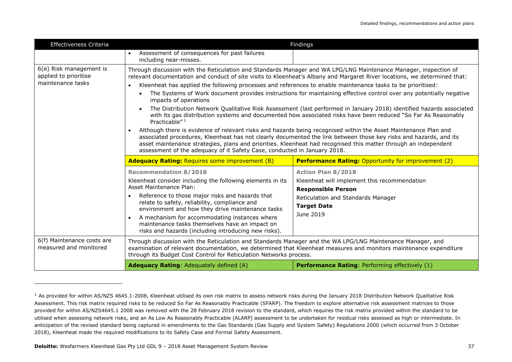| Effectiveness Criteria                                                |                                                                                                                                                                                                                                                                                                                                                                                                                                                                                                                                                                                                                                                                                                                                                                                                                                                                                                                                                                                                                                       | Findings                                                                                                                                                                        |  |
|-----------------------------------------------------------------------|---------------------------------------------------------------------------------------------------------------------------------------------------------------------------------------------------------------------------------------------------------------------------------------------------------------------------------------------------------------------------------------------------------------------------------------------------------------------------------------------------------------------------------------------------------------------------------------------------------------------------------------------------------------------------------------------------------------------------------------------------------------------------------------------------------------------------------------------------------------------------------------------------------------------------------------------------------------------------------------------------------------------------------------|---------------------------------------------------------------------------------------------------------------------------------------------------------------------------------|--|
|                                                                       | Assessment of consequences for past failures<br>$\bullet$<br>including near-misses.                                                                                                                                                                                                                                                                                                                                                                                                                                                                                                                                                                                                                                                                                                                                                                                                                                                                                                                                                   |                                                                                                                                                                                 |  |
| 6(e) Risk management is<br>applied to prioritise<br>maintenance tasks | Through discussion with the Reticulation and Standards Manager and WA LPG/LNG Maintenance Manager, inspection of<br>relevant documentation and conduct of site visits to Kleenheat's Albany and Margaret River locations, we determined that:<br>Kleenheat has applied the following processes and references to enable maintenance tasks to be prioritised:<br>The Systems of Work document provides instructions for maintaining effective control over any potentially negative<br>$\bullet$<br>impacts of operations<br>The Distribution Network Qualitative Risk Assessment (last performed in January 2018) identified hazards associated<br>with its gas distribution systems and documented how associated risks have been reduced "So Far As Reasonably<br>Practicable" <sup>1</sup><br>Although there is evidence of relevant risks and hazards being recognised within the Asset Maintenance Plan and<br>associated procedures, Kleenheat has not clearly documented the link between those key risks and hazards, and its |                                                                                                                                                                                 |  |
|                                                                       | asset maintenance strategies, plans and priorities. Kleenheat had recognised this matter through an independent<br>assessment of the adequacy of it Safety Case, conducted in January 2018.                                                                                                                                                                                                                                                                                                                                                                                                                                                                                                                                                                                                                                                                                                                                                                                                                                           |                                                                                                                                                                                 |  |
|                                                                       | <b>Adequacy Rating: Requires some improvement (B)</b>                                                                                                                                                                                                                                                                                                                                                                                                                                                                                                                                                                                                                                                                                                                                                                                                                                                                                                                                                                                 | <b>Performance Rating: Opportunity for improvement (2)</b>                                                                                                                      |  |
|                                                                       | <b>Recommendation 8/2018</b><br>Kleenheat consider including the following elements in its<br>Asset Maintenance Plan:<br>Reference to those major risks and hazards that<br>relate to safety, reliability, compliance and<br>environment and how they drive maintenance tasks<br>A mechanism for accommodating instances where<br>$\bullet$<br>maintenance tasks themselves have an impact on<br>risks and hazards (including introducing new risks).                                                                                                                                                                                                                                                                                                                                                                                                                                                                                                                                                                                 | <b>Action Plan 8/2018</b><br>Kleenheat will implement this recommendation<br><b>Responsible Person</b><br>Reticulation and Standards Manager<br><b>Target Date</b><br>June 2019 |  |
| 6(f) Maintenance costs are<br>measured and monitored                  | Through discussion with the Reticulation and Standards Manager and the WA LPG/LNG Maintenance Manager, and<br>examination of relevant documentation, we determined that Kleenheat measures and monitors maintenance expenditure<br>through its Budget Cost Control for Reticulation Networks process.                                                                                                                                                                                                                                                                                                                                                                                                                                                                                                                                                                                                                                                                                                                                 |                                                                                                                                                                                 |  |
|                                                                       | <b>Adequacy Rating: Adequately defined (A)</b>                                                                                                                                                                                                                                                                                                                                                                                                                                                                                                                                                                                                                                                                                                                                                                                                                                                                                                                                                                                        | <b>Performance Rating: Performing effectively (1)</b>                                                                                                                           |  |

ł

 $1$  As provided for within AS/NZS 4645.1-2008, Kleenheat utilised its own risk matrix to assess network risks during the January 2018 Distribution Network Qualitative Risk Assessment. This risk matrix required risks to be reduced So Far As Reasonably Practicable (SFARP). The freedom to explore alternative risk assessment matrices to those provided for within AS/NZS4645.1 2008 was removed with the 28 February 2018 revision to the standard, which requires the risk matrix provided within the standard to be utilised when assessing network risks, and an As Low As Reasonably Practicable (ALARP) assessment to be undertaken for residual risks assessed as high or intermediate. In anticipation of the revised standard being captured in amendments to the Gas Standards (Gas Supply and System Safety) Regulations 2000 (which occurred from 3 October 2018), Kleenheat made the required modifications to its Safety Case and Formal Safety Assessment.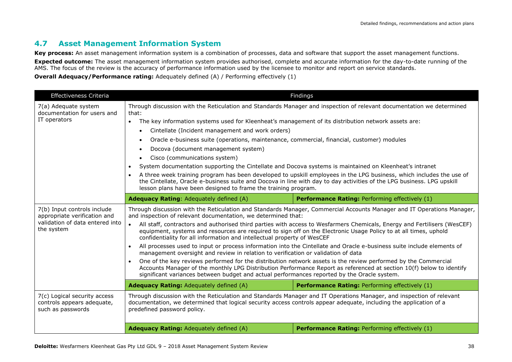#### **4.7 Asset Management Information System**

**Key process:** An asset management information system is a combination of processes, data and software that support the asset management functions. **Expected outcome:** The asset management information system provides authorised, complete and accurate information for the day-to-date running of the AMS. The focus of the review is the accuracy of performance information used by the licensee to monitor and report on service standards.

**Overall Adequacy/Performance rating:** Adequately defined (A) / Performing effectively (1)

| Effectiveness Criteria                                                                                       |                                                                                                                                                                                                                                                                                                                                                                                                                                                                                                                                                                                                                                                                                                                                                                                                                                                                                                                                                                                                                                                                                                                   | Findings                                              |  |
|--------------------------------------------------------------------------------------------------------------|-------------------------------------------------------------------------------------------------------------------------------------------------------------------------------------------------------------------------------------------------------------------------------------------------------------------------------------------------------------------------------------------------------------------------------------------------------------------------------------------------------------------------------------------------------------------------------------------------------------------------------------------------------------------------------------------------------------------------------------------------------------------------------------------------------------------------------------------------------------------------------------------------------------------------------------------------------------------------------------------------------------------------------------------------------------------------------------------------------------------|-------------------------------------------------------|--|
| 7(a) Adequate system<br>documentation for users and<br>IT operators                                          | Through discussion with the Reticulation and Standards Manager and inspection of relevant documentation we determined<br>The key information systems used for Kleenheat's management of its distribution network assets are:<br>Oracle e-business suite (operations, maintenance, commercial, financial, customer) modules<br>System documentation supporting the Cintellate and Docova systems is maintained on Kleenheat's intranet<br>A three week training program has been developed to upskill employees in the LPG business, which includes the use of<br>the Cintellate, Oracle e-business suite and Docova in line with day to day activities of the LPG business. LPG upskill<br>lesson plans have been designed to frame the training program.                                                                                                                                                                                                                                                                                                                                                         |                                                       |  |
|                                                                                                              | Adequacy Rating: Adequately defined (A)                                                                                                                                                                                                                                                                                                                                                                                                                                                                                                                                                                                                                                                                                                                                                                                                                                                                                                                                                                                                                                                                           | Performance Rating: Performing effectively (1)        |  |
| 7(b) Input controls include<br>appropriate verification and<br>validation of data entered into<br>the system | Through discussion with the Reticulation and Standards Manager, Commercial Accounts Manager and IT Operations Manager,<br>and inspection of relevant documentation, we determined that:<br>All staff, contractors and authorised third parties with access to Wesfarmers Chemicals, Energy and Fertilisers (WesCEF)<br>$\bullet$<br>equipment, systems and resources are required to sign off on the Electronic Usage Policy to at all times, uphold<br>confidentiality for all information and intellectual property of WesCEF<br>All processes used to input or process information into the Cintellate and Oracle e-business suite include elements of<br>$\bullet$<br>management oversight and review in relation to verification or validation of data<br>One of the key reviews performed for the distribution network assets is the review performed by the Commercial<br>$\bullet$<br>Accounts Manager of the monthly LPG Distribution Performance Report as referenced at section 10(f) below to identify<br>significant variances between budget and actual performances reported by the Oracle system. |                                                       |  |
|                                                                                                              | <b>Adequacy Rating: Adequately defined (A)</b>                                                                                                                                                                                                                                                                                                                                                                                                                                                                                                                                                                                                                                                                                                                                                                                                                                                                                                                                                                                                                                                                    | <b>Performance Rating: Performing effectively (1)</b> |  |
| 7(c) Logical security access<br>controls appears adequate,<br>such as passwords                              | Through discussion with the Reticulation and Standards Manager and IT Operations Manager, and inspection of relevant<br>documentation, we determined that logical security access controls appear adequate, including the application of a<br>predefined password policy.                                                                                                                                                                                                                                                                                                                                                                                                                                                                                                                                                                                                                                                                                                                                                                                                                                         |                                                       |  |
|                                                                                                              | Adequacy Rating: Adequately defined (A)                                                                                                                                                                                                                                                                                                                                                                                                                                                                                                                                                                                                                                                                                                                                                                                                                                                                                                                                                                                                                                                                           | Performance Rating: Performing effectively (1)        |  |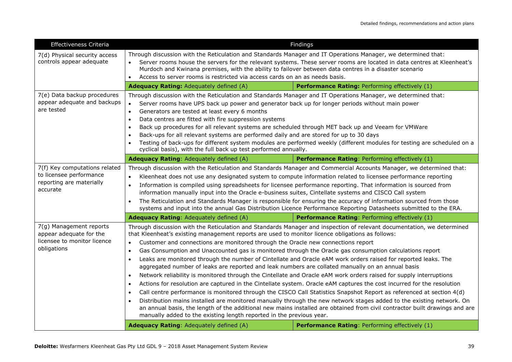| Effectiveness Criteria                                                                           |                                                                                                                                                                                                                                                                                                                                                                                                                                                                                                                                                                                                                                                                                                                                                                                                                                                                                                                                                                                                                                                                                                                                                                                                                                                                                                                                                                                                             | Findings                                       |  |
|--------------------------------------------------------------------------------------------------|-------------------------------------------------------------------------------------------------------------------------------------------------------------------------------------------------------------------------------------------------------------------------------------------------------------------------------------------------------------------------------------------------------------------------------------------------------------------------------------------------------------------------------------------------------------------------------------------------------------------------------------------------------------------------------------------------------------------------------------------------------------------------------------------------------------------------------------------------------------------------------------------------------------------------------------------------------------------------------------------------------------------------------------------------------------------------------------------------------------------------------------------------------------------------------------------------------------------------------------------------------------------------------------------------------------------------------------------------------------------------------------------------------------|------------------------------------------------|--|
| 7(d) Physical security access<br>controls appear adequate                                        | Through discussion with the Reticulation and Standards Manager and IT Operations Manager, we determined that:<br>Server rooms house the servers for the relevant systems. These server rooms are located in data centres at Kleenheat's<br>Murdoch and Kwinana premises, with the ability to failover between data centres in a disaster scenario<br>Access to server rooms is restricted via access cards on an as needs basis.                                                                                                                                                                                                                                                                                                                                                                                                                                                                                                                                                                                                                                                                                                                                                                                                                                                                                                                                                                            |                                                |  |
|                                                                                                  | Adequacy Rating: Adequately defined (A)                                                                                                                                                                                                                                                                                                                                                                                                                                                                                                                                                                                                                                                                                                                                                                                                                                                                                                                                                                                                                                                                                                                                                                                                                                                                                                                                                                     | Performance Rating: Performing effectively (1) |  |
| 7(e) Data backup procedures<br>appear adequate and backups<br>are tested                         | Through discussion with the Reticulation and Standards Manager and IT Operations Manager, we determined that:<br>Server rooms have UPS back up power and generator back up for longer periods without main power<br>$\bullet$<br>Generators are tested at least every 6 months<br>$\bullet$<br>Data centres are fitted with fire suppression systems<br>$\bullet$<br>Back up procedures for all relevant systems are scheduled through MET back up and Veeam for VMWare<br>$\bullet$<br>Back-ups for all relevant systems are performed daily and are stored for up to 30 days<br>$\bullet$<br>Testing of back-ups for different system modules are performed weekly (different modules for testing are scheduled on a<br>cyclical basis), with the full back up test performed annually.                                                                                                                                                                                                                                                                                                                                                                                                                                                                                                                                                                                                                   |                                                |  |
|                                                                                                  | Adequacy Rating: Adequately defined (A)                                                                                                                                                                                                                                                                                                                                                                                                                                                                                                                                                                                                                                                                                                                                                                                                                                                                                                                                                                                                                                                                                                                                                                                                                                                                                                                                                                     | Performance Rating: Performing effectively (1) |  |
| 7(f) Key computations related<br>to licensee performance<br>reporting are materially<br>accurate | Through discussion with the Reticulation and Standards Manager and Commercial Accounts Manager, we determined that:<br>Kleenheat does not use any designated system to compute information related to licensee performance reporting<br>$\bullet$<br>Information is compiled using spreadsheets for licensee performance reporting. That information is sourced from<br>information manually input into the Oracle e-business suites, Cintellate systems and CISCO Call system<br>The Reticulation and Standards Manager is responsible for ensuring the accuracy of information sourced from those<br>systems and input into the annual Gas Distribution Licence Performance Reporting Datasheets submitted to the ERA.                                                                                                                                                                                                                                                                                                                                                                                                                                                                                                                                                                                                                                                                                    |                                                |  |
|                                                                                                  | Adequacy Rating: Adequately defined (A)                                                                                                                                                                                                                                                                                                                                                                                                                                                                                                                                                                                                                                                                                                                                                                                                                                                                                                                                                                                                                                                                                                                                                                                                                                                                                                                                                                     | Performance Rating: Performing effectively (1) |  |
| 7(g) Management reports<br>appear adequate for the<br>licensee to monitor licence<br>obligations | Through discussion with the Reticulation and Standards Manager and inspection of relevant documentation, we determined<br>that Kleenheat's existing management reports are used to monitor licence obligations as follows:<br>Customer and connections are monitored through the Oracle new connections report<br>$\bullet$<br>Gas Consumption and Unaccounted gas is monitored through the Oracle gas consumption calculations report<br>$\bullet$<br>Leaks are monitored through the number of Cintellate and Oracle eAM work orders raised for reported leaks. The<br>aggregated number of leaks are reported and leak numbers are collated manually on an annual basis<br>Network reliability is monitored through the Cintellate and Oracle eAM work orders raised for supply interruptions<br>$\bullet$<br>Actions for resolution are captured in the Cintellate system. Oracle eAM captures the cost incurred for the resolution<br>$\bullet$<br>Call centre performance is monitored through the CISCO Call Statistics Snapshot Report as referenced at section 4(d)<br>Distribution mains installed are monitored manually through the new network stages added to the existing network. On<br>an annual basis, the length of the additional new mains installed are obtained from civil contractor built drawings and are<br>manually added to the existing length reported in the previous year. |                                                |  |
|                                                                                                  | Adequacy Rating: Adequately defined (A)                                                                                                                                                                                                                                                                                                                                                                                                                                                                                                                                                                                                                                                                                                                                                                                                                                                                                                                                                                                                                                                                                                                                                                                                                                                                                                                                                                     | Performance Rating: Performing effectively (1) |  |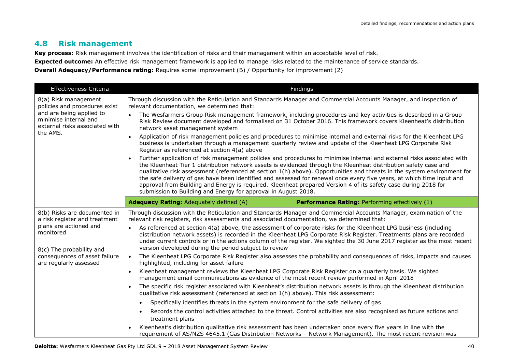#### **4.8 Risk management**

**Key process:** Risk management involves the identification of risks and their management within an acceptable level of risk.

**Expected outcome:** An effective risk management framework is applied to manage risks related to the maintenance of service standards.

**Overall Adequacy/Performance rating:** Requires some improvement (B) / Opportunity for improvement (2)

| Effectiveness Criteria                                                                                                                                                                      | Findings                                                                                                                                                                                                                                                                                                                                                                                                                                                                                                                                                                                                                                                                                        |                                                                                                                                                                                                                                                                                                                                                                                                                                                                                                                                                                                                                                                                                                                                                                                                                                                                                                                                                                                                                                                                                                                                                                                                                                                                                                                      |  |
|---------------------------------------------------------------------------------------------------------------------------------------------------------------------------------------------|-------------------------------------------------------------------------------------------------------------------------------------------------------------------------------------------------------------------------------------------------------------------------------------------------------------------------------------------------------------------------------------------------------------------------------------------------------------------------------------------------------------------------------------------------------------------------------------------------------------------------------------------------------------------------------------------------|----------------------------------------------------------------------------------------------------------------------------------------------------------------------------------------------------------------------------------------------------------------------------------------------------------------------------------------------------------------------------------------------------------------------------------------------------------------------------------------------------------------------------------------------------------------------------------------------------------------------------------------------------------------------------------------------------------------------------------------------------------------------------------------------------------------------------------------------------------------------------------------------------------------------------------------------------------------------------------------------------------------------------------------------------------------------------------------------------------------------------------------------------------------------------------------------------------------------------------------------------------------------------------------------------------------------|--|
| 8(a) Risk management<br>policies and procedures exist<br>and are being applied to<br>minimise internal and<br>external risks associated with                                                | relevant documentation, we determined that:                                                                                                                                                                                                                                                                                                                                                                                                                                                                                                                                                                                                                                                     | Through discussion with the Reticulation and Standards Manager and Commercial Accounts Manager, and inspection of                                                                                                                                                                                                                                                                                                                                                                                                                                                                                                                                                                                                                                                                                                                                                                                                                                                                                                                                                                                                                                                                                                                                                                                                    |  |
|                                                                                                                                                                                             | The Wesfarmers Group Risk management framework, including procedures and key activities is described in a Group<br>Risk Review document developed and formalised on 31 October 2016. This framework covers Kleenheat's distribution<br>network asset management system                                                                                                                                                                                                                                                                                                                                                                                                                          |                                                                                                                                                                                                                                                                                                                                                                                                                                                                                                                                                                                                                                                                                                                                                                                                                                                                                                                                                                                                                                                                                                                                                                                                                                                                                                                      |  |
| the AMS.                                                                                                                                                                                    | Application of risk management policies and procedures to minimise internal and external risks for the Kleenheat LPG<br>$\bullet$<br>business is undertaken through a management quarterly review and update of the Kleenheat LPG Corporate Risk<br>Register as referenced at section 4(a) above                                                                                                                                                                                                                                                                                                                                                                                                |                                                                                                                                                                                                                                                                                                                                                                                                                                                                                                                                                                                                                                                                                                                                                                                                                                                                                                                                                                                                                                                                                                                                                                                                                                                                                                                      |  |
|                                                                                                                                                                                             | Further application of risk management policies and procedures to minimise internal and external risks associated with<br>$\bullet$<br>the Kleenheat Tier 1 distribution network assets is evidenced through the Kleenheat distribution safety case and<br>qualitative risk assessment (referenced at section 1(h) above). Opportunities and threats in the system environment for<br>the safe delivery of gas have been identified and assessed for renewal once every five years, at which time input and<br>approval from Building and Energy is required. Kleenheat prepared Version 4 of its safety case during 2018 for<br>submission to Building and Energy for approval in August 2018. |                                                                                                                                                                                                                                                                                                                                                                                                                                                                                                                                                                                                                                                                                                                                                                                                                                                                                                                                                                                                                                                                                                                                                                                                                                                                                                                      |  |
|                                                                                                                                                                                             | <b>Adequacy Rating: Adequately defined (A)</b>                                                                                                                                                                                                                                                                                                                                                                                                                                                                                                                                                                                                                                                  | Performance Rating: Performing effectively (1)                                                                                                                                                                                                                                                                                                                                                                                                                                                                                                                                                                                                                                                                                                                                                                                                                                                                                                                                                                                                                                                                                                                                                                                                                                                                       |  |
| 8(b) Risks are documented in<br>a risk register and treatment<br>plans are actioned and<br>monitored<br>8(c) The probability and<br>consequences of asset failure<br>are regularly assessed | relevant risk registers, risk assessments and associated documentation, we determined that:<br>version developed during the period subject to review<br>$\bullet$<br>highlighted, including for asset failure<br>$\bullet$<br>$\bullet$<br>qualitative risk assessment (referenced at section 1(h) above). This risk assessment:<br>Specifically identifies threats in the system environment for the safe delivery of gas<br>treatment plans                                                                                                                                                                                                                                                   | Through discussion with the Reticulation and Standards Manager and Commercial Accounts Manager, examination of the<br>As referenced at section 4(a) above, the assessment of corporate risks for the Kleenheat LPG business (including<br>distribution network assets) is recorded in the Kleenheat LPG Corporate Risk Register. Treatments plans are recorded<br>under current controls or in the actions column of the register. We sighted the 30 June 2017 register as the most recent<br>The Kleenheat LPG Corporate Risk Register also assesses the probability and consequences of risks, impacts and causes<br>Kleenheat management reviews the Kleenheat LPG Corporate Risk Register on a quarterly basis. We sighted<br>management email communications as evidence of the most recent review performed in April 2018<br>The specific risk register associated with Kleenheat's distribution network assets is through the Kleenheat distribution<br>Records the control activities attached to the threat. Control activities are also recognised as future actions and<br>Kleenheat's distribution qualitative risk assessment has been undertaken once every five years in line with the<br>requirement of AS/NZS 4645.1 (Gas Distribution Networks - Network Management). The most recent revision was |  |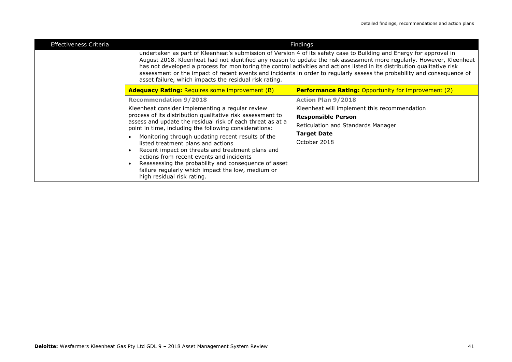| <b>Effectiveness Criteria</b> | Findings                                                                                                                                                                                                                                                                                                                                                                                                                                                                                                                                                       |                                                            |  |  |
|-------------------------------|----------------------------------------------------------------------------------------------------------------------------------------------------------------------------------------------------------------------------------------------------------------------------------------------------------------------------------------------------------------------------------------------------------------------------------------------------------------------------------------------------------------------------------------------------------------|------------------------------------------------------------|--|--|
|                               | undertaken as part of Kleenheat's submission of Version 4 of its safety case to Building and Energy for approval in<br>August 2018. Kleenheat had not identified any reason to update the risk assessment more regularly. However, Kleenheat<br>has not developed a process for monitoring the control activities and actions listed in its distribution qualitative risk<br>assessment or the impact of recent events and incidents in order to regularly assess the probability and consequence of<br>asset failure, which impacts the residual risk rating. |                                                            |  |  |
|                               | <b>Adequacy Rating: Requires some improvement (B)</b>                                                                                                                                                                                                                                                                                                                                                                                                                                                                                                          | <b>Performance Rating: Opportunity for improvement (2)</b> |  |  |
|                               | <b>Recommendation 9/2018</b>                                                                                                                                                                                                                                                                                                                                                                                                                                                                                                                                   | <b>Action Plan 9/2018</b>                                  |  |  |
|                               | Kleenheat consider implementing a regular review<br>process of its distribution qualitative risk assessment to<br>assess and update the residual risk of each threat as at a<br>point in time, including the following considerations:<br>Monitoring through updating recent results of the                                                                                                                                                                                                                                                                    | Kleenheat will implement this recommendation               |  |  |
|                               |                                                                                                                                                                                                                                                                                                                                                                                                                                                                                                                                                                | <b>Responsible Person</b>                                  |  |  |
|                               |                                                                                                                                                                                                                                                                                                                                                                                                                                                                                                                                                                | Reticulation and Standards Manager                         |  |  |
|                               |                                                                                                                                                                                                                                                                                                                                                                                                                                                                                                                                                                | <b>Target Date</b>                                         |  |  |
|                               | listed treatment plans and actions                                                                                                                                                                                                                                                                                                                                                                                                                                                                                                                             | October 2018                                               |  |  |
|                               | Recent impact on threats and treatment plans and                                                                                                                                                                                                                                                                                                                                                                                                                                                                                                               |                                                            |  |  |
|                               | actions from recent events and incidents<br>Reassessing the probability and consequence of asset                                                                                                                                                                                                                                                                                                                                                                                                                                                               |                                                            |  |  |
|                               | failure regularly which impact the low, medium or<br>high residual risk rating.                                                                                                                                                                                                                                                                                                                                                                                                                                                                                |                                                            |  |  |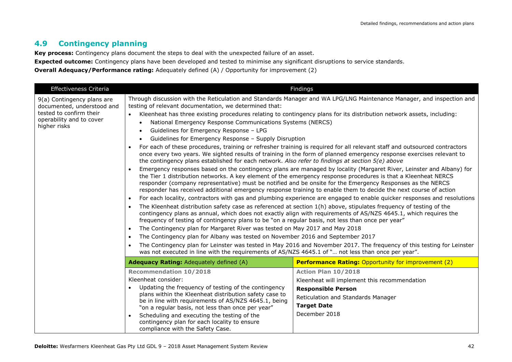#### **4.9 Contingency planning**

**Key process:** Contingency plans document the steps to deal with the unexpected failure of an asset.

**Expected outcome:** Contingency plans have been developed and tested to minimise any significant disruptions to service standards.

**Overall Adequacy/Performance rating:** Adequately defined (A) / Opportunity for improvement (2)

| Effectiveness Criteria                                                                                                          |                                                                                                                                                                                                                                                                                                                                                                                                                                                                                                                                                                                                                                                                                                                                                                           | Findings                                                                                                                                                                                                                                                                                                                                                                                                                                                                                                                                                                                                                                                                                                                                                                                                                                                                                                                                                                                                                                                                                                                                                                                                                                                                                                                                                                                                                                                                        |
|---------------------------------------------------------------------------------------------------------------------------------|---------------------------------------------------------------------------------------------------------------------------------------------------------------------------------------------------------------------------------------------------------------------------------------------------------------------------------------------------------------------------------------------------------------------------------------------------------------------------------------------------------------------------------------------------------------------------------------------------------------------------------------------------------------------------------------------------------------------------------------------------------------------------|---------------------------------------------------------------------------------------------------------------------------------------------------------------------------------------------------------------------------------------------------------------------------------------------------------------------------------------------------------------------------------------------------------------------------------------------------------------------------------------------------------------------------------------------------------------------------------------------------------------------------------------------------------------------------------------------------------------------------------------------------------------------------------------------------------------------------------------------------------------------------------------------------------------------------------------------------------------------------------------------------------------------------------------------------------------------------------------------------------------------------------------------------------------------------------------------------------------------------------------------------------------------------------------------------------------------------------------------------------------------------------------------------------------------------------------------------------------------------------|
| 9(a) Contingency plans are<br>documented, understood and<br>tested to confirm their<br>operability and to cover<br>higher risks | testing of relevant documentation, we determined that:<br>National Emergency Response Communications Systems (NERCS)<br>Guidelines for Emergency Response - LPG<br>Guidelines for Emergency Response - Supply Disruption<br>the contingency plans established for each network. Also refer to findings at section 5(e) above<br>$\bullet$<br>$\bullet$<br>$\bullet$<br>frequency of testing of contingency plans to be "on a regular basis, not less than once per year"<br>The Contingency plan for Margaret River was tested on May 2017 and May 2018<br>$\bullet$<br>The Contingency plan for Albany was tested on November 2016 and September 2017<br>$\bullet$<br>was not executed in line with the requirements of AS/NZS 4645.1 of " not less than once per year". | Through discussion with the Reticulation and Standards Manager and WA LPG/LNG Maintenance Manager, and inspection and<br>Kleenheat has three existing procedures relating to contingency plans for its distribution network assets, including:<br>For each of these procedures, training or refresher training is required for all relevant staff and outsourced contractors<br>once every two years. We sighted results of training in the form of planned emergency response exercises relevant to<br>Emergency responses based on the contingency plans are managed by locality (Margaret River, Leinster and Albany) for<br>the Tier 1 distribution networks. A key element of the emergency response procedures is that a Kleenheat NERCS<br>responder (company representative) must be notified and be onsite for the Emergency Responses as the NERCS<br>responder has received additional emergency response training to enable them to decide the next course of action<br>For each locality, contractors with gas and plumbing experience are engaged to enable quicker responses and resolutions<br>The Kleenheat distribution safety case as referenced at section 1(h) above, stipulates frequency of testing of the<br>contingency plans as annual, which does not exactly align with requirements of AS/NZS 4645.1, which requires the<br>The Contingency plan for Leinster was tested in May 2016 and November 2017. The frequency of this testing for Leinster |
|                                                                                                                                 | Adequacy Rating: Adequately defined (A)                                                                                                                                                                                                                                                                                                                                                                                                                                                                                                                                                                                                                                                                                                                                   | <b>Performance Rating: Opportunity for improvement (2)</b>                                                                                                                                                                                                                                                                                                                                                                                                                                                                                                                                                                                                                                                                                                                                                                                                                                                                                                                                                                                                                                                                                                                                                                                                                                                                                                                                                                                                                      |
|                                                                                                                                 | <b>Recommendation 10/2018</b>                                                                                                                                                                                                                                                                                                                                                                                                                                                                                                                                                                                                                                                                                                                                             | Action Plan 10/2018                                                                                                                                                                                                                                                                                                                                                                                                                                                                                                                                                                                                                                                                                                                                                                                                                                                                                                                                                                                                                                                                                                                                                                                                                                                                                                                                                                                                                                                             |
|                                                                                                                                 | Kleenheat consider:                                                                                                                                                                                                                                                                                                                                                                                                                                                                                                                                                                                                                                                                                                                                                       | Kleenheat will implement this recommendation                                                                                                                                                                                                                                                                                                                                                                                                                                                                                                                                                                                                                                                                                                                                                                                                                                                                                                                                                                                                                                                                                                                                                                                                                                                                                                                                                                                                                                    |
|                                                                                                                                 | Updating the frequency of testing of the contingency                                                                                                                                                                                                                                                                                                                                                                                                                                                                                                                                                                                                                                                                                                                      | <b>Responsible Person</b>                                                                                                                                                                                                                                                                                                                                                                                                                                                                                                                                                                                                                                                                                                                                                                                                                                                                                                                                                                                                                                                                                                                                                                                                                                                                                                                                                                                                                                                       |
|                                                                                                                                 | plans within the Kleenheat distribution safety case to                                                                                                                                                                                                                                                                                                                                                                                                                                                                                                                                                                                                                                                                                                                    | Reticulation and Standards Manager                                                                                                                                                                                                                                                                                                                                                                                                                                                                                                                                                                                                                                                                                                                                                                                                                                                                                                                                                                                                                                                                                                                                                                                                                                                                                                                                                                                                                                              |
|                                                                                                                                 | be in line with requirements of AS/NZS 4645.1, being<br>"on a regular basis, not less than once per year"                                                                                                                                                                                                                                                                                                                                                                                                                                                                                                                                                                                                                                                                 | <b>Target Date</b>                                                                                                                                                                                                                                                                                                                                                                                                                                                                                                                                                                                                                                                                                                                                                                                                                                                                                                                                                                                                                                                                                                                                                                                                                                                                                                                                                                                                                                                              |
|                                                                                                                                 | Scheduling and executing the testing of the                                                                                                                                                                                                                                                                                                                                                                                                                                                                                                                                                                                                                                                                                                                               | December 2018                                                                                                                                                                                                                                                                                                                                                                                                                                                                                                                                                                                                                                                                                                                                                                                                                                                                                                                                                                                                                                                                                                                                                                                                                                                                                                                                                                                                                                                                   |
|                                                                                                                                 | contingency plan for each locality to ensure<br>compliance with the Safety Case.                                                                                                                                                                                                                                                                                                                                                                                                                                                                                                                                                                                                                                                                                          |                                                                                                                                                                                                                                                                                                                                                                                                                                                                                                                                                                                                                                                                                                                                                                                                                                                                                                                                                                                                                                                                                                                                                                                                                                                                                                                                                                                                                                                                                 |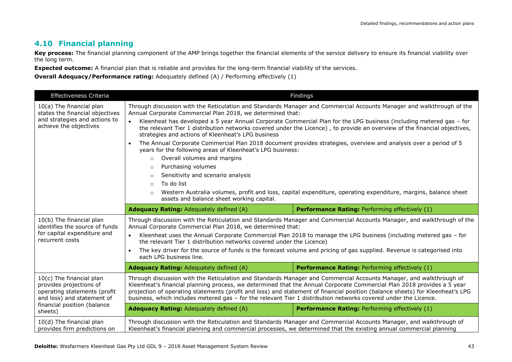#### **4.10 Financial planning**

Key process: The financial planning component of the AMP brings together the financial elements of the service delivery to ensure its financial viability over the long term.

**Expected outcome:** A financial plan that is reliable and provides for the long-term financial viability of the services.

**Overall Adequacy/Performance rating:** Adequately defined (A) / Performing effectively (1)

| Effectiveness Criteria                                                                                            |                                                                                                                                                                                                                                                                                                                     | Findings                                                                                                                                                                                                                                                                                                                                                                      |  |
|-------------------------------------------------------------------------------------------------------------------|---------------------------------------------------------------------------------------------------------------------------------------------------------------------------------------------------------------------------------------------------------------------------------------------------------------------|-------------------------------------------------------------------------------------------------------------------------------------------------------------------------------------------------------------------------------------------------------------------------------------------------------------------------------------------------------------------------------|--|
| 10(a) The financial plan<br>states the financial objectives                                                       | Through discussion with the Reticulation and Standards Manager and Commercial Accounts Manager and walkthrough of the<br>Annual Corporate Commercial Plan 2018, we determined that:                                                                                                                                 |                                                                                                                                                                                                                                                                                                                                                                               |  |
| and strategies and actions to<br>achieve the objectives                                                           | $\bullet$<br>Kleenheat has developed a 5 year Annual Corporate Commercial Plan for the LPG business (including metered gas - for<br>the relevant Tier 1 distribution networks covered under the Licence), to provide an overview of the financial objectives,<br>strategies and actions of Kleenheat's LPG business |                                                                                                                                                                                                                                                                                                                                                                               |  |
|                                                                                                                   | The Annual Corporate Commercial Plan 2018 document provides strategies, overview and analysis over a period of 5<br>years for the following areas of Kleenheat's LPG business:                                                                                                                                      |                                                                                                                                                                                                                                                                                                                                                                               |  |
|                                                                                                                   | Overall volumes and margins<br>$\circ$                                                                                                                                                                                                                                                                              |                                                                                                                                                                                                                                                                                                                                                                               |  |
|                                                                                                                   | Purchasing volumes<br>$\circ$                                                                                                                                                                                                                                                                                       |                                                                                                                                                                                                                                                                                                                                                                               |  |
|                                                                                                                   | Sensitivity and scenario analysis<br>$\circ$                                                                                                                                                                                                                                                                        |                                                                                                                                                                                                                                                                                                                                                                               |  |
|                                                                                                                   | To do list<br>$\circ$                                                                                                                                                                                                                                                                                               |                                                                                                                                                                                                                                                                                                                                                                               |  |
|                                                                                                                   | $\circ$<br>assets and balance sheet working capital.                                                                                                                                                                                                                                                                | Western Australia volumes, profit and loss, capital expenditure, operating expenditure, margins, balance sheet                                                                                                                                                                                                                                                                |  |
|                                                                                                                   | Adequacy Rating: Adequately defined (A)                                                                                                                                                                                                                                                                             | Performance Rating: Performing effectively (1)                                                                                                                                                                                                                                                                                                                                |  |
| 10(b) The financial plan<br>identifies the source of funds                                                        | Through discussion with the Reticulation and Standards Manager and Commercial Accounts Manager, and walkthrough of the<br>Annual Corporate Commercial Plan 2018, we determined that:                                                                                                                                |                                                                                                                                                                                                                                                                                                                                                                               |  |
| for capital expenditure and<br>recurrent costs                                                                    | Kleenheat uses the Annual Corporate Commercial Plan 2018 to manage the LPG business (including metered gas - for<br>$\bullet$<br>the relevant Tier 1 distribution networks covered under the Licence)                                                                                                               |                                                                                                                                                                                                                                                                                                                                                                               |  |
|                                                                                                                   | The key driver for the source of funds is the forecast volume and pricing of gas supplied. Revenue is categorised into<br>$\bullet$<br>each LPG business line.                                                                                                                                                      |                                                                                                                                                                                                                                                                                                                                                                               |  |
|                                                                                                                   | Adequacy Rating: Adequately defined (A)                                                                                                                                                                                                                                                                             | Performance Rating: Performing effectively (1)                                                                                                                                                                                                                                                                                                                                |  |
| 10(c) The financial plan<br>provides projections of<br>operating statements (profit<br>and loss) and statement of | business, which includes metered gas - for the relevant Tier 1 distribution networks covered under the Licence.                                                                                                                                                                                                     | Through discussion with the Reticulation and Standards Manager and Commercial Accounts Manager, and walkthrough of<br>Kleenheat's financial planning process, we determined that the Annual Corporate Commercial Plan 2018 provides a 5 year<br>projection of operating statements (profit and loss) and statement of financial position (balance sheets) for Kleenheat's LPG |  |
| financial position (balance<br>sheets)                                                                            | <b>Adequacy Rating: Adequately defined (A)</b>                                                                                                                                                                                                                                                                      | <b>Performance Rating: Performing effectively (1)</b>                                                                                                                                                                                                                                                                                                                         |  |
| 10(d) The financial plan<br>provides firm predictions on                                                          | Through discussion with the Reticulation and Standards Manager and Commercial Accounts Manager, and walkthrough of<br>Kleenheat's financial planning and commercial processes, we determined that the existing annual commercial planning                                                                           |                                                                                                                                                                                                                                                                                                                                                                               |  |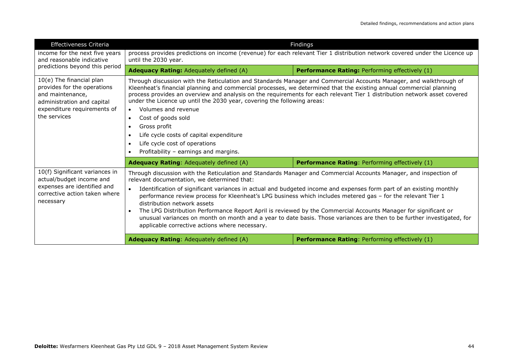| <b>Effectiveness Criteria</b>                                                                                                                            |                                                                                                                                                                                                                                                                                                                                                                                                                                                                                                                                                                                                                                                                                                                                       | Findings                                              |  |  |
|----------------------------------------------------------------------------------------------------------------------------------------------------------|---------------------------------------------------------------------------------------------------------------------------------------------------------------------------------------------------------------------------------------------------------------------------------------------------------------------------------------------------------------------------------------------------------------------------------------------------------------------------------------------------------------------------------------------------------------------------------------------------------------------------------------------------------------------------------------------------------------------------------------|-------------------------------------------------------|--|--|
| income for the next five years<br>and reasonable indicative                                                                                              | process provides predictions on income (revenue) for each relevant Tier 1 distribution network covered under the Licence up<br>until the 2030 year.                                                                                                                                                                                                                                                                                                                                                                                                                                                                                                                                                                                   |                                                       |  |  |
| predictions beyond this period                                                                                                                           | <b>Adequacy Rating:</b> Adequately defined (A)                                                                                                                                                                                                                                                                                                                                                                                                                                                                                                                                                                                                                                                                                        | <b>Performance Rating: Performing effectively (1)</b> |  |  |
| 10(e) The financial plan<br>provides for the operations<br>and maintenance,<br>administration and capital<br>expenditure requirements of<br>the services | Through discussion with the Reticulation and Standards Manager and Commercial Accounts Manager, and walkthrough of<br>Kleenheat's financial planning and commercial processes, we determined that the existing annual commercial planning<br>process provides an overview and analysis on the requirements for each relevant Tier 1 distribution network asset covered<br>under the Licence up until the 2030 year, covering the following areas:<br>Volumes and revenue<br>$\bullet$<br>Cost of goods sold<br>$\bullet$<br>Gross profit<br>Life cycle costs of capital expenditure<br>Life cycle cost of operations<br>Profitability - earnings and margins.                                                                         |                                                       |  |  |
|                                                                                                                                                          | <b>Adequacy Rating: Adequately defined (A)</b>                                                                                                                                                                                                                                                                                                                                                                                                                                                                                                                                                                                                                                                                                        | <b>Performance Rating: Performing effectively (1)</b> |  |  |
| 10(f) Significant variances in<br>actual/budget income and<br>expenses are identified and<br>corrective action taken where<br>necessary                  | Through discussion with the Reticulation and Standards Manager and Commercial Accounts Manager, and inspection of<br>relevant documentation, we determined that:<br>Identification of significant variances in actual and budgeted income and expenses form part of an existing monthly<br>performance review process for Kleenheat's LPG business which includes metered gas - for the relevant Tier 1<br>distribution network assets<br>The LPG Distribution Performance Report April is reviewed by the Commercial Accounts Manager for significant or<br>unusual variances on month on month and a year to date basis. Those variances are then to be further investigated, for<br>applicable corrective actions where necessary. |                                                       |  |  |
|                                                                                                                                                          | <b>Adequacy Rating:</b> Adequately defined (A)                                                                                                                                                                                                                                                                                                                                                                                                                                                                                                                                                                                                                                                                                        | <b>Performance Rating: Performing effectively (1)</b> |  |  |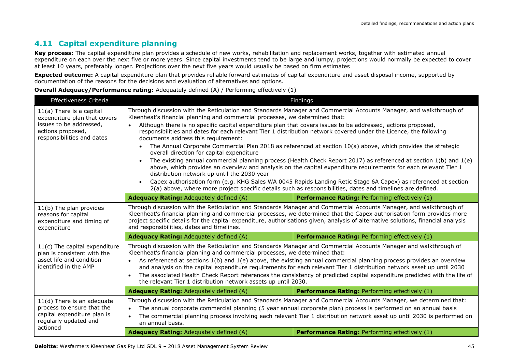#### **4.11 Capital expenditure planning**

Key process: The capital expenditure plan provides a schedule of new works, rehabilitation and replacement works, together with estimated annual expenditure on each over the next five or more years. Since capital investments tend to be large and lumpy, projections would normally be expected to cover at least 10 years, preferably longer. Projections over the next five years would usually be based on firm estimates

**Expected outcome:** A capital expenditure plan that provides reliable forward estimates of capital expenditure and asset disposal income, supported by documentation of the reasons for the decisions and evaluation of alternatives and options.

#### **Overall Adequacy/Performance rating:** Adequately defined (A) / Performing effectively (1)

| <b>Effectiveness Criteria</b>                                                                                                            | Findings                                                                                                                                                                                                                                                                                                                                                                                                                                                                                                                                                                                                                                                                                                                                                                                                                                                                                                                                                                                                                                                                                                                                                                        |                                                |  |
|------------------------------------------------------------------------------------------------------------------------------------------|---------------------------------------------------------------------------------------------------------------------------------------------------------------------------------------------------------------------------------------------------------------------------------------------------------------------------------------------------------------------------------------------------------------------------------------------------------------------------------------------------------------------------------------------------------------------------------------------------------------------------------------------------------------------------------------------------------------------------------------------------------------------------------------------------------------------------------------------------------------------------------------------------------------------------------------------------------------------------------------------------------------------------------------------------------------------------------------------------------------------------------------------------------------------------------|------------------------------------------------|--|
| $11(a)$ There is a capital<br>expenditure plan that covers<br>issues to be addressed,<br>actions proposed,<br>responsibilities and dates | Through discussion with the Reticulation and Standards Manager and Commercial Accounts Manager, and walkthrough of<br>Kleenheat's financial planning and commercial processes, we determined that:<br>Although there is no specific capital expenditure plan that covers issues to be addressed, actions proposed,<br>$\bullet$<br>responsibilities and dates for each relevant Tier 1 distribution network covered under the Licence, the following<br>documents address this requirement:<br>The Annual Corporate Commercial Plan 2018 as referenced at section 10(a) above, which provides the strategic<br>overall direction for capital expenditure<br>The existing annual commercial planning process (Health Check Report 2017) as referenced at section 1(b) and 1(e)<br>above, which provides an overview and analysis on the capital expenditure requirements for each relevant Tier 1<br>distribution network up until the 2030 year<br>Capex authorisation form (e.g. KHG Sales WA 0045 Rapids Landing Retic Stage 6A Capex) as referenced at section<br>2(a) above, where more project specific details such as responsibilities, dates and timelines are defined. |                                                |  |
|                                                                                                                                          | <b>Adequacy Rating: Adequately defined (A)</b>                                                                                                                                                                                                                                                                                                                                                                                                                                                                                                                                                                                                                                                                                                                                                                                                                                                                                                                                                                                                                                                                                                                                  | Performance Rating: Performing effectively (1) |  |
| 11(b) The plan provides<br>reasons for capital<br>expenditure and timing of<br>expenditure                                               | Through discussion with the Reticulation and Standards Manager and Commercial Accounts Manager, and walkthrough of<br>Kleenheat's financial planning and commercial processes, we determined that the Capex authorisation form provides more<br>project specific details for the capital expenditure, authorisations given, analysis of alternative solutions, financial analysis<br>and responsibilities, dates and timelines.                                                                                                                                                                                                                                                                                                                                                                                                                                                                                                                                                                                                                                                                                                                                                 |                                                |  |
|                                                                                                                                          | Adequacy Rating: Adequately defined (A)                                                                                                                                                                                                                                                                                                                                                                                                                                                                                                                                                                                                                                                                                                                                                                                                                                                                                                                                                                                                                                                                                                                                         | Performance Rating: Performing effectively (1) |  |
| $11(c)$ The capital expenditure<br>plan is consistent with the<br>asset life and condition<br>identified in the AMP                      | Through discussion with the Reticulation and Standards Manager and Commercial Accounts Manager and walkthrough of<br>Kleenheat's financial planning and commercial processes, we determined that:<br>As referenced at sections 1(b) and 1(e) above, the existing annual commercial planning process provides an overview<br>and analysis on the capital expenditure requirements for each relevant Tier 1 distribution network asset up until 2030<br>The associated Health Check Report references the consistency of predicted capital expenditure predicted with the life of<br>the relevant Tier 1 distribution network assets up until 2030.                                                                                                                                                                                                                                                                                                                                                                                                                                                                                                                               |                                                |  |
|                                                                                                                                          | <b>Adequacy Rating: Adequately defined (A)</b>                                                                                                                                                                                                                                                                                                                                                                                                                                                                                                                                                                                                                                                                                                                                                                                                                                                                                                                                                                                                                                                                                                                                  | Performance Rating: Performing effectively (1) |  |
| $11(d)$ There is an adequate<br>process to ensure that the<br>capital expenditure plan is<br>regularly updated and                       | Through discussion with the Reticulation and Standards Manager and Commercial Accounts Manager, we determined that:<br>The annual corporate commercial planning (5 year annual corporate plan) process is performed on an annual basis<br>The commercial planning process involving each relevant Tier 1 distribution network asset up until 2030 is performed on<br>an annual basis.                                                                                                                                                                                                                                                                                                                                                                                                                                                                                                                                                                                                                                                                                                                                                                                           |                                                |  |
| actioned                                                                                                                                 | Adequacy Rating: Adequately defined (A)                                                                                                                                                                                                                                                                                                                                                                                                                                                                                                                                                                                                                                                                                                                                                                                                                                                                                                                                                                                                                                                                                                                                         | Performance Rating: Performing effectively (1) |  |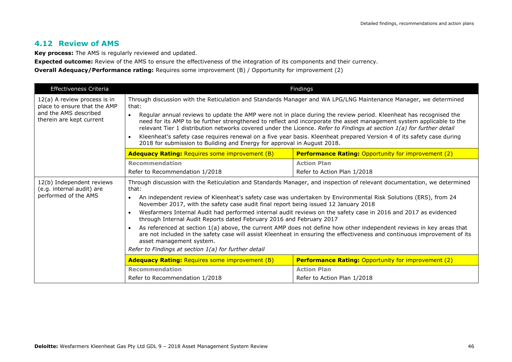#### **4.12 Review of AMS**

**Key process:** The AMS is regularly reviewed and updated.

**Expected outcome:** Review of the AMS to ensure the effectiveness of the integration of its components and their currency.

**Overall Adequacy/Performance rating:** Requires some improvement (B) / Opportunity for improvement (2)

| <b>Effectiveness Criteria</b>                                                                                     |                                                                                                                                                                                                                                                                                                                                                                                                                                                                                                                                                                                     | Findings                                                   |  |
|-------------------------------------------------------------------------------------------------------------------|-------------------------------------------------------------------------------------------------------------------------------------------------------------------------------------------------------------------------------------------------------------------------------------------------------------------------------------------------------------------------------------------------------------------------------------------------------------------------------------------------------------------------------------------------------------------------------------|------------------------------------------------------------|--|
| 12(a) A review process is in<br>place to ensure that the AMP<br>and the AMS described<br>therein are kept current | Through discussion with the Reticulation and Standards Manager and WA LPG/LNG Maintenance Manager, we determined<br>that:                                                                                                                                                                                                                                                                                                                                                                                                                                                           |                                                            |  |
|                                                                                                                   | Regular annual reviews to update the AMP were not in place during the review period. Kleenheat has recognised the<br>$\bullet$<br>need for its AMP to be further strengthened to reflect and incorporate the asset management system applicable to the<br>relevant Tier 1 distribution networks covered under the Licence. Refer to Findings at section 1(a) for further detail<br>Kleenheat's safety case requires renewal on a five year basis. Kleenheat prepared Version 4 of its safety case during<br>2018 for submission to Building and Energy for approval in August 2018. |                                                            |  |
|                                                                                                                   | <b>Adequacy Rating: Requires some improvement (B)</b>                                                                                                                                                                                                                                                                                                                                                                                                                                                                                                                               | <b>Performance Rating: Opportunity for improvement (2)</b> |  |
|                                                                                                                   | <b>Recommendation</b>                                                                                                                                                                                                                                                                                                                                                                                                                                                                                                                                                               | <b>Action Plan</b>                                         |  |
|                                                                                                                   | Refer to Recommendation 1/2018<br>Refer to Action Plan 1/2018                                                                                                                                                                                                                                                                                                                                                                                                                                                                                                                       |                                                            |  |
| 12(b) Independent reviews<br>(e.g. internal audit) are<br>performed of the AMS                                    | Through discussion with the Reticulation and Standards Manager, and inspection of relevant documentation, we determined<br>that:<br>An independent review of Kleenheat's safety case was undertaken by Environmental Risk Solutions (ERS), from 24<br>$\bullet$<br>November 2017, with the safety case audit final report being issued 12 January 2018                                                                                                                                                                                                                              |                                                            |  |
|                                                                                                                   | Wesfarmers Internal Audit had performed internal audit reviews on the safety case in 2016 and 2017 as evidenced<br>through Internal Audit Reports dated February 2016 and February 2017                                                                                                                                                                                                                                                                                                                                                                                             |                                                            |  |
|                                                                                                                   | As referenced at section 1(a) above, the current AMP does not define how other independent reviews in key areas that<br>are not included in the safety case will assist Kleenheat in ensuring the effectiveness and continuous improvement of its<br>asset management system.                                                                                                                                                                                                                                                                                                       |                                                            |  |
|                                                                                                                   | Refer to Findings at section 1(a) for further detail                                                                                                                                                                                                                                                                                                                                                                                                                                                                                                                                |                                                            |  |
|                                                                                                                   | <b>Adequacy Rating: Requires some improvement (B)</b>                                                                                                                                                                                                                                                                                                                                                                                                                                                                                                                               | <b>Performance Rating: Opportunity for improvement (2)</b> |  |
|                                                                                                                   | <b>Recommendation</b>                                                                                                                                                                                                                                                                                                                                                                                                                                                                                                                                                               | <b>Action Plan</b>                                         |  |
|                                                                                                                   | Refer to Recommendation 1/2018                                                                                                                                                                                                                                                                                                                                                                                                                                                                                                                                                      | Refer to Action Plan 1/2018                                |  |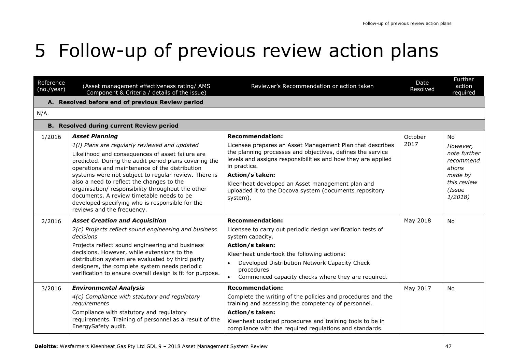## 5 Follow-up of previous review action plans

| Reference<br>(no./year) | (Asset management effectiveness rating/ AMS<br>Component & Criteria / details of the issue)                                                                                                                                                                                                                                                                                                                                                                                                         | Reviewer's Recommendation or action taken                                                                                                                                                                                                                                                                                                                   | Date<br>Resolved | <b>Further</b><br>action<br>required                                                          |
|-------------------------|-----------------------------------------------------------------------------------------------------------------------------------------------------------------------------------------------------------------------------------------------------------------------------------------------------------------------------------------------------------------------------------------------------------------------------------------------------------------------------------------------------|-------------------------------------------------------------------------------------------------------------------------------------------------------------------------------------------------------------------------------------------------------------------------------------------------------------------------------------------------------------|------------------|-----------------------------------------------------------------------------------------------|
|                         | A. Resolved before end of previous Review period                                                                                                                                                                                                                                                                                                                                                                                                                                                    |                                                                                                                                                                                                                                                                                                                                                             |                  |                                                                                               |
| N/A.                    |                                                                                                                                                                                                                                                                                                                                                                                                                                                                                                     |                                                                                                                                                                                                                                                                                                                                                             |                  |                                                                                               |
|                         | <b>B.</b> Resolved during current Review period                                                                                                                                                                                                                                                                                                                                                                                                                                                     |                                                                                                                                                                                                                                                                                                                                                             |                  |                                                                                               |
| 1/2016                  | <b>Asset Planning</b>                                                                                                                                                                                                                                                                                                                                                                                                                                                                               | <b>Recommendation:</b>                                                                                                                                                                                                                                                                                                                                      | October          | <b>No</b>                                                                                     |
|                         | 1(i) Plans are regularly reviewed and updated<br>Likelihood and consequences of asset failure are<br>predicted. During the audit period plans covering the<br>operations and maintenance of the distribution<br>systems were not subject to regular review. There is<br>also a need to reflect the changes to the<br>organisation/responsibility throughout the other<br>documents. A review timetable needs to be<br>developed specifying who is responsible for the<br>reviews and the frequency. | Licensee prepares an Asset Management Plan that describes<br>the planning processes and objectives, defines the service<br>levels and assigns responsibilities and how they are applied<br>in practice.<br><b>Action/s taken:</b><br>Kleenheat developed an Asset management plan and<br>uploaded it to the Docova system (documents repository<br>system). | 2017             | However,<br>note further<br>recommend<br>ations<br>made by<br>this review<br>(Issue<br>1/2018 |
| 2/2016                  | <b>Asset Creation and Acquisition</b><br>2(c) Projects reflect sound engineering and business<br>decisions<br>Projects reflect sound engineering and business<br>decisions. However, while extensions to the<br>distribution system are evaluated by third party<br>designers, the complete system needs periodic<br>verification to ensure overall design is fit for purpose.                                                                                                                      | <b>Recommendation:</b><br>Licensee to carry out periodic design verification tests of<br>system capacity.<br><b>Action/s taken:</b><br>Kleenheat undertook the following actions:<br>Developed Distribution Network Capacity Check<br>$\bullet$<br>procedures<br>Commenced capacity checks where they are required.<br>$\bullet$                            | May 2018         | No                                                                                            |
| 3/2016                  | <b>Environmental Analysis</b><br>4(c) Compliance with statutory and regulatory<br>requirements<br>Compliance with statutory and regulatory<br>requirements. Training of personnel as a result of the<br>EnergySafety audit.                                                                                                                                                                                                                                                                         | <b>Recommendation:</b><br>Complete the writing of the policies and procedures and the<br>training and assessing the competency of personnel.<br><b>Action/s taken:</b><br>Kleenheat updated procedures and training tools to be in<br>compliance with the required regulations and standards.                                                               | May 2017         | <b>No</b>                                                                                     |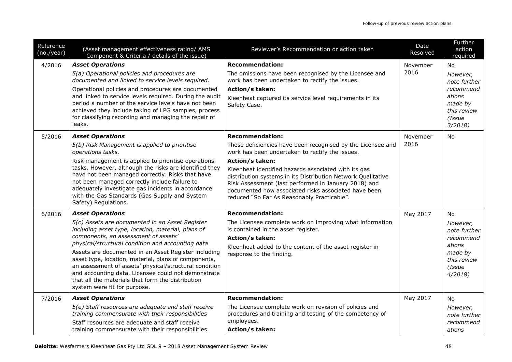| Reference<br>(no./year) | (Asset management effectiveness rating/ AMS<br>Component & Criteria / details of the issue)                                                                                                                                                                                                                                                                                                                                                                                                                                                         | Reviewer's Recommendation or action taken                                                                                                                                                                                                                                                                                                                                                                                                          | Date<br>Resolved | Further<br>action<br>required                                                                              |
|-------------------------|-----------------------------------------------------------------------------------------------------------------------------------------------------------------------------------------------------------------------------------------------------------------------------------------------------------------------------------------------------------------------------------------------------------------------------------------------------------------------------------------------------------------------------------------------------|----------------------------------------------------------------------------------------------------------------------------------------------------------------------------------------------------------------------------------------------------------------------------------------------------------------------------------------------------------------------------------------------------------------------------------------------------|------------------|------------------------------------------------------------------------------------------------------------|
| 4/2016                  | <b>Asset Operations</b><br>5(a) Operational policies and procedures are<br>documented and linked to service levels required.<br>Operational policies and procedures are documented<br>and linked to service levels required. During the audit<br>period a number of the service levels have not been<br>achieved they include taking of LPG samples, process<br>for classifying recording and managing the repair of<br>leaks.                                                                                                                      | <b>Recommendation:</b><br>The omissions have been recognised by the Licensee and<br>work has been undertaken to rectify the issues.<br><b>Action/s taken:</b><br>Kleenheat captured its service level requirements in its<br>Safety Case.                                                                                                                                                                                                          | November<br>2016 | No<br>However,<br>note further<br>recommend<br>ations<br>made by<br>this review<br>(Issue<br>3/2018        |
| 5/2016                  | <b>Asset Operations</b><br>5(b) Risk Management is applied to prioritise<br>operations tasks.<br>Risk management is applied to prioritise operations<br>tasks. However, although the risks are identified they<br>have not been managed correctly. Risks that have<br>not been managed correctly include failure to<br>adequately investigate gas incidents in accordance<br>with the Gas Standards (Gas Supply and System<br>Safety) Regulations.                                                                                                  | <b>Recommendation:</b><br>These deficiencies have been recognised by the Licensee and<br>work has been undertaken to rectify the issues.<br>Action/s taken:<br>Kleenheat identified hazards associated with its gas<br>distribution systems in its Distribution Network Qualitative<br>Risk Assessment (last performed in January 2018) and<br>documented how associated risks associated have been<br>reduced "So Far As Reasonably Practicable". | November<br>2016 | No                                                                                                         |
| 6/2016                  | <b>Asset Operations</b><br>5(c) Assets are documented in an Asset Register<br>including asset type, location, material, plans of<br>components, an assessment of assets'<br>physical/structural condition and accounting data<br>Assets are documented in an Asset Register including<br>asset type, location, material, plans of components,<br>an assessment of assets' physical/structural condition<br>and accounting data. Licensee could not demonstrate<br>that all the materials that form the distribution<br>system were fit for purpose. | <b>Recommendation:</b><br>The Licensee complete work on improving what information<br>is contained in the asset register.<br>Action/s taken:<br>Kleenheat added to the content of the asset register in<br>response to the finding.                                                                                                                                                                                                                | May 2017         | <b>No</b><br>However,<br>note further<br>recommend<br>ations<br>made by<br>this review<br>(Issue<br>4/2018 |
| 7/2016                  | <b>Asset Operations</b><br>5(e) Staff resources are adequate and staff receive<br>training commensurate with their responsibilities<br>Staff resources are adequate and staff receive<br>training commensurate with their responsibilities.                                                                                                                                                                                                                                                                                                         | <b>Recommendation:</b><br>The Licensee complete work on revision of policies and<br>procedures and training and testing of the competency of<br>employees.<br>Action/s taken:                                                                                                                                                                                                                                                                      | May 2017         | No.<br>However,<br>note further<br>recommend<br>ations                                                     |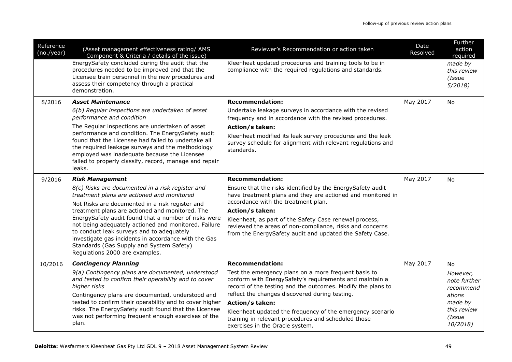| Reference<br>(no./year)                                                                                          | (Asset management effectiveness rating/ AMS<br>Component & Criteria / details of the issue)                                                                                                                                                                                      | Reviewer's Recommendation or action taken                                                                                                                                      | Date<br>Resolved | Further<br>action<br>required              |
|------------------------------------------------------------------------------------------------------------------|----------------------------------------------------------------------------------------------------------------------------------------------------------------------------------------------------------------------------------------------------------------------------------|--------------------------------------------------------------------------------------------------------------------------------------------------------------------------------|------------------|--------------------------------------------|
|                                                                                                                  | EnergySafety concluded during the audit that the<br>procedures needed to be improved and that the<br>Licensee train personnel in the new procedures and<br>assess their competency through a practical<br>demonstration.                                                         | Kleenheat updated procedures and training tools to be in<br>compliance with the required regulations and standards.                                                            |                  | made by<br>this review<br>(Issue<br>5/2018 |
| 8/2016                                                                                                           | <b>Asset Maintenance</b>                                                                                                                                                                                                                                                         | <b>Recommendation:</b>                                                                                                                                                         | May 2017         | <b>No</b>                                  |
|                                                                                                                  | 6(b) Regular inspections are undertaken of asset<br>performance and condition                                                                                                                                                                                                    | Undertake leakage surveys in accordance with the revised<br>frequency and in accordance with the revised procedures.                                                           |                  |                                            |
|                                                                                                                  | The Regular inspections are undertaken of asset                                                                                                                                                                                                                                  | Action/s taken:                                                                                                                                                                |                  |                                            |
|                                                                                                                  | performance and condition. The EnergySafety audit<br>found that the Licensee had failed to undertake all<br>the required leakage surveys and the methodology<br>employed was inadequate because the Licensee<br>failed to properly classify, record, manage and repair<br>leaks. | Kleenheat modified its leak survey procedures and the leak<br>survey schedule for alignment with relevant regulations and<br>standards.                                        |                  |                                            |
| 9/2016                                                                                                           | <b>Risk Management</b>                                                                                                                                                                                                                                                           | <b>Recommendation:</b>                                                                                                                                                         | May 2017         | No                                         |
|                                                                                                                  | 8(c) Risks are documented in a risk register and<br>treatment plans are actioned and monitored                                                                                                                                                                                   | Ensure that the risks identified by the EnergySafety audit<br>have treatment plans and they are actioned and monitored in                                                      |                  |                                            |
|                                                                                                                  | Not Risks are documented in a risk register and                                                                                                                                                                                                                                  | accordance with the treatment plan.                                                                                                                                            |                  |                                            |
|                                                                                                                  | treatment plans are actioned and monitored. The<br>EnergySafety audit found that a number of risks were<br>not being adequately actioned and monitored. Failure<br>to conduct leak surveys and to adequately                                                                     | <b>Action/s taken:</b><br>Kleenheat, as part of the Safety Case renewal process,<br>reviewed the areas of non-compliance, risks and concerns                                   |                  |                                            |
|                                                                                                                  | investigate gas incidents in accordance with the Gas<br>Standards (Gas Supply and System Safety)<br>Regulations 2000 are examples.                                                                                                                                               | from the EnergySafety audit and updated the Safety Case.                                                                                                                       |                  |                                            |
| 10/2016                                                                                                          | <b>Contingency Planning</b>                                                                                                                                                                                                                                                      | <b>Recommendation:</b>                                                                                                                                                         | May 2017         | No                                         |
|                                                                                                                  | 9(a) Contingency plans are documented, understood<br>and tested to confirm their operability and to cover<br>higher risks                                                                                                                                                        | Test the emergency plans on a more frequent basis to<br>conform with EnergySafety's requirements and maintain a<br>record of the testing and the outcomes. Modify the plans to |                  | However,<br>note further<br>recommend      |
|                                                                                                                  | Contingency plans are documented, understood and                                                                                                                                                                                                                                 | reflect the changes discovered during testing.                                                                                                                                 |                  | ations                                     |
| tested to confirm their operability and to cover higher<br>risks. The EnergySafety audit found that the Licensee |                                                                                                                                                                                                                                                                                  | Action/s taken:<br>Kleenheat updated the frequency of the emergency scenario                                                                                                   |                  | made by<br>this review                     |
|                                                                                                                  | was not performing frequent enough exercises of the<br>plan.                                                                                                                                                                                                                     | training in relevant procedures and scheduled those<br>exercises in the Oracle system.                                                                                         |                  | (Issue<br>10/2018)                         |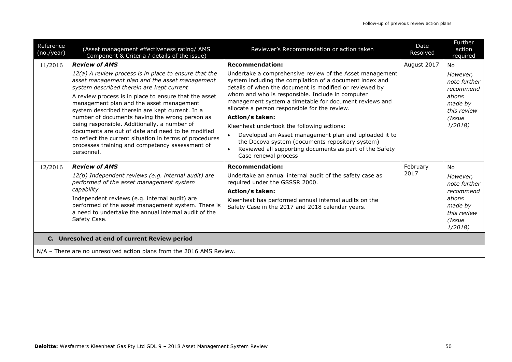| Reference<br>(no./year) | (Asset management effectiveness rating/ AMS<br>Component & Criteria / details of the issue)                                                                                                                                                                                                                                                                                                                                                                                                                                                                                                                               | Reviewer's Recommendation or action taken                                                                                                                                                                                                                                                                                                                                                                                                                                                                                                                                                                                                                                 | Date<br>Resolved | Further<br>action<br>required                                                                              |  |
|-------------------------|---------------------------------------------------------------------------------------------------------------------------------------------------------------------------------------------------------------------------------------------------------------------------------------------------------------------------------------------------------------------------------------------------------------------------------------------------------------------------------------------------------------------------------------------------------------------------------------------------------------------------|---------------------------------------------------------------------------------------------------------------------------------------------------------------------------------------------------------------------------------------------------------------------------------------------------------------------------------------------------------------------------------------------------------------------------------------------------------------------------------------------------------------------------------------------------------------------------------------------------------------------------------------------------------------------------|------------------|------------------------------------------------------------------------------------------------------------|--|
| 11/2016                 | <b>Review of AMS</b><br>$12(a)$ A review process is in place to ensure that the<br>asset management plan and the asset management<br>system described therein are kept current<br>A review process is in place to ensure that the asset<br>management plan and the asset management<br>system described therein are kept current. In a<br>number of documents having the wrong person as<br>being responsible. Additionally, a number of<br>documents are out of date and need to be modified<br>to reflect the current situation in terms of procedures<br>processes training and competency assessment of<br>personnel. | <b>Recommendation:</b><br>Undertake a comprehensive review of the Asset management<br>system including the compilation of a document index and<br>details of when the document is modified or reviewed by<br>whom and who is responsible. Include in computer<br>management system a timetable for document reviews and<br>allocate a person responsible for the review.<br><b>Action/s taken:</b><br>Kleenheat undertook the following actions:<br>Developed an Asset management plan and uploaded it to<br>$\bullet$<br>the Docova system (documents repository system)<br>Reviewed all supporting documents as part of the Safety<br>$\bullet$<br>Case renewal process | August 2017      | <b>No</b><br>However,<br>note further<br>recommend<br>ations<br>made by<br>this review<br>(Issue<br>1/2018 |  |
| 12/2016                 | <b>Review of AMS</b><br>12(b) Independent reviews (e.g. internal audit) are<br>performed of the asset management system<br>capability<br>Independent reviews (e.g. internal audit) are<br>performed of the asset management system. There is<br>a need to undertake the annual internal audit of the<br>Safety Case.                                                                                                                                                                                                                                                                                                      | <b>Recommendation:</b><br>Undertake an annual internal audit of the safety case as<br>required under the GSSSR 2000.<br>Action/s taken:<br>Kleenheat has performed annual internal audits on the<br>Safety Case in the 2017 and 2018 calendar years.                                                                                                                                                                                                                                                                                                                                                                                                                      | February<br>2017 | <b>No</b><br>However,<br>note further<br>recommend<br>ations<br>made by<br>this review<br>(Issue<br>1/2018 |  |
|                         | C. Unresolved at end of current Review period                                                                                                                                                                                                                                                                                                                                                                                                                                                                                                                                                                             |                                                                                                                                                                                                                                                                                                                                                                                                                                                                                                                                                                                                                                                                           |                  |                                                                                                            |  |
|                         | N/A - There are no unresolved action plans from the 2016 AMS Review.                                                                                                                                                                                                                                                                                                                                                                                                                                                                                                                                                      |                                                                                                                                                                                                                                                                                                                                                                                                                                                                                                                                                                                                                                                                           |                  |                                                                                                            |  |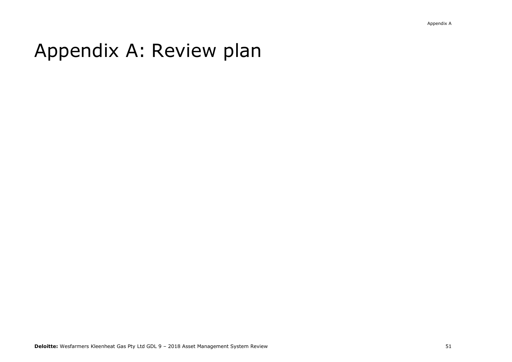## Appendix A: Review plan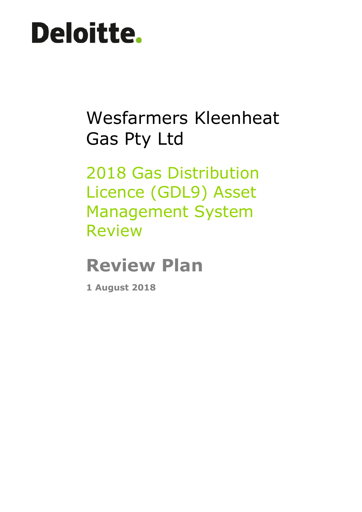# **Deloitte.**

## Wesfarmers Kleenheat Gas Pty Ltd

2018 Gas Distribution Licence (GDL9) Asset Management System Review

## **Review Plan**

**1 August 2018**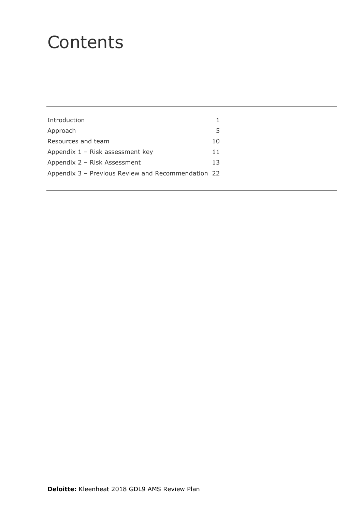### **Contents**

| Introduction                                       | 1  |  |
|----------------------------------------------------|----|--|
| Approach                                           | 5  |  |
| Resources and team                                 | 10 |  |
| Appendix $1 -$ Risk assessment key                 | 11 |  |
| Appendix 2 - Risk Assessment                       | 13 |  |
| Appendix 3 - Previous Review and Recommendation 22 |    |  |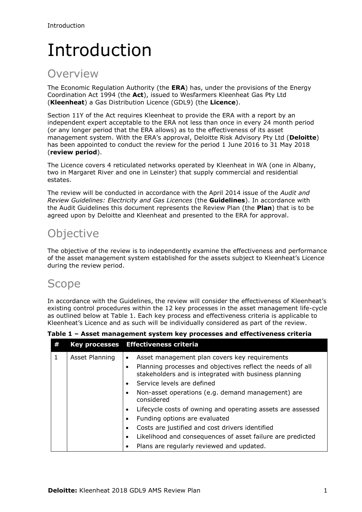## <span id="page-53-0"></span>Introduction

### **Overview**

The Economic Regulation Authority (the **ERA**) has, under the provisions of the Energy Coordination Act 1994 (the **Act**), issued to Wesfarmers Kleenheat Gas Pty Ltd (**Kleenheat**) a Gas Distribution Licence (GDL9) (the **Licence**).

Section 11Y of the Act requires Kleenheat to provide the ERA with a report by an independent expert acceptable to the ERA not less than once in every 24 month period (or any longer period that the ERA allows) as to the effectiveness of its asset management system. With the ERA's approval, Deloitte Risk Advisory Pty Ltd (**Deloitte**) has been appointed to conduct the review for the period 1 June 2016 to 31 May 2018 (**review period**).

The Licence covers 4 reticulated networks operated by Kleenheat in WA (one in Albany, two in Margaret River and one in Leinster) that supply commercial and residential estates.

The review will be conducted in accordance with the April 2014 issue of the *Audit and Review Guidelines: Electricity and Gas Licences* (the **Guidelines**). In accordance with the Audit Guidelines this document represents the Review Plan (the **Plan**) that is to be agreed upon by Deloitte and Kleenheat and presented to the ERA for approval.

### **Objective**

The objective of the review is to independently examine the effectiveness and performance of the asset management system established for the assets subject to Kleenheat's Licence during the review period.

### Scope

In accordance with the Guidelines, the review will consider the effectiveness of Kleenheat's existing control procedures within the 12 key processes in the asset management life-cycle as outlined below at Table 1. Each key process and effectiveness criteria is applicable to Kleenheat's Licence and as such will be individually considered as part of the review.

**Table 1 – Asset management system key processes and effectiveness criteria**

| # |                | Key processes Effectiveness criteria                                                                                     |
|---|----------------|--------------------------------------------------------------------------------------------------------------------------|
| 1 | Asset Planning | Asset management plan covers key requirements<br>$\bullet$<br>Planning processes and objectives reflect the needs of all |
|   |                | stakeholders and is integrated with business planning                                                                    |
|   |                | Service levels are defined                                                                                               |
|   |                | Non-asset operations (e.g. demand management) are<br>considered                                                          |
|   |                | Lifecycle costs of owning and operating assets are assessed                                                              |
|   |                | Funding options are evaluated                                                                                            |
|   |                | Costs are justified and cost drivers identified                                                                          |
|   |                | Likelihood and consequences of asset failure are predicted                                                               |
|   |                | Plans are regularly reviewed and updated.                                                                                |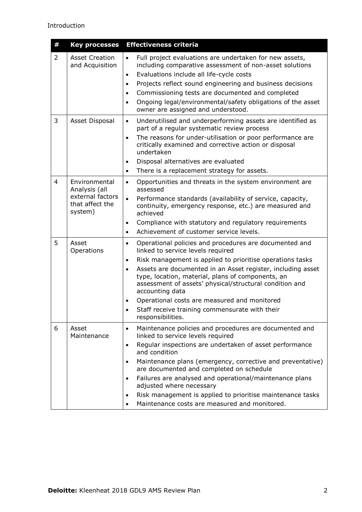| #              | <b>Key processes</b>                                                             | <b>Effectiveness criteria</b>                                                                                                                                                                                                                                                                                                                                                                                                                                                                                                                                         |
|----------------|----------------------------------------------------------------------------------|-----------------------------------------------------------------------------------------------------------------------------------------------------------------------------------------------------------------------------------------------------------------------------------------------------------------------------------------------------------------------------------------------------------------------------------------------------------------------------------------------------------------------------------------------------------------------|
| $\overline{2}$ | <b>Asset Creation</b><br>and Acquisition                                         | Full project evaluations are undertaken for new assets,<br>$\bullet$<br>including comparative assessment of non-asset solutions<br>Evaluations include all life-cycle costs<br>$\bullet$<br>Projects reflect sound engineering and business decisions<br>$\bullet$<br>Commissioning tests are documented and completed<br>$\bullet$<br>Ongoing legal/environmental/safety obligations of the asset<br>$\bullet$<br>owner are assigned and understood.                                                                                                                 |
| 3              | Asset Disposal                                                                   | Underutilised and underperforming assets are identified as<br>$\bullet$<br>part of a regular systematic review process<br>The reasons for under-utilisation or poor performance are<br>$\bullet$<br>critically examined and corrective action or disposal<br>undertaken<br>Disposal alternatives are evaluated<br>$\bullet$<br>There is a replacement strategy for assets.<br>$\bullet$                                                                                                                                                                               |
| $\overline{4}$ | Environmental<br>Analysis (all<br>external factors<br>that affect the<br>system) | Opportunities and threats in the system environment are<br>$\bullet$<br>assessed<br>Performance standards (availability of service, capacity,<br>$\bullet$<br>continuity, emergency response, etc.) are measured and<br>achieved<br>Compliance with statutory and regulatory requirements<br>$\bullet$<br>Achievement of customer service levels.<br>$\bullet$                                                                                                                                                                                                        |
| 5              | Asset<br>Operations                                                              | Operational policies and procedures are documented and<br>$\bullet$<br>linked to service levels required<br>Risk management is applied to prioritise operations tasks<br>$\bullet$<br>Assets are documented in an Asset register, including asset<br>$\bullet$<br>type, location, material, plans of components, an<br>assessment of assets' physical/structural condition and<br>accounting data<br>Operational costs are measured and monitored<br>$\bullet$<br>Staff receive training commensurate with their<br>responsibilities.                                 |
| 6              | Asset<br>Maintenance                                                             | Maintenance policies and procedures are documented and<br>$\bullet$<br>linked to service levels required<br>Regular inspections are undertaken of asset performance<br>$\bullet$<br>and condition<br>Maintenance plans (emergency, corrective and preventative)<br>$\bullet$<br>are documented and completed on schedule<br>Failures are analysed and operational/maintenance plans<br>$\bullet$<br>adjusted where necessary<br>Risk management is applied to prioritise maintenance tasks<br>$\bullet$<br>Maintenance costs are measured and monitored.<br>$\bullet$ |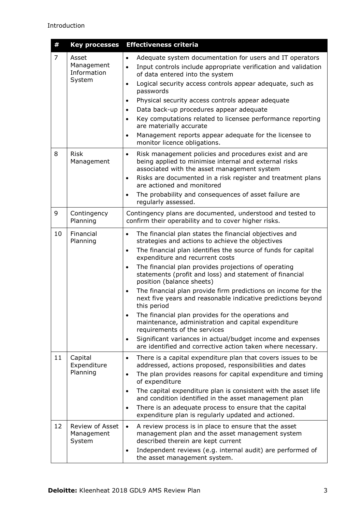| #              | <b>Key processes</b>                         | <b>Effectiveness criteria</b>                                                                                                                                                                                                                                                                                                                                                                                                                                                                                                                                                                                                                                                                                                                                                                                                                             |
|----------------|----------------------------------------------|-----------------------------------------------------------------------------------------------------------------------------------------------------------------------------------------------------------------------------------------------------------------------------------------------------------------------------------------------------------------------------------------------------------------------------------------------------------------------------------------------------------------------------------------------------------------------------------------------------------------------------------------------------------------------------------------------------------------------------------------------------------------------------------------------------------------------------------------------------------|
| $\overline{7}$ | Asset<br>Management<br>Information<br>System | Adequate system documentation for users and IT operators<br>$\bullet$<br>Input controls include appropriate verification and validation<br>$\bullet$<br>of data entered into the system<br>Logical security access controls appear adequate, such as<br>$\bullet$<br>passwords<br>Physical security access controls appear adequate<br>$\bullet$<br>Data back-up procedures appear adequate<br>$\bullet$<br>Key computations related to licensee performance reporting<br>$\bullet$<br>are materially accurate<br>Management reports appear adequate for the licensee to<br>$\bullet$<br>monitor licence obligations.                                                                                                                                                                                                                                     |
| 8              | <b>Risk</b><br>Management                    | Risk management policies and procedures exist and are<br>$\bullet$<br>being applied to minimise internal and external risks<br>associated with the asset management system<br>Risks are documented in a risk register and treatment plans<br>$\bullet$<br>are actioned and monitored<br>The probability and consequences of asset failure are<br>$\bullet$<br>regularly assessed.                                                                                                                                                                                                                                                                                                                                                                                                                                                                         |
| 9              | Contingency<br>Planning                      | Contingency plans are documented, understood and tested to<br>confirm their operability and to cover higher risks.                                                                                                                                                                                                                                                                                                                                                                                                                                                                                                                                                                                                                                                                                                                                        |
| 10             | Financial<br>Planning                        | The financial plan states the financial objectives and<br>$\bullet$<br>strategies and actions to achieve the objectives<br>The financial plan identifies the source of funds for capital<br>$\bullet$<br>expenditure and recurrent costs<br>The financial plan provides projections of operating<br>$\bullet$<br>statements (profit and loss) and statement of financial<br>position (balance sheets)<br>The financial plan provide firm predictions on income for the<br>$\bullet$<br>next five years and reasonable indicative predictions beyond<br>this period<br>The financial plan provides for the operations and<br>maintenance, administration and capital expenditure<br>requirements of the services<br>Significant variances in actual/budget income and expenses<br>$\bullet$<br>are identified and corrective action taken where necessary. |
| 11             | Capital<br>Expenditure<br>Planning           | There is a capital expenditure plan that covers issues to be<br>$\bullet$<br>addressed, actions proposed, responsibilities and dates<br>The plan provides reasons for capital expenditure and timing<br>$\bullet$<br>of expenditure<br>The capital expenditure plan is consistent with the asset life<br>$\bullet$<br>and condition identified in the asset management plan<br>There is an adequate process to ensure that the capital<br>$\bullet$<br>expenditure plan is regularly updated and actioned.                                                                                                                                                                                                                                                                                                                                                |
| 12             | Review of Asset<br>Management<br>System      | A review process is in place to ensure that the asset<br>$\bullet$<br>management plan and the asset management system<br>described therein are kept current<br>Independent reviews (e.g. internal audit) are performed of<br>$\bullet$<br>the asset management system.                                                                                                                                                                                                                                                                                                                                                                                                                                                                                                                                                                                    |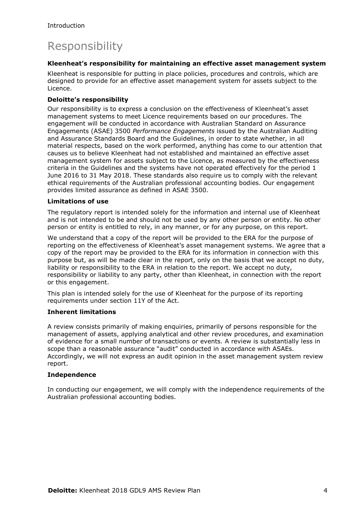### Responsibility

#### **Kleenheat's responsibility for maintaining an effective asset management system**

Kleenheat is responsible for putting in place policies, procedures and controls, which are designed to provide for an effective asset management system for assets subject to the Licence.

#### **Deloitte's responsibility**

Our responsibility is to express a conclusion on the effectiveness of Kleenheat's asset management systems to meet Licence requirements based on our procedures. The engagement will be conducted in accordance with Australian Standard on Assurance Engagements (ASAE) 3500 *Performance Engagements* issued by the Australian Auditing and Assurance Standards Board and the Guidelines, in order to state whether, in all material respects, based on the work performed, anything has come to our attention that causes us to believe Kleenheat had not established and maintained an effective asset management system for assets subject to the Licence, as measured by the effectiveness criteria in the Guidelines and the systems have not operated effectively for the period 1 June 2016 to 31 May 2018. These standards also require us to comply with the relevant ethical requirements of the Australian professional accounting bodies. Our engagement provides limited assurance as defined in ASAE 3500.

#### **Limitations of use**

The regulatory report is intended solely for the information and internal use of Kleenheat and is not intended to be and should not be used by any other person or entity. No other person or entity is entitled to rely, in any manner, or for any purpose, on this report.

We understand that a copy of the report will be provided to the ERA for the purpose of reporting on the effectiveness of Kleenheat's asset management systems. We agree that a copy of the report may be provided to the ERA for its information in connection with this purpose but, as will be made clear in the report, only on the basis that we accept no duty, liability or responsibility to the ERA in relation to the report. We accept no duty, responsibility or liability to any party, other than Kleenheat, in connection with the report or this engagement.

This plan is intended solely for the use of Kleenheat for the purpose of its reporting requirements under section 11Y of the Act.

#### **Inherent limitations**

A review consists primarily of making enquiries, primarily of persons responsible for the management of assets, applying analytical and other review procedures, and examination of evidence for a small number of transactions or events. A review is substantially less in scope than a reasonable assurance "audit" conducted in accordance with ASAEs. Accordingly, we will not express an audit opinion in the asset management system review report.

#### **Independence**

In conducting our engagement, we will comply with the independence requirements of the Australian professional accounting bodies.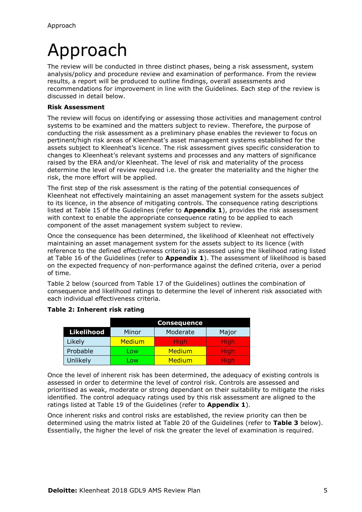## <span id="page-57-0"></span>Approach

The review will be conducted in three distinct phases, being a risk assessment, system analysis/policy and procedure review and examination of performance. From the review results, a report will be produced to outline findings, overall assessments and recommendations for improvement in line with the Guidelines. Each step of the review is discussed in detail below.

#### **Risk Assessment**

The review will focus on identifying or assessing those activities and management control systems to be examined and the matters subject to review. Therefore, the purpose of conducting the risk assessment as a preliminary phase enables the reviewer to focus on pertinent/high risk areas of Kleenheat's asset management systems established for the assets subject to Kleenheat's licence. The risk assessment gives specific consideration to changes to Kleenheat's relevant systems and processes and any matters of significance raised by the ERA and/or Kleenheat. The level of risk and materiality of the process determine the level of review required i.e. the greater the materiality and the higher the risk, the more effort will be applied.

The first step of the risk assessment is the rating of the potential consequences of Kleenheat not effectively maintaining an asset management system for the assets subject to its licence, in the absence of mitigating controls. The consequence rating descriptions listed at Table 15 of the Guidelines (refer to **Appendix 1**), provides the risk assessment with context to enable the appropriate consequence rating to be applied to each component of the asset management system subject to review.

Once the consequence has been determined, the likelihood of Kleenheat not effectively maintaining an asset management system for the assets subject to its licence (with reference to the defined effectiveness criteria) is assessed using the likelihood rating listed at Table 16 of the Guidelines (refer to **Appendix 1**). The assessment of likelihood is based on the expected frequency of non-performance against the defined criteria, over a period of time.

Table 2 below (sourced from Table 17 of the Guidelines) outlines the combination of consequence and likelihood ratings to determine the level of inherent risk associated with each individual effectiveness criteria.

|                   | <b>Consequence</b> |             |             |
|-------------------|--------------------|-------------|-------------|
| <b>Likelihood</b> | Minor              | Moderate    | Major       |
| Likely            | Medium             | <b>High</b> | <b>High</b> |
| Probable          | LOW.               | Medium      | <b>High</b> |
| Unlikely          | .ow                | Medium      | High        |

#### **Table 2: Inherent risk rating**

Once the level of inherent risk has been determined, the adequacy of existing controls is assessed in order to determine the level of control risk. Controls are assessed and prioritised as weak, moderate or strong dependant on their suitability to mitigate the risks identified. The control adequacy ratings used by this risk assessment are aligned to the ratings listed at Table 19 of the Guidelines (refer to **Appendix 1**).

Once inherent risks and control risks are established, the review priority can then be determined using the matrix listed at Table 20 of the Guidelines (refer to **Table 3** below). Essentially, the higher the level of risk the greater the level of examination is required.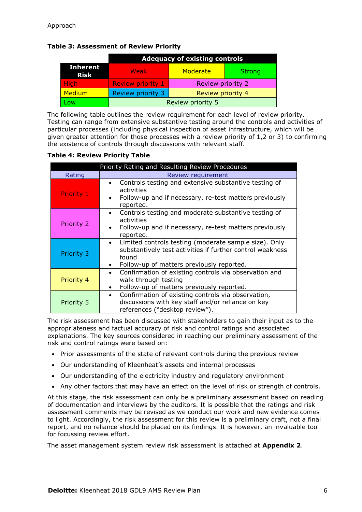|  | <b>Table 3: Assessment of Review Priority</b> |  |  |
|--|-----------------------------------------------|--|--|
|--|-----------------------------------------------|--|--|

|                                                         | <b>Adequacy of existing controls</b> |                   |               |
|---------------------------------------------------------|--------------------------------------|-------------------|---------------|
| <b>Inherent</b><br><b>Risk</b>                          | <b>Weak</b>                          | Moderate          | <b>Strong</b> |
| <b>High</b>                                             | <b>Review priority 1</b>             | Review priority 2 |               |
| Medium<br>Review priority 3<br><b>Review priority 4</b> |                                      |                   |               |
| Low                                                     | Review priority 5                    |                   |               |

The following table outlines the review requirement for each level of review priority. Testing can range from extensive substantive testing around the controls and activities of particular processes (including physical inspection of asset infrastructure, which will be given greater attention for those processes with a review priority of 1,2 or 3) to confirming the existence of controls through discussions with relevant staff.

#### **Table 4: Review Priority Table**

|                   | Priority Rating and Resulting Review Procedures                                                                                                                                       |  |  |
|-------------------|---------------------------------------------------------------------------------------------------------------------------------------------------------------------------------------|--|--|
| Rating            | Review requirement                                                                                                                                                                    |  |  |
| <b>Priority 1</b> | Controls testing and extensive substantive testing of<br>$\bullet$<br>activities<br>Follow-up and if necessary, re-test matters previously<br>reported.                               |  |  |
| Priority 2        | Controls testing and moderate substantive testing of<br>$\bullet$<br>activities<br>Follow-up and if necessary, re-test matters previously<br>reported.                                |  |  |
| Priority 3        | Limited controls testing (moderate sample size). Only<br>$\bullet$<br>substantively test activities if further control weakness<br>found<br>Follow-up of matters previously reported. |  |  |
| Priority 4        | Confirmation of existing controls via observation and<br>$\bullet$<br>walk through testing<br>Follow-up of matters previously reported.                                               |  |  |
| Priority 5        | Confirmation of existing controls via observation,<br>$\bullet$<br>discussions with key staff and/or reliance on key<br>references ("desktop review").                                |  |  |

The risk assessment has been discussed with stakeholders to gain their input as to the appropriateness and factual accuracy of risk and control ratings and associated explanations. The key sources considered in reaching our preliminary assessment of the risk and control ratings were based on:

- Prior assessments of the state of relevant controls during the previous review
- Our understanding of Kleenheat's assets and internal processes
- Our understanding of the electricity industry and regulatory environment
- Any other factors that may have an effect on the level of risk or strength of controls.

At this stage, the risk assessment can only be a preliminary assessment based on reading of documentation and interviews by the auditors. It is possible that the ratings and risk assessment comments may be revised as we conduct our work and new evidence comes to light. Accordingly, the risk assessment for this review is a preliminary draft, not a final report, and no reliance should be placed on its findings. It is however, an invaluable tool for focussing review effort.

The asset management system review risk assessment is attached at **Appendix 2**.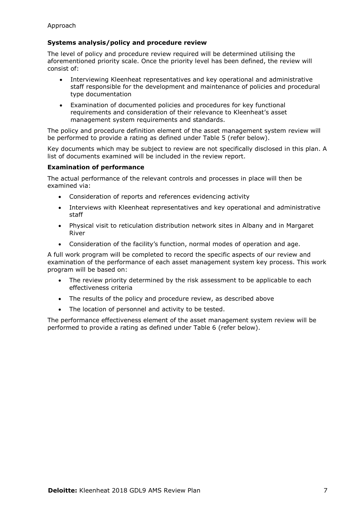#### **Systems analysis/policy and procedure review**

The level of policy and procedure review required will be determined utilising the aforementioned priority scale. Once the priority level has been defined, the review will consist of:

- Interviewing Kleenheat representatives and key operational and administrative staff responsible for the development and maintenance of policies and procedural type documentation
- Examination of documented policies and procedures for key functional requirements and consideration of their relevance to Kleenheat's asset management system requirements and standards.

The policy and procedure definition element of the asset management system review will be performed to provide a rating as defined under Table 5 (refer below).

Key documents which may be subject to review are not specifically disclosed in this plan. A list of documents examined will be included in the review report.

#### **Examination of performance**

The actual performance of the relevant controls and processes in place will then be examined via:

- Consideration of reports and references evidencing activity
- Interviews with Kleenheat representatives and key operational and administrative staff
- Physical visit to reticulation distribution network sites in Albany and in Margaret River
- Consideration of the facility's function, normal modes of operation and age.

A full work program will be completed to record the specific aspects of our review and examination of the performance of each asset management system key process. This work program will be based on:

- The review priority determined by the risk assessment to be applicable to each effectiveness criteria
- The results of the policy and procedure review, as described above
- The location of personnel and activity to be tested.

The performance effectiveness element of the asset management system review will be performed to provide a rating as defined under Table 6 (refer below).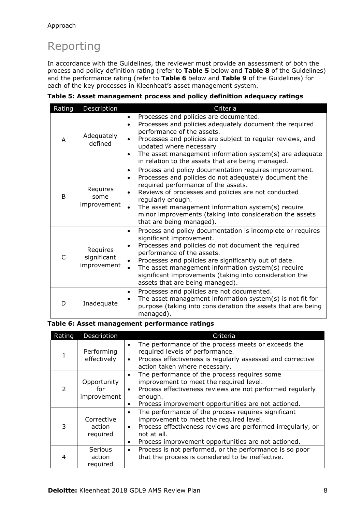### Reporting

In accordance with the Guidelines, the reviewer must provide an assessment of both the process and policy definition rating (refer to **Table 5** below and **Table 8** of the Guidelines) and the performance rating (refer to **Table 6** below and **Table 9** of the Guidelines) for each of the key processes in Kleenheat's asset management system.

|  | Rating                               | Description                                                                                                                                                                                                                                                                                                                                                                                                                  | Criteria                                                                                                                                                                                                                                                                                                                                                                                                                             |
|--|--------------------------------------|------------------------------------------------------------------------------------------------------------------------------------------------------------------------------------------------------------------------------------------------------------------------------------------------------------------------------------------------------------------------------------------------------------------------------|--------------------------------------------------------------------------------------------------------------------------------------------------------------------------------------------------------------------------------------------------------------------------------------------------------------------------------------------------------------------------------------------------------------------------------------|
|  | A                                    | Adequately<br>defined                                                                                                                                                                                                                                                                                                                                                                                                        | Processes and policies are documented.<br>$\bullet$<br>Processes and policies adequately document the required<br>$\bullet$<br>performance of the assets.<br>Processes and policies are subject to regular reviews, and<br>updated where necessary<br>The asset management information system(s) are adequate<br>$\bullet$<br>in relation to the assets that are being managed.                                                      |
|  | Requires<br>B<br>some<br>improvement | Process and policy documentation requires improvement.<br>$\bullet$<br>Processes and policies do not adequately document the<br>٠<br>required performance of the assets.<br>Reviews of processes and policies are not conducted<br>$\bullet$<br>regularly enough.<br>The asset management information system(s) require<br>$\bullet$<br>minor improvements (taking into consideration the assets<br>that are being managed). |                                                                                                                                                                                                                                                                                                                                                                                                                                      |
|  | C                                    | Requires<br>significant<br>improvement                                                                                                                                                                                                                                                                                                                                                                                       | Process and policy documentation is incomplete or requires<br>٠<br>significant improvement.<br>Processes and policies do not document the required<br>$\bullet$<br>performance of the assets.<br>Processes and policies are significantly out of date.<br>$\bullet$<br>The asset management information system(s) require<br>$\bullet$<br>significant improvements (taking into consideration the<br>assets that are being managed). |
|  | D                                    | Inadequate                                                                                                                                                                                                                                                                                                                                                                                                                   | Processes and policies are not documented.<br>$\bullet$<br>The asset management information system $(s)$ is not fit for<br>$\bullet$<br>purpose (taking into consideration the assets that are being<br>managed).                                                                                                                                                                                                                    |

**Table 5: Asset management process and policy definition adequacy ratings**

#### **Table 6: Asset management performance ratings**

| Rating                    | Description                       | Criteria                                                                                                                                                                                                                                                                   |
|---------------------------|-----------------------------------|----------------------------------------------------------------------------------------------------------------------------------------------------------------------------------------------------------------------------------------------------------------------------|
| Performing<br>effectively |                                   | The performance of the process meets or exceeds the<br>$\bullet$<br>required levels of performance.<br>Process effectiveness is regularly assessed and corrective<br>$\bullet$<br>action taken where necessary.                                                            |
| 2                         | Opportunity<br>for<br>improvement | The performance of the process requires some<br>$\bullet$<br>improvement to meet the required level.<br>Process effectiveness reviews are not performed regularly<br>$\bullet$<br>enough.<br>Process improvement opportunities are not actioned.<br>$\bullet$              |
|                           | Corrective<br>action<br>required  | The performance of the process requires significant<br>$\bullet$<br>improvement to meet the required level.<br>Process effectiveness reviews are performed irregularly, or<br>$\bullet$<br>not at all.<br>Process improvement opportunities are not actioned.<br>$\bullet$ |
| 4                         | Serious<br>action<br>required     | Process is not performed, or the performance is so poor<br>$\bullet$<br>that the process is considered to be ineffective.                                                                                                                                                  |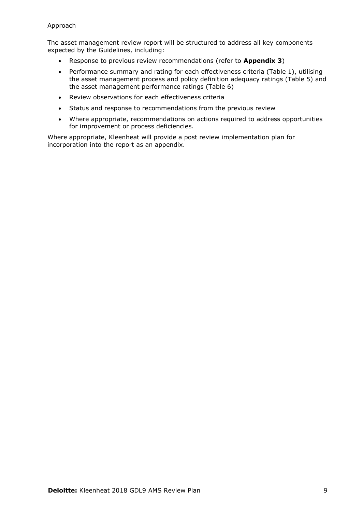The asset management review report will be structured to address all key components expected by the Guidelines, including:

- Response to previous review recommendations (refer to **Appendix 3**)
- Performance summary and rating for each effectiveness criteria (Table 1), utilising the asset management process and policy definition adequacy ratings (Table 5) and the asset management performance ratings (Table 6)
- Review observations for each effectiveness criteria
- Status and response to recommendations from the previous review
- Where appropriate, recommendations on actions required to address opportunities for improvement or process deficiencies.

Where appropriate, Kleenheat will provide a post review implementation plan for incorporation into the report as an appendix.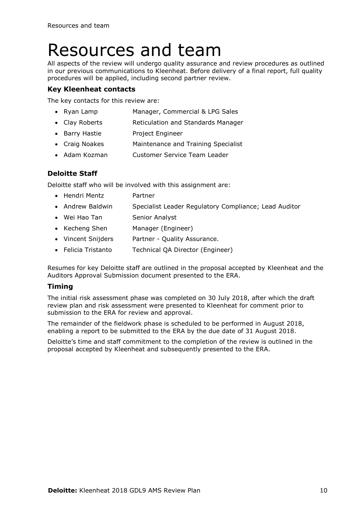### <span id="page-62-0"></span>Resources and team

All aspects of the review will undergo quality assurance and review procedures as outlined in our previous communications to Kleenheat. Before delivery of a final report, full quality procedures will be applied, including second partner review.

#### **Key Kleenheat contacts**

The key contacts for this review are:

- Ryan Lamp Manager, Commercial & LPG Sales
- Clay Roberts **Reticulation and Standards Manager**
- Barry Hastie Project Engineer
- Craig Noakes Maintenance and Training Specialist
- Adam Kozman Customer Service Team Leader

#### **Deloitte Staff**

Deloitte staff who will be involved with this assignment are:

- Hendri Mentz Partner
- Andrew Baldwin Specialist Leader Regulatory Compliance; Lead Auditor
- Wei Hao Tan Senior Analyst
- Kecheng Shen Manager (Engineer)
- Vincent Snijders Partner Quality Assurance.
- Felicia Tristanto Technical QA Director (Engineer)

Resumes for key Deloitte staff are outlined in the proposal accepted by Kleenheat and the Auditors Approval Submission document presented to the ERA.

#### **Timing**

The initial risk assessment phase was completed on 30 July 2018, after which the draft review plan and risk assessment were presented to Kleenheat for comment prior to submission to the ERA for review and approval.

The remainder of the fieldwork phase is scheduled to be performed in August 2018, enabling a report to be submitted to the ERA by the due date of 31 August 2018.

Deloitte's time and staff commitment to the completion of the review is outlined in the proposal accepted by Kleenheat and subsequently presented to the ERA.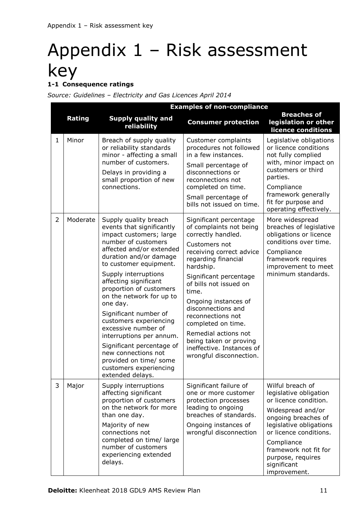### <span id="page-63-0"></span>Appendix 1 – Risk assessment key **1-1 Consequence ratings**

*Source: Guidelines – Electricity and Gas Licences April 2014*

| <b>Examples of non-compliance</b> |          |                                                                                                                                                                                                                                                                                                                                                                                                                                                                                                                                            |                                                                                                                                                                                                                                                                                                                                                                                                                          |                                                                                                                                                                                                                                                                 |  |  |
|-----------------------------------|----------|--------------------------------------------------------------------------------------------------------------------------------------------------------------------------------------------------------------------------------------------------------------------------------------------------------------------------------------------------------------------------------------------------------------------------------------------------------------------------------------------------------------------------------------------|--------------------------------------------------------------------------------------------------------------------------------------------------------------------------------------------------------------------------------------------------------------------------------------------------------------------------------------------------------------------------------------------------------------------------|-----------------------------------------------------------------------------------------------------------------------------------------------------------------------------------------------------------------------------------------------------------------|--|--|
|                                   | Rating   | <b>Supply quality and</b><br>reliability                                                                                                                                                                                                                                                                                                                                                                                                                                                                                                   | <b>Consumer protection</b>                                                                                                                                                                                                                                                                                                                                                                                               | <b>Breaches of</b><br>legislation or other<br>licence conditions                                                                                                                                                                                                |  |  |
| $\mathbf{1}$                      | Minor    | Breach of supply quality<br>or reliability standards<br>minor - affecting a small<br>number of customers.<br>Delays in providing a<br>small proportion of new<br>connections.                                                                                                                                                                                                                                                                                                                                                              | <b>Customer complaints</b><br>procedures not followed<br>in a few instances.<br>Small percentage of<br>disconnections or<br>reconnections not<br>completed on time.<br>Small percentage of<br>bills not issued on time.                                                                                                                                                                                                  | Legislative obligations<br>or licence conditions<br>not fully complied<br>with, minor impact on<br>customers or third<br>parties.<br>Compliance<br>framework generally<br>fit for purpose and<br>operating effectively.                                         |  |  |
| $\overline{2}$                    | Moderate | Supply quality breach<br>events that significantly<br>impact customers; large<br>number of customers<br>affected and/or extended<br>duration and/or damage<br>to customer equipment.<br>Supply interruptions<br>affecting significant<br>proportion of customers<br>on the network for up to<br>one day.<br>Significant number of<br>customers experiencing<br>excessive number of<br>interruptions per annum.<br>Significant percentage of<br>new connections not<br>provided on time/ some<br>customers experiencing<br>extended delays. | Significant percentage<br>of complaints not being<br>correctly handled.<br>Customers not<br>receiving correct advice<br>regarding financial<br>hardship.<br>Significant percentage<br>of bills not issued on<br>time.<br>Ongoing instances of<br>disconnections and<br>reconnections not<br>completed on time.<br>Remedial actions not<br>being taken or proving<br>ineffective. Instances of<br>wrongful disconnection. | More widespread<br>breaches of legislative<br>obligations or licence<br>conditions over time.<br>Compliance<br>framework requires<br>improvement to meet<br>minimum standards.                                                                                  |  |  |
| 3                                 | Major    | Supply interruptions<br>affecting significant<br>proportion of customers<br>on the network for more<br>than one day.<br>Majority of new<br>connections not<br>completed on time/ large<br>number of customers<br>experiencing extended<br>delays.                                                                                                                                                                                                                                                                                          | Significant failure of<br>one or more customer<br>protection processes<br>leading to ongoing<br>breaches of standards.<br>Ongoing instances of<br>wrongful disconnection                                                                                                                                                                                                                                                 | Wilful breach of<br>legislative obligation<br>or licence condition.<br>Widespread and/or<br>ongoing breaches of<br>legislative obligations<br>or licence conditions.<br>Compliance<br>framework not fit for<br>purpose, requires<br>significant<br>improvement. |  |  |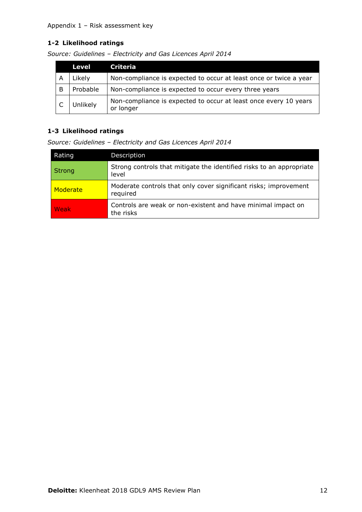#### Appendix 1 – Risk assessment key

#### **1-2 Likelihood ratings**

|   | <b>Level</b> | Criteria                                                                      |
|---|--------------|-------------------------------------------------------------------------------|
| А | Likely       | Non-compliance is expected to occur at least once or twice a year             |
| B | Probable     | Non-compliance is expected to occur every three years                         |
|   | Unlikely     | Non-compliance is expected to occur at least once every 10 years<br>or longer |

*Source: Guidelines – Electricity and Gas Licences April 2014*

#### **1-3 Likelihood ratings**

*Source: Guidelines – Electricity and Gas Licences April 2014*

| Rating        | Description                                                                   |
|---------------|-------------------------------------------------------------------------------|
| <b>Strong</b> | Strong controls that mitigate the identified risks to an appropriate<br>level |
| Moderate      | Moderate controls that only cover significant risks; improvement<br>required  |
| Weak          | Controls are weak or non-existent and have minimal impact on<br>the risks     |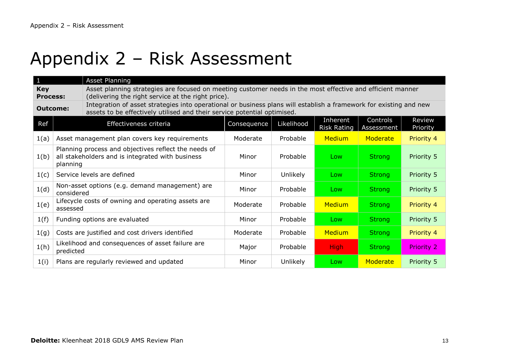### Appendix 2 – Risk Assessment

<span id="page-65-0"></span>

| $\mathbf{1}$                                                                                                                                                                                                      |                                                                                                                      | <b>Asset Planning</b>                                                                                                                                            |             |            |                                |                        |                    |  |
|-------------------------------------------------------------------------------------------------------------------------------------------------------------------------------------------------------------------|----------------------------------------------------------------------------------------------------------------------|------------------------------------------------------------------------------------------------------------------------------------------------------------------|-------------|------------|--------------------------------|------------------------|--------------------|--|
| <b>Key</b><br><b>Process:</b>                                                                                                                                                                                     |                                                                                                                      | Asset planning strategies are focused on meeting customer needs in the most effective and efficient manner<br>(delivering the right service at the right price). |             |            |                                |                        |                    |  |
| Integration of asset strategies into operational or business plans will establish a framework for existing and new<br><b>Outcome:</b><br>assets to be effectively utilised and their service potential optimised. |                                                                                                                      |                                                                                                                                                                  |             |            |                                |                        |                    |  |
| Ref                                                                                                                                                                                                               |                                                                                                                      | Effectiveness criteria                                                                                                                                           | Consequence | Likelihood | Inherent<br><b>Risk Rating</b> | Controls<br>Assessment | Review<br>Priority |  |
| 1(a)                                                                                                                                                                                                              |                                                                                                                      | Asset management plan covers key requirements                                                                                                                    | Moderate    | Probable   | <b>Medium</b>                  | Moderate               | Priority 4         |  |
| 1(b)                                                                                                                                                                                                              | Planning process and objectives reflect the needs of<br>all stakeholders and is integrated with business<br>planning |                                                                                                                                                                  | Minor       | Probable   | Low                            | <b>Strong</b>          | Priority 5         |  |
| 1(c)                                                                                                                                                                                                              | Service levels are defined                                                                                           |                                                                                                                                                                  | Minor       | Unlikely   | Low                            | <b>Strong</b>          | Priority 5         |  |
| 1(d)                                                                                                                                                                                                              | considered                                                                                                           | Non-asset options (e.g. demand management) are                                                                                                                   | Minor       | Probable   | Low                            | <b>Strong</b>          | Priority 5         |  |
| 1(e)                                                                                                                                                                                                              | assessed                                                                                                             | Lifecycle costs of owning and operating assets are                                                                                                               | Moderate    | Probable   | <b>Medium</b>                  | <b>Strong</b>          | Priority 4         |  |
| 1(f)                                                                                                                                                                                                              |                                                                                                                      | Funding options are evaluated                                                                                                                                    | Minor       | Probable   | Low                            | <b>Strong</b>          | Priority 5         |  |
| 1(g)                                                                                                                                                                                                              |                                                                                                                      | Costs are justified and cost drivers identified                                                                                                                  | Moderate    | Probable   | Medium                         | <b>Strong</b>          | Priority 4         |  |
| 1(h)                                                                                                                                                                                                              | predicted                                                                                                            | Likelihood and consequences of asset failure are                                                                                                                 | Major       | Probable   | <b>High</b>                    | <b>Strong</b>          | Priority 2         |  |
| 1(i)                                                                                                                                                                                                              |                                                                                                                      | Plans are regularly reviewed and updated                                                                                                                         | Minor       | Unlikely   | Low                            | Moderate               | Priority 5         |  |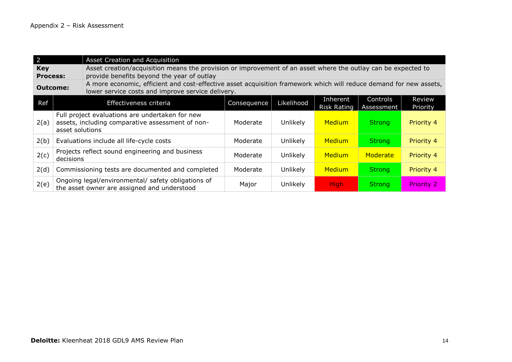| $\overline{2}$                |                                                                                                                        | Asset Creation and Acquisition                                                                                                                                          |             |            |                                |                        |                    |  |  |
|-------------------------------|------------------------------------------------------------------------------------------------------------------------|-------------------------------------------------------------------------------------------------------------------------------------------------------------------------|-------------|------------|--------------------------------|------------------------|--------------------|--|--|
| <b>Key</b><br><b>Process:</b> |                                                                                                                        | Asset creation/acquisition means the provision or improvement of an asset where the outlay can be expected to<br>provide benefits beyond the year of outlay             |             |            |                                |                        |                    |  |  |
|                               | <b>Outcome:</b>                                                                                                        | A more economic, efficient and cost-effective asset acquisition framework which will reduce demand for new assets,<br>lower service costs and improve service delivery. |             |            |                                |                        |                    |  |  |
| Ref                           |                                                                                                                        | Effectiveness criteria                                                                                                                                                  | Consequence | Likelihood | Inherent<br><b>Risk Rating</b> | Controls<br>Assessment | Review<br>Priority |  |  |
| 2(a)                          | Full project evaluations are undertaken for new<br>assets, including comparative assessment of non-<br>asset solutions |                                                                                                                                                                         | Moderate    | Unlikely   | Medium                         | <b>Strong</b>          | Priority 4         |  |  |
| 2(b)                          | Evaluations include all life-cycle costs                                                                               |                                                                                                                                                                         | Moderate    | Unlikely   | <b>Medium</b>                  | <b>Strong</b>          | Priority 4         |  |  |
| 2(c)                          | decisions                                                                                                              | Projects reflect sound engineering and business                                                                                                                         | Moderate    | Unlikely   | <b>Medium</b>                  | Moderate               | Priority 4         |  |  |
| 2(d)                          |                                                                                                                        | Commissioning tests are documented and completed                                                                                                                        | Moderate    | Unlikely   | <b>Medium</b>                  | <b>Strong</b>          | Priority 4         |  |  |
| 2(e)                          |                                                                                                                        | Ongoing legal/environmental/ safety obligations of<br>the asset owner are assigned and understood                                                                       | Major       | Unlikely   | <b>High</b>                    | <b>Strong</b>          | <b>Priority 2</b>  |  |  |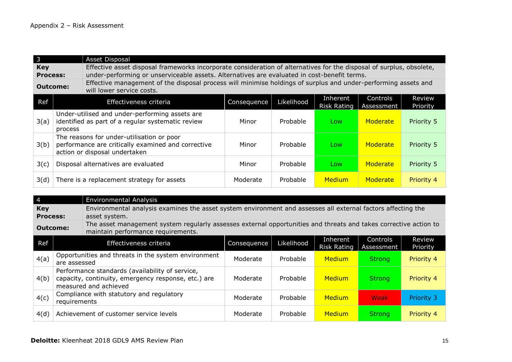| 3 || Asset Disposal **Key Process:**  Effective asset disposal frameworks incorporate consideration of alternatives for the disposal of surplus, obsolete, under-performing or unserviceable assets. Alternatives are evaluated in cost-benefit terms. **Outcome:** Effective management of the disposal process will minimise holdings of surplus and under-performing assets and will lower service costs. Ref  $\vert$  Effectiveness criteria  $\vert$  Consequence Likelihood Inherent Risk Rating Controls Assessment Review Priority 3(a) Under-utilised and under-performing assets are identified as part of a regular systematic review process Minor Probable Low Moderate Priority 5 3(b) The reasons for under-utilisation or poor performance are critically examined and corrective action or disposal undertaken Minor Probable Low Moderate Priority 5 3(c) Disposal alternatives are evaluated Minor Probable Low Moderate Priority 5 3(d) There is a replacement strategy for assets The Moderate Probable Medium Moderate Priority 4

| $\vert 4 \vert$               | <b>Environmental Analysis</b>                                                                                                   |                                                                                                                                                        |             |            |                                |                          |                    |  |  |  |
|-------------------------------|---------------------------------------------------------------------------------------------------------------------------------|--------------------------------------------------------------------------------------------------------------------------------------------------------|-------------|------------|--------------------------------|--------------------------|--------------------|--|--|--|
| <b>Key</b><br><b>Process:</b> |                                                                                                                                 | Environmental analysis examines the asset system environment and assesses all external factors affecting the<br>asset system.                          |             |            |                                |                          |                    |  |  |  |
|                               | <b>Outcome:</b>                                                                                                                 | The asset management system regularly assesses external opportunities and threats and takes corrective action to<br>maintain performance requirements. |             |            |                                |                          |                    |  |  |  |
| Ref                           |                                                                                                                                 | Effectiveness criteria                                                                                                                                 | Consequence | Likelihood | Inherent<br><b>Risk Rating</b> | Controls<br>Assessment I | Review<br>Priority |  |  |  |
| 4(a)                          | Opportunities and threats in the system environment<br>are assessed                                                             |                                                                                                                                                        | Moderate    | Probable   | <b>Medium</b>                  | <b>Strong</b>            | Priority 4         |  |  |  |
| 4(b)                          | Performance standards (availability of service,<br>capacity, continuity, emergency response, etc.) are<br>measured and achieved |                                                                                                                                                        | Moderate    | Probable   | <b>Medium</b>                  | <b>Strong</b>            | Priority 4         |  |  |  |
| 4(c)                          | Compliance with statutory and regulatory<br>requirements                                                                        |                                                                                                                                                        | Moderate    | Probable   | <b>Medium</b>                  | Weak                     | <b>Priority 3</b>  |  |  |  |
| 4(d)                          |                                                                                                                                 | Achievement of customer service levels                                                                                                                 | Moderate    | Probable   | <b>Medium</b>                  | <b>Strong</b>            | Priority 4         |  |  |  |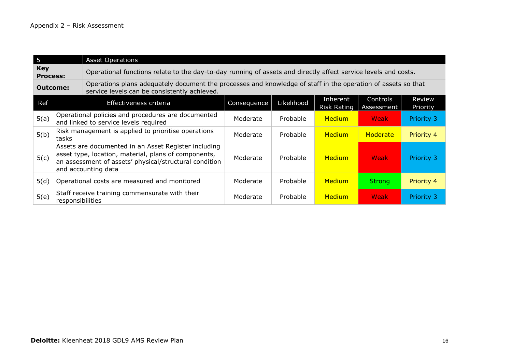| 5                             |                  | <b>Asset Operations</b>                                                                                                                                                                       |             |            |                                |                        |                    |  |  |
|-------------------------------|------------------|-----------------------------------------------------------------------------------------------------------------------------------------------------------------------------------------------|-------------|------------|--------------------------------|------------------------|--------------------|--|--|
| <b>Key</b><br><b>Process:</b> |                  | Operational functions relate to the day-to-day running of assets and directly affect service levels and costs.                                                                                |             |            |                                |                        |                    |  |  |
|                               | Outcome:         | Operations plans adequately document the processes and knowledge of staff in the operation of assets so that<br>service levels can be consistently achieved.                                  |             |            |                                |                        |                    |  |  |
| Ref                           |                  | Effectiveness criteria                                                                                                                                                                        | Consequence | Likelihood | Inherent<br><b>Risk Rating</b> | Controls<br>Assessment | Review<br>Priority |  |  |
| 5(a)                          |                  | Operational policies and procedures are documented<br>and linked to service levels required                                                                                                   | Moderate    | Probable   | <b>Medium</b>                  | Weak                   | Priority 3         |  |  |
| 5(b)                          | tasks            | Risk management is applied to prioritise operations                                                                                                                                           | Moderate    | Probable   | Medium                         | Moderate               | Priority 4         |  |  |
| 5(c)                          |                  | Assets are documented in an Asset Register including<br>asset type, location, material, plans of components,<br>an assessment of assets' physical/structural condition<br>and accounting data |             | Probable   | <b>Medium</b>                  | Weak                   | Priority 3         |  |  |
| 5(d)                          |                  | Operational costs are measured and monitored                                                                                                                                                  | Moderate    | Probable   | <b>Medium</b>                  | <b>Strong</b>          | Priority 4         |  |  |
| 5(e)                          | responsibilities | Staff receive training commensurate with their                                                                                                                                                | Moderate    | Probable   | <b>Medium</b>                  | Weak                   | Priority 3         |  |  |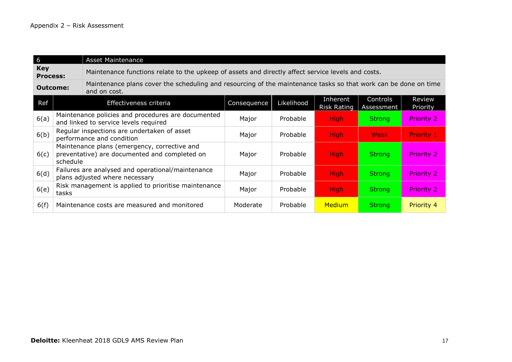6 Asset Maintenance **Key Process:** Maintenance functions relate to the upkeep of assets and directly affect service levels and costs. **Outcome:** Maintenance plans cover the scheduling and resourcing of the maintenance tasks so that work can be done on time and on cost. Ref Effectiveness criteria Ref Consequence Likelihood Inherent Risk Rating Controls Assessment Review Priority 6(a) Maintenance policies and procedures are documented manteriance policies and procedures are documented Major Probable High Strong Priority 2  $\mathsf{6}(\mathsf{b})$  Regular inspections are undertaken of asset Regular inspections are undertaken or asset Major Probable High Night Weak Priority 1 6(c) Maintenance plans (emergency, corrective and preventative) are documented and completed on schedule Major Probable High Strong Priority 2  $6(d)$  Failures are analysed and operational/maintenance Tallures are analysed and operational/maintenance Major Probable High Strong Priority 2  $6(e)$  Risk management is applied to prioritise maintenance tasks task management is applied to profitise manitenance Major Probable <mark>High Strong Priority 2</mark> 6(f) Maintenance costs are measured and monitored Moderate Probable Medium Strong Priority 4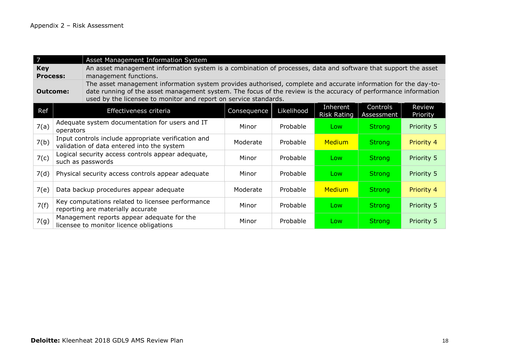| 7                             |                                                                                                   | Asset Management Information System                                                                                                                                                                                                                                                                   |             |            |                         |                        |                    |  |  |
|-------------------------------|---------------------------------------------------------------------------------------------------|-------------------------------------------------------------------------------------------------------------------------------------------------------------------------------------------------------------------------------------------------------------------------------------------------------|-------------|------------|-------------------------|------------------------|--------------------|--|--|
| <b>Key</b><br><b>Process:</b> |                                                                                                   | An asset management information system is a combination of processes, data and software that support the asset<br>management functions.                                                                                                                                                               |             |            |                         |                        |                    |  |  |
|                               | <b>Outcome:</b>                                                                                   | The asset management information system provides authorised, complete and accurate information for the day-to-<br>date running of the asset management system. The focus of the review is the accuracy of performance information<br>used by the licensee to monitor and report on service standards. |             |            |                         |                        |                    |  |  |
| Ref                           |                                                                                                   | Effectiveness criteria                                                                                                                                                                                                                                                                                | Consequence | Likelihood | Inherent<br>Risk Rating | Controls<br>Assessment | Review<br>Priority |  |  |
| 7(a)                          | Adequate system documentation for users and IT<br>operators                                       |                                                                                                                                                                                                                                                                                                       | Minor       | Probable   | Low                     | <b>Strong</b>          | Priority 5         |  |  |
| 7(b)                          | Input controls include appropriate verification and<br>validation of data entered into the system |                                                                                                                                                                                                                                                                                                       | Moderate    | Probable   | <b>Medium</b>           | <b>Strong</b>          | Priority 4         |  |  |
| 7(c)                          | Logical security access controls appear adequate,<br>such as passwords                            |                                                                                                                                                                                                                                                                                                       | Minor       | Probable   | Low                     | <b>Strong</b>          | Priority 5         |  |  |
| 7(d)                          |                                                                                                   | Physical security access controls appear adequate                                                                                                                                                                                                                                                     | Minor       | Probable   | Low                     | <b>Strong</b>          | Priority 5         |  |  |
| 7(e)                          |                                                                                                   | Data backup procedures appear adequate                                                                                                                                                                                                                                                                | Moderate    | Probable   | <b>Medium</b>           | <b>Strong</b>          | Priority 4         |  |  |
| 7(f)                          |                                                                                                   | Key computations related to licensee performance<br>reporting are materially accurate                                                                                                                                                                                                                 | Minor       | Probable   | Low                     | <b>Strong</b>          | Priority 5         |  |  |
| 7(g)                          |                                                                                                   | Management reports appear adequate for the<br>licensee to monitor licence obligations                                                                                                                                                                                                                 | Minor       | Probable   | Low                     | <b>Strong</b>          | Priority 5         |  |  |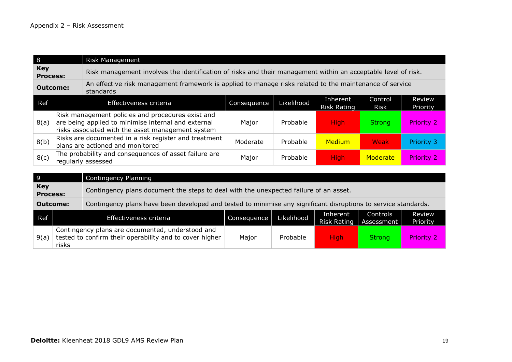| l 8                                                                                                                                     | <b>Risk Management</b> |                                                                                                                                                               |             |            |                                |                        |                    |  |
|-----------------------------------------------------------------------------------------------------------------------------------------|------------------------|---------------------------------------------------------------------------------------------------------------------------------------------------------------|-------------|------------|--------------------------------|------------------------|--------------------|--|
| <b>Key</b><br><b>Process:</b>                                                                                                           |                        | Risk management involves the identification of risks and their management within an acceptable level of risk.                                                 |             |            |                                |                        |                    |  |
| An effective risk management framework is applied to manage risks related to the maintenance of service<br><b>Outcome:</b><br>standards |                        |                                                                                                                                                               |             |            |                                |                        |                    |  |
| Ref                                                                                                                                     |                        | Effectiveness criteria                                                                                                                                        | Consequence | Likelihood | Inherent<br><b>Risk Rating</b> | Control<br><b>Risk</b> | Review<br>Priority |  |
| 8(a)                                                                                                                                    |                        | Risk management policies and procedures exist and<br>are being applied to minimise internal and external<br>risks associated with the asset management system |             | Probable   | <b>High</b>                    | <b>Strong</b>          | <b>Priority 2</b>  |  |
| 8(b)                                                                                                                                    |                        | Risks are documented in a risk register and treatment<br>plans are actioned and monitored                                                                     | Moderate    | Probable   | <b>Medium</b>                  | Weak                   | <b>Priority 3</b>  |  |
| 8(c)                                                                                                                                    |                        | The probability and consequences of asset failure are<br>regularly assessed                                                                                   | Major       | Probable   | <b>High</b>                    | Moderate               | <b>Priority 2</b>  |  |

| l 9                                                                                                                               |       | Contingency Planning                                                                                        |             |            |                                |                        |                    |  |  |
|-----------------------------------------------------------------------------------------------------------------------------------|-------|-------------------------------------------------------------------------------------------------------------|-------------|------------|--------------------------------|------------------------|--------------------|--|--|
| <b>Key</b><br><b>Process:</b>                                                                                                     |       | Contingency plans document the steps to deal with the unexpected failure of an asset.                       |             |            |                                |                        |                    |  |  |
| Contingency plans have been developed and tested to minimise any significant disruptions to service standards.<br><b>Outcome:</b> |       |                                                                                                             |             |            |                                |                        |                    |  |  |
| Ref                                                                                                                               |       | Effectiveness criteria                                                                                      | Consequence | Likelihood | Inherent<br><b>Risk Rating</b> | Controls<br>Assessment | Review<br>Priority |  |  |
| 9(a)                                                                                                                              | risks | Contingency plans are documented, understood and<br>tested to confirm their operability and to cover higher | Major       | Probable   | <b>High</b>                    | <b>Strong</b>          | <b>Priority 2</b>  |  |  |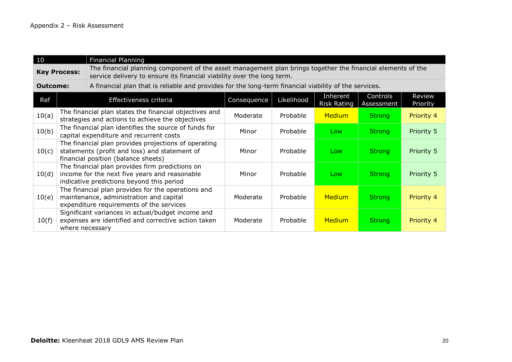| 10                  |  | <b>Financial Planning</b>                                                                                                                                                             |             |            |                                |                        |                    |
|---------------------|--|---------------------------------------------------------------------------------------------------------------------------------------------------------------------------------------|-------------|------------|--------------------------------|------------------------|--------------------|
| <b>Key Process:</b> |  | The financial planning component of the asset management plan brings together the financial elements of the<br>service delivery to ensure its financial viability over the long term. |             |            |                                |                        |                    |
| <b>Outcome:</b>     |  | A financial plan that is reliable and provides for the long-term financial viability of the services.                                                                                 |             |            |                                |                        |                    |
| Ref                 |  | Effectiveness criteria                                                                                                                                                                | Consequence | Likelihood | Inherent<br><b>Risk Rating</b> | Controls<br>Assessment | Review<br>Priority |
| 10(a)               |  | The financial plan states the financial objectives and<br>strategies and actions to achieve the objectives                                                                            | Moderate    | Probable   | <b>Medium</b>                  | <b>Strong</b>          | Priority 4         |
| 10(b)               |  | The financial plan identifies the source of funds for<br>capital expenditure and recurrent costs                                                                                      | Minor       | Probable   | Low                            | <b>Strong</b>          | Priority 5         |
| 10(c)               |  | The financial plan provides projections of operating<br>statements (profit and loss) and statement of<br>financial position (balance sheets)                                          | Minor       | Probable   | Low                            | <b>Strong</b>          | Priority 5         |
| 10(d)               |  | The financial plan provides firm predictions on<br>income for the next five years and reasonable<br>indicative predictions beyond this period                                         | Minor       | Probable   | Low                            | <b>Strong</b>          | Priority 5         |
| 10(e)               |  | The financial plan provides for the operations and<br>maintenance, administration and capital<br>expenditure requirements of the services                                             | Moderate    | Probable   | <b>Medium</b>                  | <b>Strong</b>          | Priority 4         |
| 10(f)               |  | Significant variances in actual/budget income and<br>expenses are identified and corrective action taken<br>where necessary                                                           | Moderate    | Probable   | <b>Medium</b>                  | <b>Strong</b>          | Priority 4         |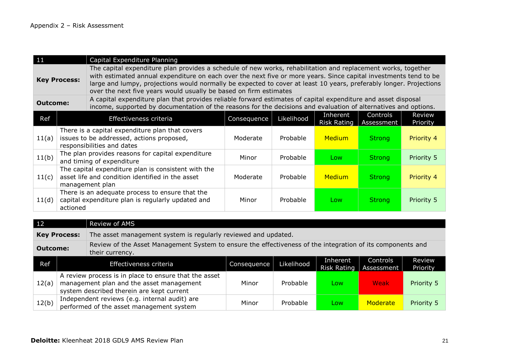| 11                                                                                                                                  | Capital Expenditure Planning                                                                                                                                                                                                                                                                                                                                                                                                                        |                                                                                                                                                                                                                                  |             |            |                                |                        |                    |
|-------------------------------------------------------------------------------------------------------------------------------------|-----------------------------------------------------------------------------------------------------------------------------------------------------------------------------------------------------------------------------------------------------------------------------------------------------------------------------------------------------------------------------------------------------------------------------------------------------|----------------------------------------------------------------------------------------------------------------------------------------------------------------------------------------------------------------------------------|-------------|------------|--------------------------------|------------------------|--------------------|
|                                                                                                                                     | The capital expenditure plan provides a schedule of new works, rehabilitation and replacement works, together<br>with estimated annual expenditure on each over the next five or more years. Since capital investments tend to be<br><b>Key Process:</b><br>large and lumpy, projections would normally be expected to cover at least 10 years, preferably longer. Projections<br>over the next five years would usually be based on firm estimates |                                                                                                                                                                                                                                  |             |            |                                |                        |                    |
| <b>Outcome:</b>                                                                                                                     |                                                                                                                                                                                                                                                                                                                                                                                                                                                     | A capital expenditure plan that provides reliable forward estimates of capital expenditure and asset disposal<br>income, supported by documentation of the reasons for the decisions and evaluation of alternatives and options. |             |            |                                |                        |                    |
| Ref                                                                                                                                 |                                                                                                                                                                                                                                                                                                                                                                                                                                                     | Effectiveness criteria                                                                                                                                                                                                           | Consequence | Likelihood | Inherent<br><b>Risk Rating</b> | Controls<br>Assessment | Review<br>Priority |
| There is a capital expenditure plan that covers<br>issues to be addressed, actions proposed,<br>11(a)<br>responsibilities and dates |                                                                                                                                                                                                                                                                                                                                                                                                                                                     | Moderate                                                                                                                                                                                                                         | Probable    | Medium     | <b>Strong</b>                  | Priority 4             |                    |
| 11(b)                                                                                                                               |                                                                                                                                                                                                                                                                                                                                                                                                                                                     | The plan provides reasons for capital expenditure<br>and timing of expenditure                                                                                                                                                   | Minor       | Probable   | Low                            | <b>Strong</b>          | Priority 5         |
| 11(c)                                                                                                                               |                                                                                                                                                                                                                                                                                                                                                                                                                                                     | The capital expenditure plan is consistent with the<br>asset life and condition identified in the asset<br>management plan                                                                                                       | Moderate    | Probable   | Medium                         | <b>Strong</b>          | Priority 4         |
| 11(d)                                                                                                                               | actioned                                                                                                                                                                                                                                                                                                                                                                                                                                            | There is an adequate process to ensure that the<br>capital expenditure plan is regularly updated and                                                                                                                             | Minor       | Probable   | Low                            | <b>Strong</b>          | Priority 5         |

| 12                                                                                                                                               |  | Review of AMS                                                                                                                                  |             |            |                                |                        |                    |  |
|--------------------------------------------------------------------------------------------------------------------------------------------------|--|------------------------------------------------------------------------------------------------------------------------------------------------|-------------|------------|--------------------------------|------------------------|--------------------|--|
| <b>Key Process:</b>                                                                                                                              |  | The asset management system is regularly reviewed and updated.                                                                                 |             |            |                                |                        |                    |  |
| Review of the Asset Management System to ensure the effectiveness of the integration of its components and<br><b>Outcome:</b><br>their currency. |  |                                                                                                                                                |             |            |                                |                        |                    |  |
| Ref                                                                                                                                              |  | Effectiveness criteria                                                                                                                         | Consequence | Likelihood | Inherent<br><b>Risk Rating</b> | Controls<br>Assessment | Review<br>Priority |  |
| 12(a)                                                                                                                                            |  | A review process is in place to ensure that the asset<br>management plan and the asset management<br>system described therein are kept current | Minor       | Probable   | Low                            | Weak                   | Priority 5         |  |
| 12(b)                                                                                                                                            |  | Independent reviews (e.g. internal audit) are<br>performed of the asset management system                                                      | Minor       | Probable   | Low                            | Moderate               | Priority 5         |  |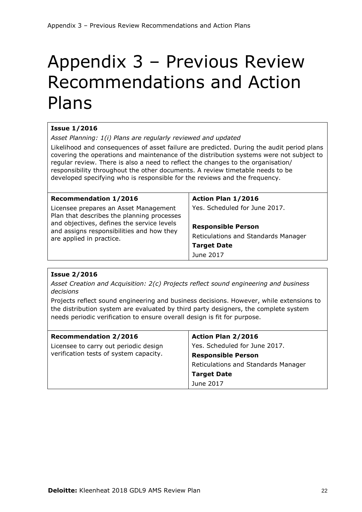## Appendix 3 – Previous Review Recommendations and Action Plans

## **Issue 1/2016**

*Asset Planning: 1(i) Plans are regularly reviewed and updated*

Likelihood and consequences of asset failure are predicted. During the audit period plans covering the operations and maintenance of the distribution systems were not subject to regular review. There is also a need to reflect the changes to the organisation/ responsibility throughout the other documents. A review timetable needs to be developed specifying who is responsible for the reviews and the frequency.

| <b>Recommendation 1/2016</b>                                                            | Action Plan 1/2016                  |
|-----------------------------------------------------------------------------------------|-------------------------------------|
| Licensee prepares an Asset Management<br>Plan that describes the planning processes     | Yes. Scheduled for June 2017.       |
| and objectives, defines the service levels<br>and assigns responsibilities and how they | <b>Responsible Person</b>           |
| are applied in practice.                                                                | Reticulations and Standards Manager |
|                                                                                         | <b>Target Date</b>                  |
|                                                                                         | June 2017                           |

## **Issue 2/2016**

*Asset Creation and Acquisition: 2(c) Projects reflect sound engineering and business decisions*

Projects reflect sound engineering and business decisions. However, while extensions to the distribution system are evaluated by third party designers, the complete system needs periodic verification to ensure overall design is fit for purpose.

| <b>Recommendation 2/2016</b>           | Action Plan 2/2016                  |  |
|----------------------------------------|-------------------------------------|--|
| Licensee to carry out periodic design  | Yes. Scheduled for June 2017.       |  |
| verification tests of system capacity. | <b>Responsible Person</b>           |  |
|                                        | Reticulations and Standards Manager |  |
|                                        | <b>Target Date</b>                  |  |
|                                        | June 2017                           |  |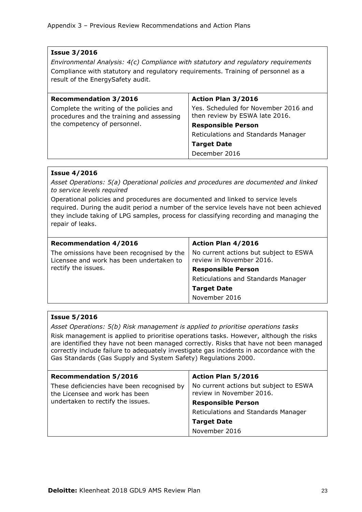## **Issue 3/2016**

*Environmental Analysis: 4(c) Compliance with statutory and regulatory requirements* Compliance with statutory and regulatory requirements. Training of personnel as a result of the EnergySafety audit.

| <b>Recommendation 3/2016</b>                                                          | Action Plan 3/2016                                                     |  |
|---------------------------------------------------------------------------------------|------------------------------------------------------------------------|--|
| Complete the writing of the policies and<br>procedures and the training and assessing | Yes. Scheduled for November 2016 and<br>then review by ESWA late 2016. |  |
| the competency of personnel.                                                          | <b>Responsible Person</b>                                              |  |
|                                                                                       | Reticulations and Standards Manager                                    |  |
|                                                                                       | <b>Target Date</b>                                                     |  |
|                                                                                       | December 2016                                                          |  |

## **Issue 4/2016**

*Asset Operations: 5(a) Operational policies and procedures are documented and linked to service levels required*

Operational policies and procedures are documented and linked to service levels required. During the audit period a number of the service levels have not been achieved they include taking of LPG samples, process for classifying recording and managing the repair of leaks.

| <b>Recommendation 4/2016</b>                                                          | <b>Action Plan 4/2016</b>                                          |
|---------------------------------------------------------------------------------------|--------------------------------------------------------------------|
| The omissions have been recognised by the<br>Licensee and work has been undertaken to | No current actions but subject to ESWA<br>review in November 2016. |
| rectify the issues.                                                                   | <b>Responsible Person</b>                                          |
|                                                                                       | Reticulations and Standards Manager                                |
|                                                                                       | <b>Target Date</b>                                                 |
|                                                                                       | November 2016                                                      |

## **Issue 5/2016**

*Asset Operations: 5(b) Risk management is applied to prioritise operations tasks*

Risk management is applied to prioritise operations tasks. However, although the risks are identified they have not been managed correctly. Risks that have not been managed correctly include failure to adequately investigate gas incidents in accordance with the Gas Standards (Gas Supply and System Safety) Regulations 2000.

| <b>Recommendation 5/2016</b>                                                 | Action Plan 5/2016                                                 |  |
|------------------------------------------------------------------------------|--------------------------------------------------------------------|--|
| These deficiencies have been recognised by<br>the Licensee and work has been | No current actions but subject to ESWA<br>review in November 2016. |  |
| undertaken to rectify the issues.                                            | <b>Responsible Person</b>                                          |  |
|                                                                              | Reticulations and Standards Manager                                |  |
|                                                                              | <b>Target Date</b>                                                 |  |
|                                                                              | November 2016                                                      |  |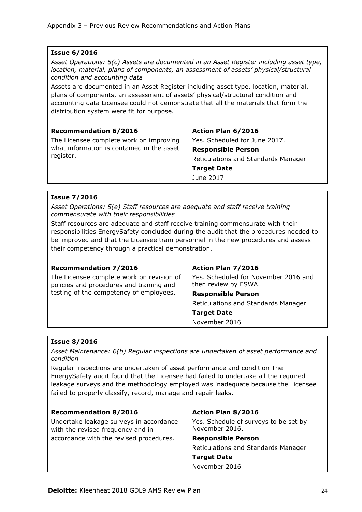## **Issue 6/2016** *Asset Operations: 5(c) Assets are documented in an Asset Register including asset type, location, material, plans of components, an assessment of assets' physical/structural condition and accounting data*  Assets are documented in an Asset Register including asset type, location, material, plans of components, an assessment of assets' physical/structural condition and accounting data Licensee could not demonstrate that all the materials that form the distribution system were fit for purpose. **Recommendation 6/2016** The Licensee complete work on improving what information is contained in the asset register. **Action Plan 6/2016** Yes. Scheduled for June 2017. **Responsible Person** Reticulations and Standards Manager **Target Date** June 2017

## **Issue 7/2016**

*Asset Operations: 5(e) Staff resources are adequate and staff receive training commensurate with their responsibilities*

Staff resources are adequate and staff receive training commensurate with their responsibilities EnergySafety concluded during the audit that the procedures needed to be improved and that the Licensee train personnel in the new procedures and assess their competency through a practical demonstration.

| <b>Recommendation 7/2016</b>                                                          | Action Plan 7/2016                                           |  |
|---------------------------------------------------------------------------------------|--------------------------------------------------------------|--|
| The Licensee complete work on revision of<br>policies and procedures and training and | Yes. Scheduled for November 2016 and<br>then review by ESWA. |  |
| testing of the competency of employees.                                               | <b>Responsible Person</b>                                    |  |
|                                                                                       | Reticulations and Standards Manager                          |  |
|                                                                                       | <b>Target Date</b>                                           |  |
|                                                                                       | November 2016                                                |  |

## **Issue 8/2016**

*Asset Maintenance: 6(b) Regular inspections are undertaken of asset performance and condition*

Regular inspections are undertaken of asset performance and condition The EnergySafety audit found that the Licensee had failed to undertake all the required leakage surveys and the methodology employed was inadequate because the Licensee failed to properly classify, record, manage and repair leaks.

| <b>Recommendation 8/2016</b>                                                 | <b>Action Plan 8/2016</b>                               |
|------------------------------------------------------------------------------|---------------------------------------------------------|
| Undertake leakage surveys in accordance<br>with the revised frequency and in | Yes. Schedule of surveys to be set by<br>November 2016. |
| accordance with the revised procedures.                                      | <b>Responsible Person</b>                               |
|                                                                              | Reticulations and Standards Manager                     |
|                                                                              | <b>Target Date</b>                                      |
|                                                                              | November 2016                                           |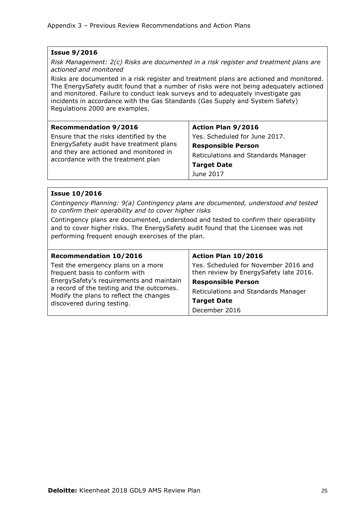## **Issue 9/2016**

*Risk Management: 2(c) Risks are documented in a risk register and treatment plans are actioned and monitored*

Risks are documented in a risk register and treatment plans are actioned and monitored. The EnergySafety audit found that a number of risks were not being adequately actioned and monitored. Failure to conduct leak surveys and to adequately investigate gas incidents in accordance with the Gas Standards (Gas Supply and System Safety) Regulations 2000 are examples.

| <b>Recommendation 9/2016</b>                                                 | <b>Action Plan 9/2016</b>           |  |
|------------------------------------------------------------------------------|-------------------------------------|--|
| Ensure that the risks identified by the                                      | Yes. Scheduled for June 2017.       |  |
| EnergySafety audit have treatment plans                                      | <b>Responsible Person</b>           |  |
| and they are actioned and monitored in<br>accordance with the treatment plan | Reticulations and Standards Manager |  |
|                                                                              | <b>Target Date</b>                  |  |
|                                                                              | June 2017                           |  |

### **Issue 10/2016**

*Contingency Planning: 9(a) Contingency plans are documented, understood and tested to confirm their operability and to cover higher risks*

Contingency plans are documented, understood and tested to confirm their operability and to cover higher risks. The EnergySafety audit found that the Licensee was not performing frequent enough exercises of the plan.

| <b>Recommendation 10/2016</b>                                                        | Action Plan 10/2016                                                            |
|--------------------------------------------------------------------------------------|--------------------------------------------------------------------------------|
| Test the emergency plans on a more<br>frequent basis to conform with                 | Yes. Scheduled for November 2016 and<br>then review by EnergySafety late 2016. |
| EnergySafety's requirements and maintain                                             | <b>Responsible Person</b>                                                      |
| a record of the testing and the outcomes.<br>Modify the plans to reflect the changes | Reticulations and Standards Manager                                            |
| discovered during testing.                                                           | <b>Target Date</b>                                                             |
|                                                                                      | December 2016                                                                  |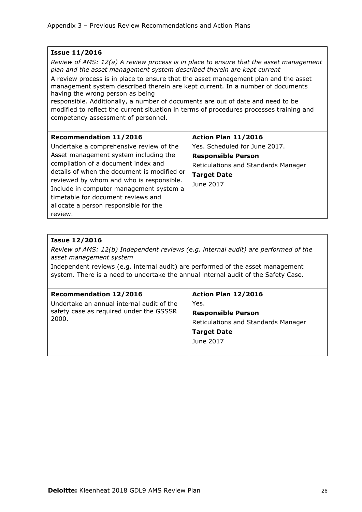## **Issue 11/2016**

*Review of AMS: 12(a) A review process is in place to ensure that the asset management plan and the asset management system described therein are kept current*

A review process is in place to ensure that the asset management plan and the asset management system described therein are kept current. In a number of documents having the wrong person as being

responsible. Additionally, a number of documents are out of date and need to be modified to reflect the current situation in terms of procedures processes training and competency assessment of personnel.

| <b>Recommendation 11/2016</b>               | Action Plan 11/2016                 |
|---------------------------------------------|-------------------------------------|
| Undertake a comprehensive review of the     | Yes. Scheduled for June 2017.       |
| Asset management system including the       | <b>Responsible Person</b>           |
| compilation of a document index and         | Reticulations and Standards Manager |
| details of when the document is modified or | <b>Target Date</b>                  |
| reviewed by whom and who is responsible.    | June 2017                           |
| Include in computer management system a     |                                     |
| timetable for document reviews and          |                                     |
| allocate a person responsible for the       |                                     |
| review.                                     |                                     |

## **Issue 12/2016**

*Review of AMS: 12(b) Independent reviews (e.g. internal audit) are performed of the asset management system*

Independent reviews (e.g. internal audit) are performed of the asset management system. There is a need to undertake the annual internal audit of the Safety Case.

| Action Plan 12/2016                 |
|-------------------------------------|
| Yes.                                |
| <b>Responsible Person</b>           |
| Reticulations and Standards Manager |
| <b>Target Date</b>                  |
| June 2017                           |
|                                     |
|                                     |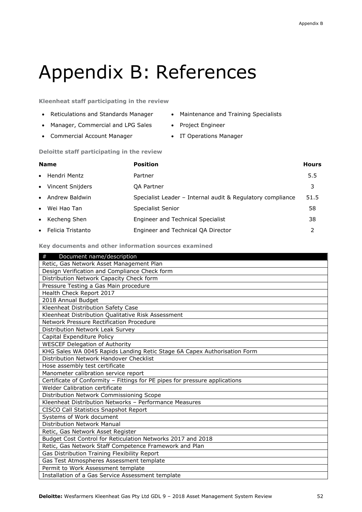## Appendix B: References

**Kleenheat staff participating in the review** 

- Reticulations and Standards Manager Maintenance and Training Specialists
- Manager, Commercial and LPG Sales Project Engineer
- Commercial Account Manager IT Operations Manager
- 
- -

#### **Deloitte staff participating in the review**

| <b>Name</b>         | <b>Position</b>                                            | <b>Hours</b> |
|---------------------|------------------------------------------------------------|--------------|
| • Hendri Mentz      | Partner                                                    | 5.5          |
| • Vincent Snijders  | <b>OA Partner</b>                                          | 3            |
| • Andrew Baldwin    | Specialist Leader - Internal audit & Regulatory compliance | 51.5         |
| • Wei Hao Tan       | Specialist Senior                                          | 58           |
| • Kecheng Shen      | Engineer and Technical Specialist                          | 38           |
| • Felicia Tristanto | Engineer and Technical QA Director                         | 2            |

#### **Key documents and other information sources examined**

| $^{\#}$<br>Document name/description                                        |
|-----------------------------------------------------------------------------|
| Retic, Gas Network Asset Management Plan                                    |
| Design Verification and Compliance Check form                               |
| Distribution Network Capacity Check form                                    |
| Pressure Testing a Gas Main procedure                                       |
| Health Check Report 2017                                                    |
| 2018 Annual Budget                                                          |
| Kleenheat Distribution Safety Case                                          |
| Kleenheat Distribution Qualitative Risk Assessment                          |
| Network Pressure Rectification Procedure                                    |
| Distribution Network Leak Survey                                            |
| Capital Expenditure Policy                                                  |
| <b>WESCEF Delegation of Authority</b>                                       |
| KHG Sales WA 0045 Rapids Landing Retic Stage 6A Capex Authorisation Form    |
| Distribution Network Handover Checklist                                     |
| Hose assembly test certificate                                              |
| Manometer calibration service report                                        |
| Certificate of Conformity - Fittings for PE pipes for pressure applications |
| Welder Calibration certificate                                              |
| Distribution Network Commissioning Scope                                    |
| Kleenheat Distribution Networks - Performance Measures                      |
| CISCO Call Statistics Snapshot Report                                       |
| Systems of Work document                                                    |
| Distribution Network Manual                                                 |
| Retic, Gas Network Asset Register                                           |
| Budget Cost Control for Reticulation Networks 2017 and 2018                 |
| Retic, Gas Network Staff Competence Framework and Plan                      |
| Gas Distribution Training Flexibility Report                                |
| Gas Test Atmospheres Assessment template                                    |
| Permit to Work Assessment template                                          |
| Installation of a Gas Service Assessment template                           |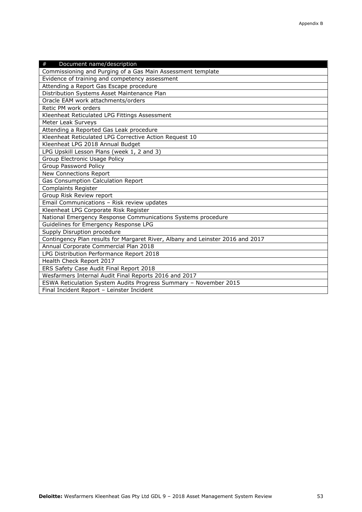| Document name/description<br>#                                                 |
|--------------------------------------------------------------------------------|
| Commissioning and Purging of a Gas Main Assessment template                    |
| Evidence of training and competency assessment                                 |
| Attending a Report Gas Escape procedure                                        |
| Distribution Systems Asset Maintenance Plan                                    |
| Oracle EAM work attachments/orders                                             |
| Retic PM work orders                                                           |
| Kleenheat Reticulated LPG Fittings Assessment                                  |
| Meter Leak Surveys                                                             |
| Attending a Reported Gas Leak procedure                                        |
| Kleenheat Reticulated LPG Corrective Action Request 10                         |
| Kleenheat LPG 2018 Annual Budget                                               |
| LPG Upskill Lesson Plans (week 1, 2 and 3)                                     |
| Group Electronic Usage Policy                                                  |
| Group Password Policy                                                          |
| New Connections Report                                                         |
| <b>Gas Consumption Calculation Report</b>                                      |
| <b>Complaints Register</b>                                                     |
| Group Risk Review report                                                       |
| Email Communications - Risk review updates                                     |
| Kleenheat LPG Corporate Risk Register                                          |
| National Emergency Response Communications Systems procedure                   |
| Guidelines for Emergency Response LPG                                          |
| Supply Disruption procedure                                                    |
| Contingency Plan results for Margaret River, Albany and Leinster 2016 and 2017 |
| Annual Corporate Commercial Plan 2018                                          |
| LPG Distribution Performance Report 2018                                       |
| Health Check Report 2017                                                       |
| ERS Safety Case Audit Final Report 2018                                        |
| Wesfarmers Internal Audit Final Reports 2016 and 2017                          |
| ESWA Reticulation System Audits Progress Summary - November 2015               |
| Final Incident Report - Leinster Incident                                      |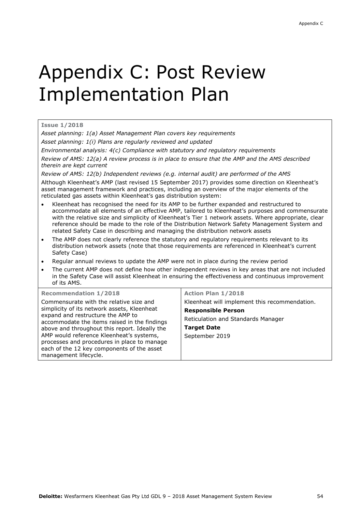# Appendix C: Post Review Implementation Plan

#### **Issue 1/2018**

*Asset planning: 1(a) Asset Management Plan covers key requirements*

*Asset planning: 1(i) Plans are regularly reviewed and updated*

*Environmental analysis: 4(c) Compliance with statutory and regulatory requirements* 

*Review of AMS: 12(a) A review process is in place to ensure that the AMP and the AMS described therein are kept current*

*Review of AMS: 12(b) Independent reviews (e.g. internal audit) are performed of the AMS*

Although Kleenheat's AMP (last revised 15 September 2017) provides some direction on Kleenheat's asset management framework and practices, including an overview of the major elements of the reticulated gas assets within Kleenheat's gas distribution system:

- Kleenheat has recognised the need for its AMP to be further expanded and restructured to accommodate all elements of an effective AMP, tailored to Kleenheat's purposes and commensurate with the relative size and simplicity of Kleenheat's Tier 1 network assets. Where appropriate, clear reference should be made to the role of the Distribution Network Safety Management System and related Safety Case in describing and managing the distribution network assets
- The AMP does not clearly reference the statutory and regulatory requirements relevant to its distribution network assets (note that those requirements are referenced in Kleenheat's current Safety Case)
- Regular annual reviews to update the AMP were not in place during the review period
- The current AMP does not define how other independent reviews in key areas that are not included in the Safety Case will assist Kleenheat in ensuring the effectiveness and continuous improvement of its AMS.

| <b>Recommendation 1/2018</b>                                                                                                                                   | <b>Action Plan 1/2018</b>                     |
|----------------------------------------------------------------------------------------------------------------------------------------------------------------|-----------------------------------------------|
| Commensurate with the relative size and                                                                                                                        | Kleenheat will implement this recommendation. |
| simplicity of its network assets, Kleenheat<br>expand and restructure the AMP to                                                                               | <b>Responsible Person</b>                     |
| accommodate the items raised in the findings                                                                                                                   | Reticulation and Standards Manager            |
| above and throughout this report. Ideally the                                                                                                                  | <b>Target Date</b>                            |
| AMP would reference Kleenheat's systems,<br>processes and procedures in place to manage<br>each of the 12 key components of the asset<br>management lifecycle. | September 2019                                |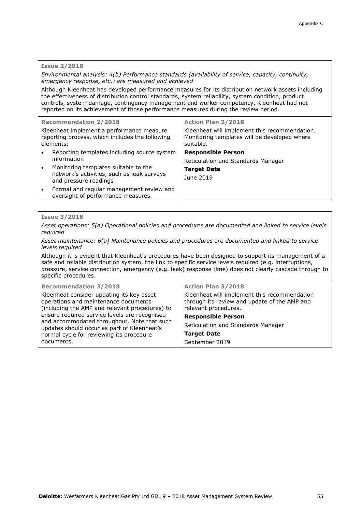#### **Issue 2/2018**

#### *Environmental analysis: 4(b) Performance standards (availability of service, capacity, continuity, emergency response, etc.) are measured and achieved*

Although Kleenheat has developed performance measures for its distribution network assets including the effectiveness of distribution control standards, system reliability, system condition, product controls, system damage, contingency management and worker competency, Kleenheat had not reported on its achievement of those performance measures during the review period.

|           | <b>Recommendation 2/2018</b>                                                                                                                     | <b>Action Plan 2/2018</b>                                                                                  |
|-----------|--------------------------------------------------------------------------------------------------------------------------------------------------|------------------------------------------------------------------------------------------------------------|
|           | Kleenheat implement a performance measure<br>reporting process, which includes the following<br>elements:                                        | Kleenheat will implement this recommendation.<br>Monitoring templates will be developed where<br>suitable. |
| $\bullet$ | Reporting templates including source system<br>information<br>Monitoring templates suitable to the<br>network's activities, such as leak surveys | <b>Responsible Person</b><br>Reticulation and Standards Manager<br><b>Target Date</b>                      |
|           | and pressure readings                                                                                                                            | June 2019                                                                                                  |
| $\bullet$ | Formal and regular management review and<br>oversight of performance measures.                                                                   |                                                                                                            |

#### **Issue 3/2018**

*Asset operations: 5(a) Operational policies and procedures are documented and linked to service levels required*

*Asset maintenance: 6(a) Maintenance policies and procedures are documented and linked to service levels required*

Although it is evident that Kleenheat's procedures have been designed to support its management of a safe and reliable distribution system, the link to specific service levels required (e.g. interruptions, pressure, service connection, emergency (e.g. leak) response time) does not clearly cascade through to specific procedures.

| <b>Recommendation 3/2018</b>                                                                                                                                                                                                                                                                                                                 | <b>Action Plan 3/2018</b>                                                                                                                         |
|----------------------------------------------------------------------------------------------------------------------------------------------------------------------------------------------------------------------------------------------------------------------------------------------------------------------------------------------|---------------------------------------------------------------------------------------------------------------------------------------------------|
| Kleenheat consider updating its key asset<br>operations and maintenance documents<br>(including the AMP and relevant procedures) to<br>ensure required service levels are recognised<br>and accommodated throughout. Note that such<br>updates should occur as part of Kleenheat's<br>normal cycle for reviewing its procedure<br>documents. | Kleenheat will implement this recommendation<br>through its review and update of the AMP and<br>relevant procedures.<br><b>Responsible Person</b> |
|                                                                                                                                                                                                                                                                                                                                              | Reticulation and Standards Manager<br><b>Target Date</b><br>September 2019                                                                        |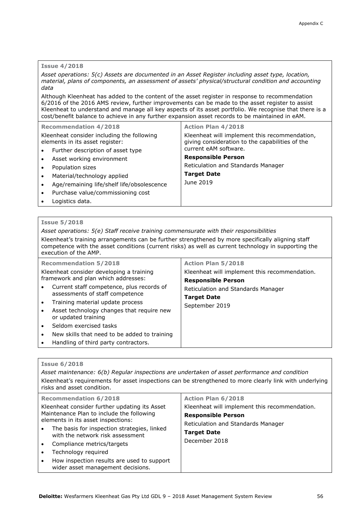#### **Issue 4/2018**

*Asset operations: 5(c) Assets are documented in an Asset Register including asset type, location, material, plans of components, an assessment of assets' physical/structural condition and accounting data*

Although Kleenheat has added to the content of the asset register in response to recommendation 6/2016 of the 2016 AMS review, further improvements can be made to the asset register to assist Kleenheat to understand and manage all key aspects of its asset portfolio. We recognise that there is a cost/benefit balance to achieve in any further expansion asset records to be maintained in eAM.

| <b>Recommendation 4/2018</b>                                                  | <b>Action Plan 4/2018</b>                                                                                                 |
|-------------------------------------------------------------------------------|---------------------------------------------------------------------------------------------------------------------------|
| Kleenheat consider including the following<br>elements in its asset register: | Kleenheat will implement this recommendation,<br>giving consideration to the capabilities of the<br>current eAM software. |
| Further description of asset type<br>$\bullet$                                | <b>Responsible Person</b>                                                                                                 |
| Asset working environment<br>$\bullet$                                        |                                                                                                                           |
| Population sizes<br>$\bullet$                                                 | Reticulation and Standards Manager                                                                                        |
| Material/technology applied<br>$\bullet$                                      | <b>Target Date</b>                                                                                                        |
| Age/remaining life/shelf life/obsolescence<br>$\bullet$                       | June 2019                                                                                                                 |
| Purchase value/commissioning cost<br>$\bullet$                                |                                                                                                                           |
| Logistics data.<br>$\bullet$                                                  |                                                                                                                           |

#### **Issue 5/2018**

*Asset operations: 5(e) Staff receive training commensurate with their responsibilities*

Kleenheat's training arrangements can be further strengthened by more specifically aligning staff competence with the asset conditions (current risks) as well as current technology in supporting the execution of the AMP.

| <b>Recommendation 5/2018</b>                                                              | <b>Action Plan 5/2018</b>                                                  |
|-------------------------------------------------------------------------------------------|----------------------------------------------------------------------------|
| Kleenheat consider developing a training<br>framework and plan which addresses:           | Kleenheat will implement this recommendation.<br><b>Responsible Person</b> |
| Current staff competence, plus records of<br>$\bullet$<br>assessments of staff competence | Reticulation and Standards Manager                                         |
| Training material update process<br>$\bullet$                                             | <b>Target Date</b><br>September 2019                                       |
| Asset technology changes that require new<br>$\bullet$<br>or updated training             |                                                                            |
| Seldom exercised tasks<br>$\bullet$                                                       |                                                                            |
| New skills that need to be added to training<br>$\bullet$                                 |                                                                            |
| Handling of third party contractors.<br>$\bullet$                                         |                                                                            |

#### **Issue 6/2018**

*Asset maintenance: 6(b) Regular inspections are undertaken of asset performance and condition* Kleenheat's requirements for asset inspections can be strengthened to more clearly link with underlying risks and asset condition. **Recommendation 6/2018** Kleenheat consider further updating its Asset Maintenance Plan to include the following elements in its asset inspections: The basis for inspection strategies, linked with the network risk assessment Compliance metrics/targets Technology required How inspection results are used to support wider asset management decisions. **Action Plan 6/2018** Kleenheat will implement this recommendation. **Responsible Person** Reticulation and Standards Manager **Target Date** December 2018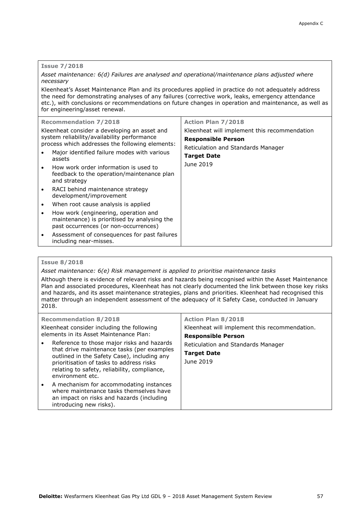#### **Issue 7/2018**

*Asset maintenance: 6(d) Failures are analysed and operational/maintenance plans adjusted where necessary*

Kleenheat's Asset Maintenance Plan and its procedures applied in practice do not adequately address the need for demonstrating analyses of any failures (corrective work, leaks, emergency attendance etc.), with conclusions or recommendations on future changes in operation and maintenance, as well as for engineering/asset renewal.

| $\bullet$ | <b>Recommendation 7/2018</b><br>Kleenheat consider a developing an asset and<br>system reliability/availability performance<br>process which addresses the following elements:<br>Major identified failure modes with various<br>assets<br>How work order information is used to<br>feedback to the operation/maintenance plan<br>and strategy | <b>Action Plan 7/2018</b><br>Kleenheat will implement this recommendation<br><b>Responsible Person</b><br>Reticulation and Standards Manager<br><b>Target Date</b><br>June 2019 |
|-----------|------------------------------------------------------------------------------------------------------------------------------------------------------------------------------------------------------------------------------------------------------------------------------------------------------------------------------------------------|---------------------------------------------------------------------------------------------------------------------------------------------------------------------------------|
| $\bullet$ | RACI behind maintenance strategy<br>development/improvement                                                                                                                                                                                                                                                                                    |                                                                                                                                                                                 |
| $\bullet$ | When root cause analysis is applied                                                                                                                                                                                                                                                                                                            |                                                                                                                                                                                 |
| ٠         | How work (engineering, operation and<br>maintenance) is prioritised by analysing the<br>past occurrences (or non-occurrences)                                                                                                                                                                                                                  |                                                                                                                                                                                 |
| $\bullet$ | Assessment of consequences for past failures<br>including near-misses.                                                                                                                                                                                                                                                                         |                                                                                                                                                                                 |

#### **Issue 8/2018**

*Asset maintenance: 6(e) Risk management is applied to prioritise maintenance tasks*

Although there is evidence of relevant risks and hazards being recognised within the Asset Maintenance Plan and associated procedures, Kleenheat has not clearly documented the link between those key risks and hazards, and its asset maintenance strategies, plans and priorities. Kleenheat had recognised this matter through an independent assessment of the adequacy of it Safety Case, conducted in January 2018.

| <b>Recommendation 8/2018</b><br>Kleenheat consider including the following<br>elements in its Asset Maintenance Plan:                                                                                                                                   | <b>Action Plan 8/2018</b><br>Kleenheat will implement this recommendation.<br><b>Responsible Person</b> |
|---------------------------------------------------------------------------------------------------------------------------------------------------------------------------------------------------------------------------------------------------------|---------------------------------------------------------------------------------------------------------|
| Reference to those major risks and hazards<br>that drive maintenance tasks (per examples<br>outlined in the Safety Case), including any<br>prioritisation of tasks to address risks<br>relating to safety, reliability, compliance,<br>environment etc. | Reticulation and Standards Manager<br><b>Target Date</b><br>June 2019                                   |
| A mechanism for accommodating instances<br>$\bullet$<br>where maintenance tasks themselves have<br>an impact on risks and hazards (including<br>introducing new risks).                                                                                 |                                                                                                         |